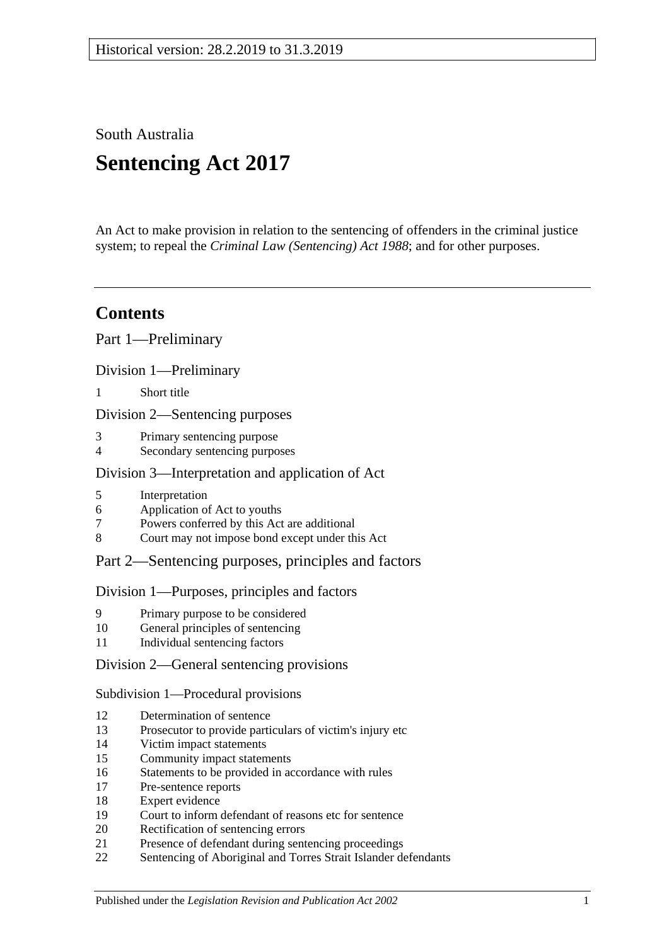South Australia

# **Sentencing Act 2017**

An Act to make provision in relation to the sentencing of offenders in the criminal justice system; to repeal the *[Criminal Law \(Sentencing\) Act](http://www.legislation.sa.gov.au/index.aspx?action=legref&type=act&legtitle=Criminal%20Law%20(Sentencing)%20Act%201988) 1988*; and for other purposes.

## **Contents**

Part [1—Preliminary](#page-4-0)

Division [1—Preliminary](#page-4-1)

1 [Short title](#page-4-2)

Division [2—Sentencing purposes](#page-4-3)

- 3 [Primary sentencing purpose](#page-4-4)
- 4 [Secondary sentencing purposes](#page-4-5)

#### Division [3—Interpretation and application of Act](#page-5-0)

- 5 [Interpretation](#page-5-1)
- 6 [Application of Act to youths](#page-9-0)
- 7 [Powers conferred by this Act are additional](#page-10-0)
- 8 [Court may not impose bond except under this Act](#page-10-1)

### Part [2—Sentencing purposes, principles and factors](#page-10-2)

#### Division [1—Purposes, principles and factors](#page-10-3)

- 9 [Primary purpose to be considered](#page-10-4)
- 10 [General principles of sentencing](#page-10-5)
- 11 [Individual sentencing factors](#page-10-6)

Division [2—General sentencing provisions](#page-12-0)

Subdivision [1—Procedural provisions](#page-12-1)

- 12 [Determination of sentence](#page-12-2)
- 13 [Prosecutor to provide particulars of victim's injury etc](#page-12-3)
- 14 [Victim impact statements](#page-13-0)
- 15 [Community impact statements](#page-14-0)
- 16 [Statements to be provided in accordance with rules](#page-14-1)
- 17 [Pre-sentence reports](#page-14-2)
- 18 [Expert evidence](#page-15-0)
- 19 [Court to inform defendant of reasons etc for sentence](#page-16-0)
- 20 [Rectification of sentencing errors](#page-16-1)
- 21 [Presence of defendant during sentencing proceedings](#page-16-2)
- 22 [Sentencing of Aboriginal and Torres Strait Islander defendants](#page-17-0)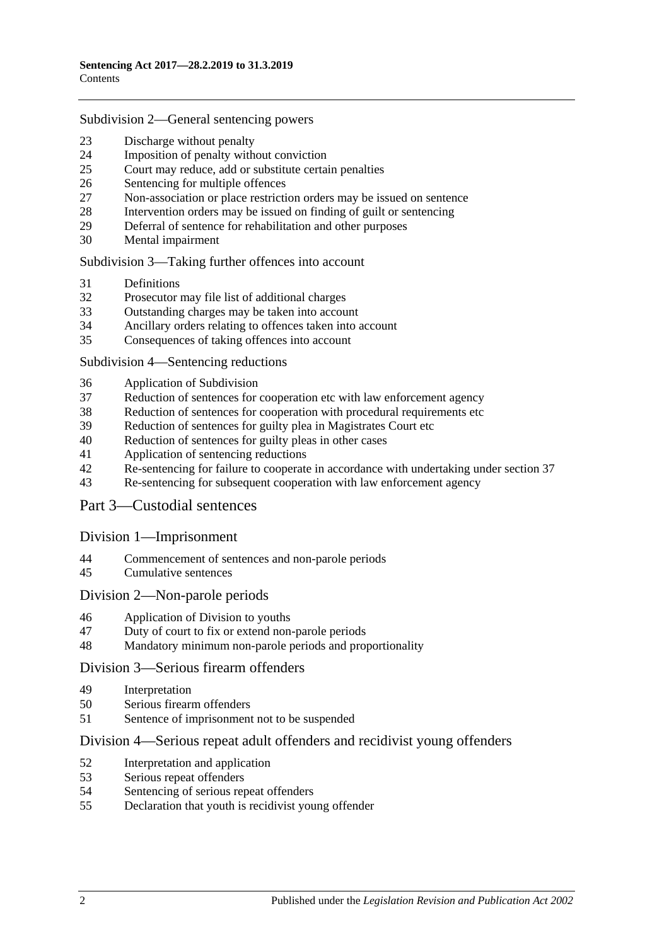#### Subdivision [2—General sentencing powers](#page-18-0)

- [Discharge without penalty](#page-18-1)
- [Imposition of penalty without conviction](#page-19-0)<br>25 Court may reduce add or substitute certain
- [Court may reduce, add or substitute certain penalties](#page-19-1)
- [Sentencing for multiple offences](#page-20-0)
- [Non-association or place restriction orders may be issued on sentence](#page-20-1)
- [Intervention orders may be issued on finding of guilt or sentencing](#page-21-0)
- [Deferral of sentence for rehabilitation and other purposes](#page-22-0)
- [Mental impairment](#page-23-0)

Subdivision [3—Taking further offences into account](#page-24-0)

- [Definitions](#page-24-1)
- [Prosecutor may file list of additional charges](#page-25-0)
- [Outstanding charges may be taken into account](#page-25-1)
- [Ancillary orders relating to offences taken into account](#page-26-0)
- [Consequences of taking offences into account](#page-26-1)

#### Subdivision [4—Sentencing reductions](#page-27-0)

- [Application of Subdivision](#page-27-1)
- [Reduction of sentences for cooperation etc with law enforcement agency](#page-27-2)
- [Reduction of sentences for cooperation with procedural requirements etc](#page-28-0)
- [Reduction of sentences for guilty plea in Magistrates Court etc](#page-28-1)
- [Reduction of sentences for guilty pleas in other cases](#page-30-0)
- [Application of sentencing reductions](#page-32-0)
- [Re-sentencing for failure to cooperate in accordance with undertaking under section](#page-33-0) 37
- [Re-sentencing for subsequent cooperation with law enforcement agency](#page-33-1)

#### Part [3—Custodial sentences](#page-35-0)

#### Division [1—Imprisonment](#page-35-1)

- [Commencement of sentences and non-parole periods](#page-35-2)
- [Cumulative sentences](#page-36-0)

#### Division [2—Non-parole periods](#page-36-1)

- [Application of Division to youths](#page-36-2)
- [Duty of court to fix or extend non-parole periods](#page-36-3)
- [Mandatory minimum non-parole periods and proportionality](#page-40-0)

#### Division [3—Serious firearm offenders](#page-40-1)

- [Interpretation](#page-40-2)
- [Serious firearm offenders](#page-42-0)
- [Sentence of imprisonment not to be suspended](#page-42-1)

#### Division [4—Serious repeat adult offenders and recidivist young offenders](#page-43-0)

- [Interpretation and application](#page-43-1)
- [Serious repeat offenders](#page-45-0)
- [Sentencing of serious repeat offenders](#page-45-1)
- [Declaration that youth is recidivist young offender](#page-46-0)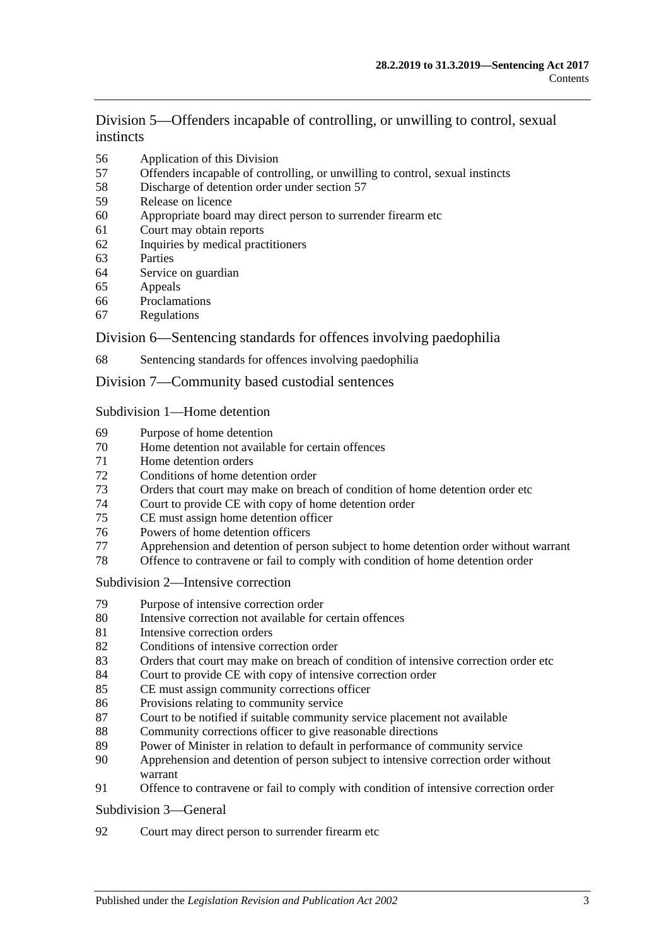Division [5—Offenders incapable of controlling, or unwilling to control, sexual](#page-46-1)  [instincts](#page-46-1)

- [Application of this Division](#page-46-2)
- [Offenders incapable of controlling, or unwilling to control, sexual instincts](#page-47-0)
- [Discharge of detention order under section](#page-49-0) 57
- [Release on licence](#page-50-0)
- [Appropriate board may direct person to surrender firearm etc](#page-53-0)
- [Court may obtain reports](#page-54-0)
- [Inquiries by medical practitioners](#page-54-1)
- [Parties](#page-54-2)
- [Service on guardian](#page-54-3)
- [Appeals](#page-55-0)<br>66 Proclama
- [Proclamations](#page-55-1)
- [Regulations](#page-55-2)

#### Division [6—Sentencing standards for offences involving paedophilia](#page-56-0)

[Sentencing standards for offences involving paedophilia](#page-56-1)

#### Division [7—Community based custodial sentences](#page-56-2)

#### Subdivision [1—Home detention](#page-56-3)

- [Purpose of home detention](#page-56-4)
- [Home detention not available for certain offences](#page-56-5)
- [Home detention orders](#page-57-0)
- [Conditions of home detention order](#page-60-0)
- [Orders that court may make on breach of condition of home detention order etc](#page-61-0)
- [Court to provide CE with copy of home detention order](#page-63-0)
- [CE must assign home detention officer](#page-63-1)
- [Powers of home detention officers](#page-63-2)
- [Apprehension and detention of person subject to home detention order without warrant](#page-64-0)
- [Offence to contravene or fail to comply with condition of home detention order](#page-64-1)

#### Subdivision [2—Intensive correction](#page-64-2)

- [Purpose of intensive correction order](#page-64-3)
- [Intensive correction not available for certain offences](#page-65-0)
- [Intensive correction orders](#page-65-1)
- [Conditions of intensive correction order](#page-66-0)
- [Orders that court may make on breach of condition of intensive correction order etc](#page-67-0)
- [Court to provide CE with copy of intensive correction order](#page-69-0)
- [CE must assign community corrections officer](#page-69-1)
- [Provisions relating to community service](#page-70-0)
- [Court to be notified if suitable community service placement not available](#page-71-0)
- [Community corrections officer to give reasonable directions](#page-71-1)
- [Power of Minister in relation to default in performance of community service](#page-72-0)
- [Apprehension and detention of person subject to intensive correction order without](#page-72-1)  [warrant](#page-72-1)
- [Offence to contravene or fail to comply with condition of intensive correction order](#page-72-2)

#### [Subdivision](#page-72-3) 3—General

[Court may direct person to surrender firearm etc](#page-72-4)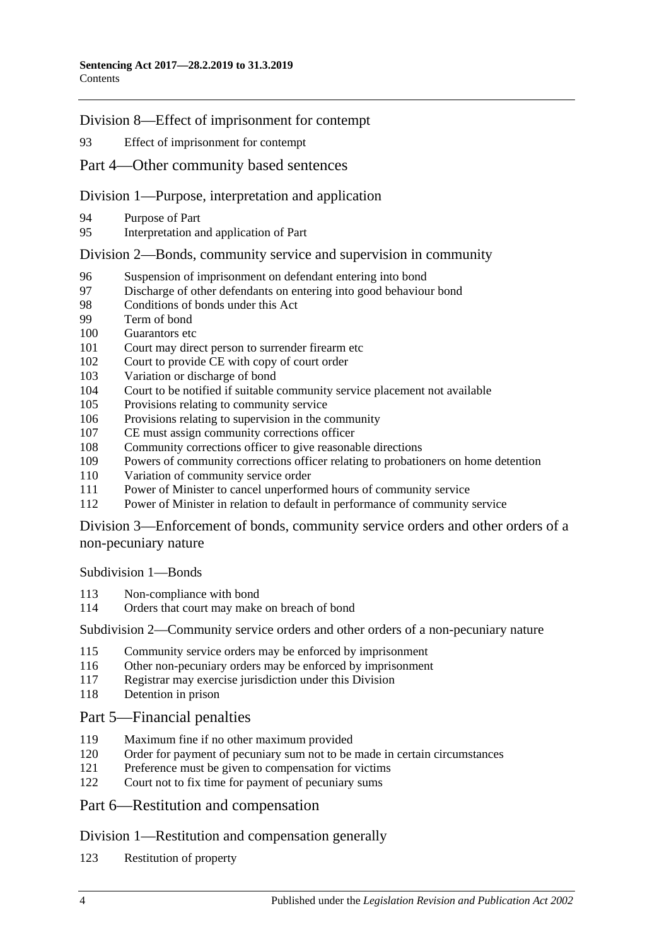Division [8—Effect of imprisonment for contempt](#page-73-0)

[Effect of imprisonment for contempt](#page-73-1)

#### Part [4—Other community based sentences](#page-73-2)

#### Division [1—Purpose, interpretation and application](#page-73-3)

- [Purpose of Part](#page-73-4)
- [Interpretation and application of Part](#page-73-5)

#### Division [2—Bonds, community service and supervision in community](#page-74-0)

- [Suspension of imprisonment on defendant entering into bond](#page-74-1)
- [Discharge of other defendants on entering into good behaviour bond](#page-77-0)<br>98 Conditions of bonds under this Act
- [Conditions of bonds under this Act](#page-77-1)
- [Term of bond](#page-79-0)
- [Guarantors etc](#page-79-1)
- [Court may direct person to surrender firearm etc](#page-79-2)
- [Court to provide CE with copy of court order](#page-80-0)
- [Variation or discharge of bond](#page-80-1)
- [Court to be notified if suitable community service placement not available](#page-81-0)
- [Provisions relating to community service](#page-81-1)
- [Provisions relating to supervision in the community](#page-82-0)
- [CE must assign community corrections officer](#page-82-1)
- [Community corrections officer to give reasonable directions](#page-83-0)
- [Powers of community corrections officer relating to probationers on home detention](#page-83-1)
- [Variation of community service order](#page-84-0)
- [Power of Minister to cancel unperformed hours of community service](#page-84-1)
- [Power of Minister in relation to default in performance of community service](#page-85-0)

Division [3—Enforcement of bonds, community service orders and other orders of a](#page-85-1)  [non-pecuniary nature](#page-85-1)

[Subdivision](#page-85-2) 1—Bonds

- [Non-compliance with bond](#page-85-3)
- [Orders that court may make on breach of bond](#page-86-0)

Subdivision [2—Community service orders and other orders of a non-pecuniary nature](#page-88-0)

- [Community service orders may be enforced by imprisonment](#page-88-1)
- [Other non-pecuniary orders may be enforced by imprisonment](#page-89-0)
- [Registrar may exercise jurisdiction under this Division](#page-90-0)
- [Detention in prison](#page-90-1)

### Part [5—Financial penalties](#page-90-2)

- [Maximum fine if no other maximum provided](#page-90-3)
- [Order for payment of pecuniary sum not to be made in certain circumstances](#page-91-0)
- [Preference must be given to compensation for victims](#page-91-1)
- [Court not to fix time for payment of pecuniary sums](#page-91-2)

### Part [6—Restitution and compensation](#page-92-0)

#### Division [1—Restitution and compensation generally](#page-92-1)

[Restitution of property](#page-92-2)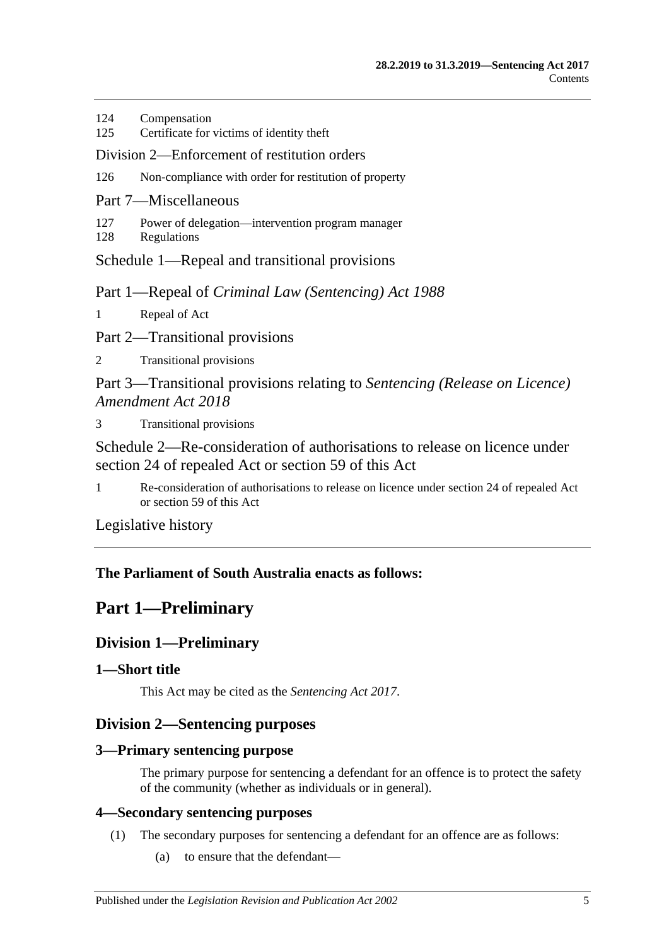- 124 [Compensation](#page-92-3)
- 125 [Certificate for victims of identity theft](#page-93-0)

#### Division [2—Enforcement of restitution orders](#page-93-1)

- 126 [Non-compliance with order for restitution of property](#page-93-2)
- Part [7—Miscellaneous](#page-94-0)
- 127 [Power of delegation—intervention program manager](#page-94-1)
- 128 [Regulations](#page-95-0)

Schedule [1—Repeal and transitional provisions](#page-95-1)

Part 1—Repeal of *Criminal Law (Sentencing) Act 1988*

1 [Repeal of Act](#page-95-2)

Part 2—Transitional provisions

2 [Transitional provisions](#page-95-3)

Part 3—Transitional provisions relating to *Sentencing (Release on Licence) Amendment Act 2018*

3 [Transitional provisions](#page-96-0)

[Schedule 2—Re-consideration of authorisations to release on licence under](#page-97-0)  [section 24 of repealed Act or section](#page-97-0) 59 of this Act

1 [Re-consideration of authorisations to release on licence under section 24 of repealed Act](#page-97-1)  or [section](#page-50-0) 59 [of this Act](#page-97-1)

[Legislative history](#page-99-0)

### <span id="page-4-0"></span>**The Parliament of South Australia enacts as follows:**

## **Part 1—Preliminary**

## <span id="page-4-1"></span>**Division 1—Preliminary**

### <span id="page-4-2"></span>**1—Short title**

This Act may be cited as the *Sentencing Act 2017*.

### <span id="page-4-3"></span>**Division 2—Sentencing purposes**

### <span id="page-4-4"></span>**3—Primary sentencing purpose**

The primary purpose for sentencing a defendant for an offence is to protect the safety of the community (whether as individuals or in general).

### <span id="page-4-6"></span><span id="page-4-5"></span>**4—Secondary sentencing purposes**

- (1) The secondary purposes for sentencing a defendant for an offence are as follows:
	- (a) to ensure that the defendant—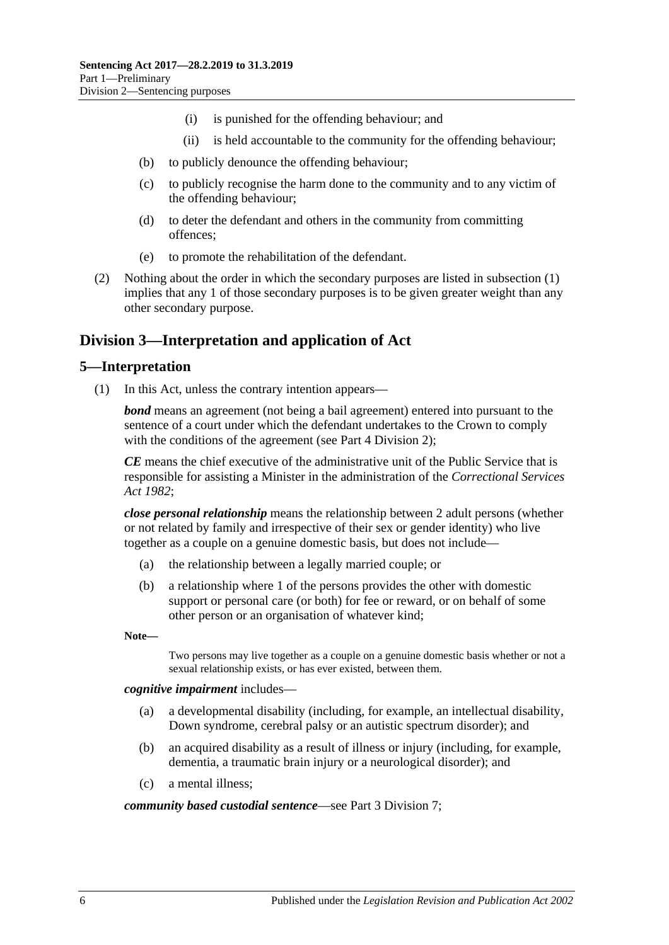- (i) is punished for the offending behaviour; and
- (ii) is held accountable to the community for the offending behaviour;
- (b) to publicly denounce the offending behaviour;
- (c) to publicly recognise the harm done to the community and to any victim of the offending behaviour;
- (d) to deter the defendant and others in the community from committing offences;
- (e) to promote the rehabilitation of the defendant.
- (2) Nothing about the order in which the secondary purposes are listed in [subsection](#page-4-6) (1) implies that any 1 of those secondary purposes is to be given greater weight than any other secondary purpose.

## <span id="page-5-0"></span>**Division 3—Interpretation and application of Act**

#### <span id="page-5-1"></span>**5—Interpretation**

(1) In this Act, unless the contrary intention appears—

*bond* means an agreement (not being a bail agreement) entered into pursuant to the sentence of a court under which the defendant undertakes to the Crown to comply with the conditions of the agreement (see Part [4 Division](#page-74-0) 2);

*CE* means the chief executive of the administrative unit of the Public Service that is responsible for assisting a Minister in the administration of the *[Correctional Services](http://www.legislation.sa.gov.au/index.aspx?action=legref&type=act&legtitle=Correctional%20Services%20Act%201982)  Act [1982](http://www.legislation.sa.gov.au/index.aspx?action=legref&type=act&legtitle=Correctional%20Services%20Act%201982)*;

*close personal relationship* means the relationship between 2 adult persons (whether or not related by family and irrespective of their sex or gender identity) who live together as a couple on a genuine domestic basis, but does not include—

- (a) the relationship between a legally married couple; or
- (b) a relationship where 1 of the persons provides the other with domestic support or personal care (or both) for fee or reward, or on behalf of some other person or an organisation of whatever kind;

**Note—**

Two persons may live together as a couple on a genuine domestic basis whether or not a sexual relationship exists, or has ever existed, between them.

*cognitive impairment* includes—

- (a) a developmental disability (including, for example, an intellectual disability, Down syndrome, cerebral palsy or an autistic spectrum disorder); and
- (b) an acquired disability as a result of illness or injury (including, for example, dementia, a traumatic brain injury or a neurological disorder); and
- (c) a mental illness;

#### *community based custodial sentence*—see Part [3 Division](#page-56-2) 7;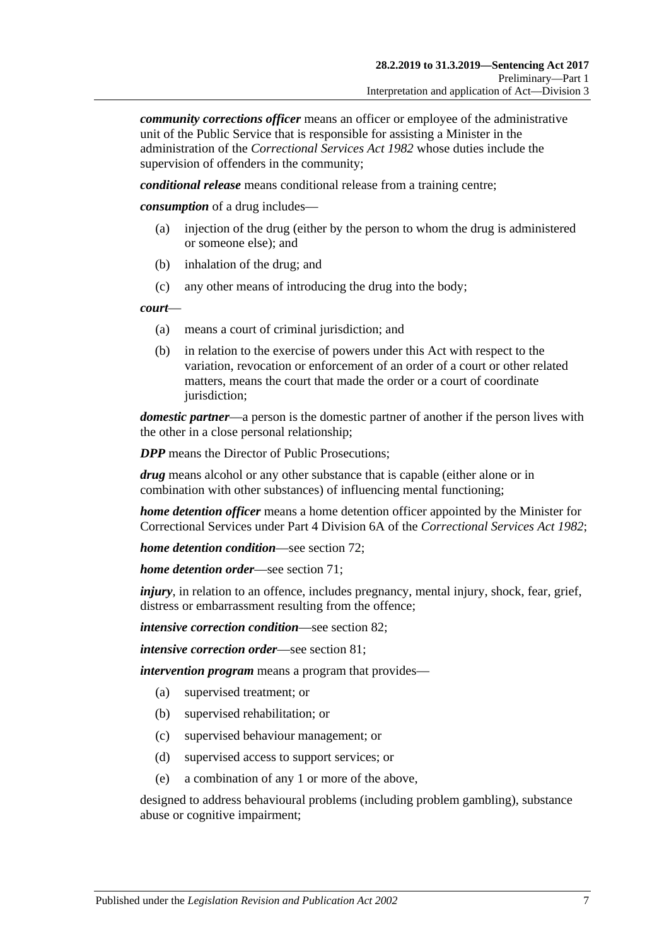*community corrections officer* means an officer or employee of the administrative unit of the Public Service that is responsible for assisting a Minister in the administration of the *[Correctional Services Act](http://www.legislation.sa.gov.au/index.aspx?action=legref&type=act&legtitle=Correctional%20Services%20Act%201982) 1982* whose duties include the supervision of offenders in the community;

*conditional release* means conditional release from a training centre;

*consumption* of a drug includes—

- (a) injection of the drug (either by the person to whom the drug is administered or someone else); and
- (b) inhalation of the drug; and
- (c) any other means of introducing the drug into the body;

*court*—

- (a) means a court of criminal jurisdiction; and
- (b) in relation to the exercise of powers under this Act with respect to the variation, revocation or enforcement of an order of a court or other related matters, means the court that made the order or a court of coordinate jurisdiction;

*domestic partner*—a person is the domestic partner of another if the person lives with the other in a close personal relationship;

*DPP* means the Director of Public Prosecutions:

*drug* means alcohol or any other substance that is capable (either alone or in combination with other substances) of influencing mental functioning;

*home detention officer* means a home detention officer appointed by the Minister for Correctional Services under Part 4 Division 6A of the *[Correctional Services Act](http://www.legislation.sa.gov.au/index.aspx?action=legref&type=act&legtitle=Correctional%20Services%20Act%201982) 1982*;

*home detention condition*—see [section](#page-60-0) 72;

*home detention order*—see [section](#page-57-0) 71;

*injury*, in relation to an offence, includes pregnancy, mental injury, shock, fear, grief, distress or embarrassment resulting from the offence;

*intensive correction condition*—see [section](#page-66-0) 82;

*intensive correction order*—see [section](#page-65-1) 81;

*intervention program* means a program that provides—

- (a) supervised treatment; or
- (b) supervised rehabilitation; or
- (c) supervised behaviour management; or
- (d) supervised access to support services; or
- (e) a combination of any 1 or more of the above,

designed to address behavioural problems (including problem gambling), substance abuse or cognitive impairment;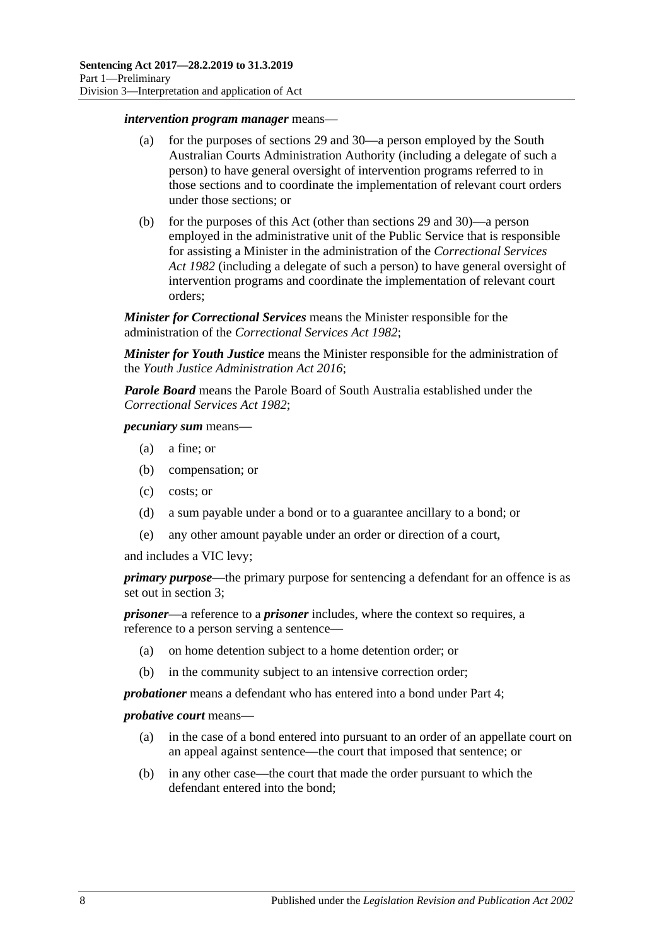#### *intervention program manager* means—

- (a) for the purposes of [sections](#page-22-0) 29 and [30—](#page-23-0)a person employed by the South Australian Courts Administration Authority (including a delegate of such a person) to have general oversight of intervention programs referred to in those sections and to coordinate the implementation of relevant court orders under those sections; or
- (b) for the purposes of this Act (other than [sections](#page-22-0) 29 and [30\)](#page-23-0)—a person employed in the administrative unit of the Public Service that is responsible for assisting a Minister in the administration of the *[Correctional Services](http://www.legislation.sa.gov.au/index.aspx?action=legref&type=act&legtitle=Correctional%20Services%20Act%201982)  Act [1982](http://www.legislation.sa.gov.au/index.aspx?action=legref&type=act&legtitle=Correctional%20Services%20Act%201982)* (including a delegate of such a person) to have general oversight of intervention programs and coordinate the implementation of relevant court orders;

*Minister for Correctional Services* means the Minister responsible for the administration of the *[Correctional Services Act](http://www.legislation.sa.gov.au/index.aspx?action=legref&type=act&legtitle=Correctional%20Services%20Act%201982) 1982*;

*Minister for Youth Justice* means the Minister responsible for the administration of the *[Youth Justice Administration Act](http://www.legislation.sa.gov.au/index.aspx?action=legref&type=act&legtitle=Youth%20Justice%20Administration%20Act%202016) 2016*;

*Parole Board* means the Parole Board of South Australia established under the *[Correctional Services Act](http://www.legislation.sa.gov.au/index.aspx?action=legref&type=act&legtitle=Correctional%20Services%20Act%201982) 1982*;

#### *pecuniary sum* means—

- (a) a fine; or
- (b) compensation; or
- (c) costs; or
- (d) a sum payable under a bond or to a guarantee ancillary to a bond; or
- (e) any other amount payable under an order or direction of a court,

and includes a VIC levy;

*primary purpose*—the primary purpose for sentencing a defendant for an offence is as set out in [section](#page-4-4) 3;

*prisoner*—a reference to a *prisoner* includes, where the context so requires, a reference to a person serving a sentence—

- (a) on home detention subject to a home detention order; or
- (b) in the community subject to an intensive correction order;

*probationer* means a defendant who has entered into a bond under [Part](#page-73-2) 4;

#### *probative court* means—

- (a) in the case of a bond entered into pursuant to an order of an appellate court on an appeal against sentence—the court that imposed that sentence; or
- (b) in any other case—the court that made the order pursuant to which the defendant entered into the bond;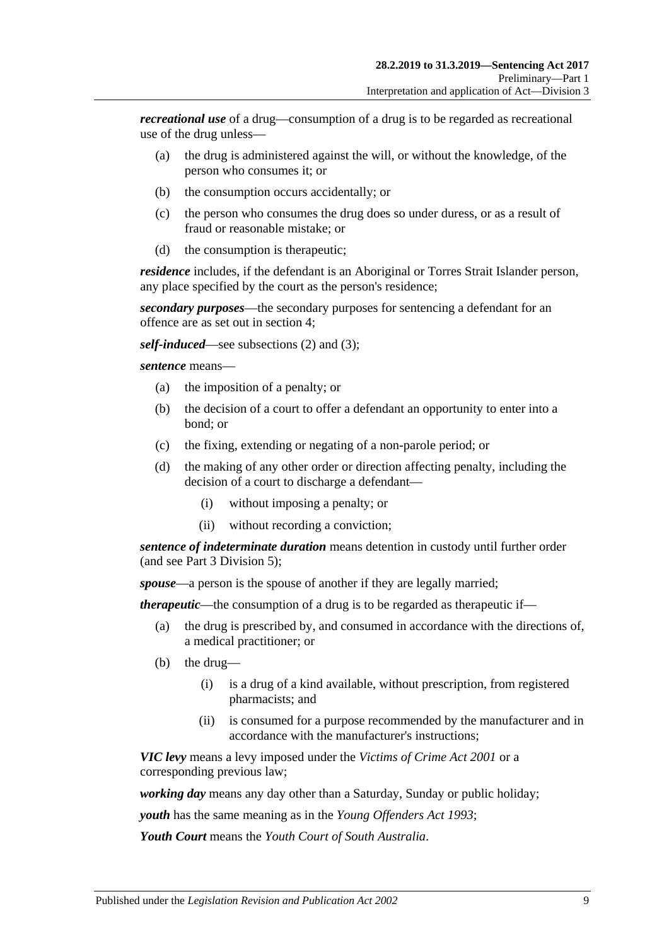*recreational use* of a drug—consumption of a drug is to be regarded as recreational use of the drug unless—

- (a) the drug is administered against the will, or without the knowledge, of the person who consumes it; or
- (b) the consumption occurs accidentally; or
- (c) the person who consumes the drug does so under duress, or as a result of fraud or reasonable mistake; or
- (d) the consumption is therapeutic;

*residence* includes, if the defendant is an Aboriginal or Torres Strait Islander person, any place specified by the court as the person's residence;

*secondary purposes*—the secondary purposes for sentencing a defendant for an offence are as set out in [section](#page-4-5) 4;

*self-induced*—see [subsections \(2\)](#page-9-1) and [\(3\);](#page-9-2)

*sentence* means—

- (a) the imposition of a penalty; or
- (b) the decision of a court to offer a defendant an opportunity to enter into a bond; or
- (c) the fixing, extending or negating of a non-parole period; or
- (d) the making of any other order or direction affecting penalty, including the decision of a court to discharge a defendant—
	- (i) without imposing a penalty; or
	- (ii) without recording a conviction;

*sentence of indeterminate duration* means detention in custody until further order (and see Part [3 Division](#page-46-1) 5);

*spouse*—a person is the spouse of another if they are legally married;

*therapeutic*—the consumption of a drug is to be regarded as therapeutic if—

- (a) the drug is prescribed by, and consumed in accordance with the directions of, a medical practitioner; or
- (b) the drug—
	- (i) is a drug of a kind available, without prescription, from registered pharmacists; and
	- (ii) is consumed for a purpose recommended by the manufacturer and in accordance with the manufacturer's instructions;

*VIC levy* means a levy imposed under the *[Victims of Crime Act](http://www.legislation.sa.gov.au/index.aspx?action=legref&type=act&legtitle=Victims%20of%20Crime%20Act%202001) 2001* or a corresponding previous law;

*working day* means any day other than a Saturday, Sunday or public holiday;

*youth* has the same meaning as in the *[Young Offenders Act](http://www.legislation.sa.gov.au/index.aspx?action=legref&type=act&legtitle=Young%20Offenders%20Act%201993) 1993*;

*Youth Court* means the *Youth Court of South Australia*.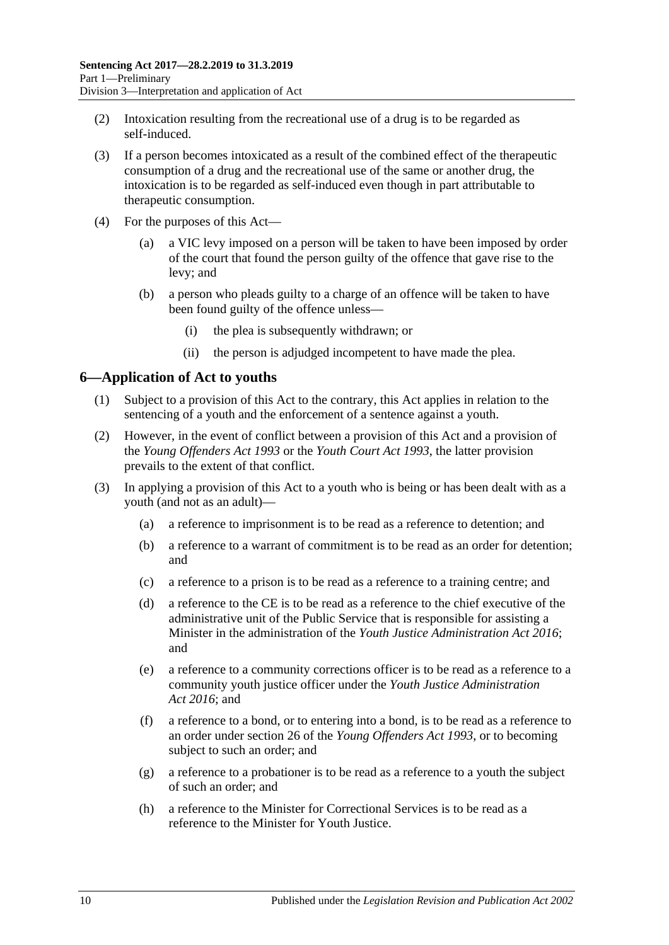- <span id="page-9-1"></span>(2) Intoxication resulting from the recreational use of a drug is to be regarded as self-induced.
- <span id="page-9-2"></span>(3) If a person becomes intoxicated as a result of the combined effect of the therapeutic consumption of a drug and the recreational use of the same or another drug, the intoxication is to be regarded as self-induced even though in part attributable to therapeutic consumption.
- (4) For the purposes of this Act—
	- (a) a VIC levy imposed on a person will be taken to have been imposed by order of the court that found the person guilty of the offence that gave rise to the levy; and
	- (b) a person who pleads guilty to a charge of an offence will be taken to have been found guilty of the offence unless—
		- (i) the plea is subsequently withdrawn; or
		- (ii) the person is adjudged incompetent to have made the plea.

#### <span id="page-9-0"></span>**6—Application of Act to youths**

- (1) Subject to a provision of this Act to the contrary, this Act applies in relation to the sentencing of a youth and the enforcement of a sentence against a youth.
- (2) However, in the event of conflict between a provision of this Act and a provision of the *[Young Offenders Act](http://www.legislation.sa.gov.au/index.aspx?action=legref&type=act&legtitle=Young%20Offenders%20Act%201993) 1993* or the *[Youth Court Act](http://www.legislation.sa.gov.au/index.aspx?action=legref&type=act&legtitle=Youth%20Court%20Act%201993) 1993*, the latter provision prevails to the extent of that conflict.
- (3) In applying a provision of this Act to a youth who is being or has been dealt with as a youth (and not as an adult)—
	- (a) a reference to imprisonment is to be read as a reference to detention; and
	- (b) a reference to a warrant of commitment is to be read as an order for detention; and
	- (c) a reference to a prison is to be read as a reference to a training centre; and
	- (d) a reference to the CE is to be read as a reference to the chief executive of the administrative unit of the Public Service that is responsible for assisting a Minister in the administration of the *[Youth Justice Administration Act](http://www.legislation.sa.gov.au/index.aspx?action=legref&type=act&legtitle=Youth%20Justice%20Administration%20Act%202016) 2016*; and
	- (e) a reference to a community corrections officer is to be read as a reference to a community youth justice officer under the *[Youth Justice Administration](http://www.legislation.sa.gov.au/index.aspx?action=legref&type=act&legtitle=Youth%20Justice%20Administration%20Act%202016)  Act [2016](http://www.legislation.sa.gov.au/index.aspx?action=legref&type=act&legtitle=Youth%20Justice%20Administration%20Act%202016)*; and
	- (f) a reference to a bond, or to entering into a bond, is to be read as a reference to an order under section 26 of the *[Young Offenders Act](http://www.legislation.sa.gov.au/index.aspx?action=legref&type=act&legtitle=Young%20Offenders%20Act%201993) 1993*, or to becoming subject to such an order; and
	- (g) a reference to a probationer is to be read as a reference to a youth the subject of such an order; and
	- (h) a reference to the Minister for Correctional Services is to be read as a reference to the Minister for Youth Justice.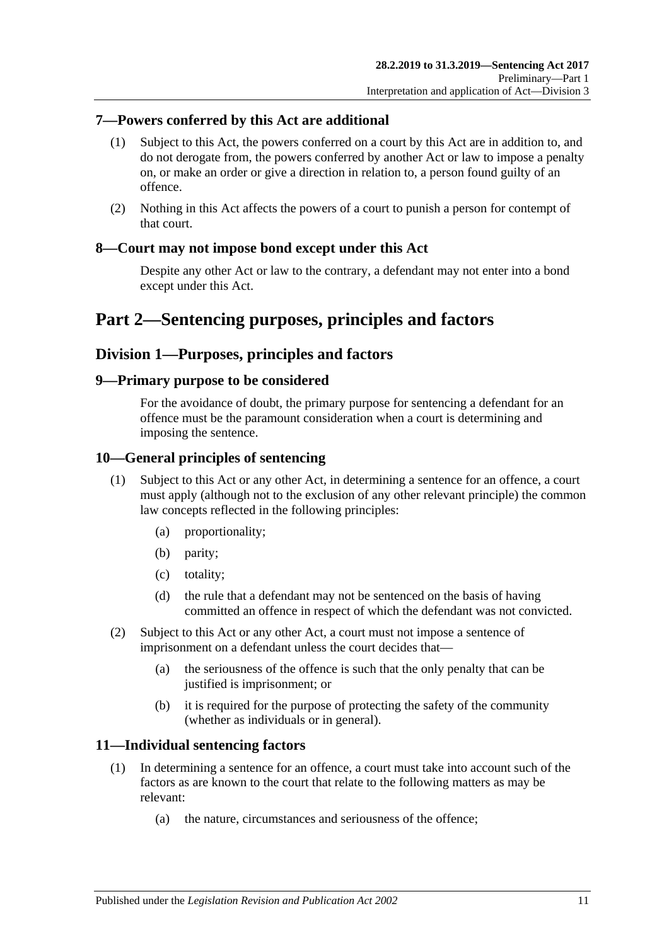### <span id="page-10-0"></span>**7—Powers conferred by this Act are additional**

- (1) Subject to this Act, the powers conferred on a court by this Act are in addition to, and do not derogate from, the powers conferred by another Act or law to impose a penalty on, or make an order or give a direction in relation to, a person found guilty of an offence.
- (2) Nothing in this Act affects the powers of a court to punish a person for contempt of that court.

### <span id="page-10-1"></span>**8—Court may not impose bond except under this Act**

Despite any other Act or law to the contrary, a defendant may not enter into a bond except under this Act.

## <span id="page-10-2"></span>**Part 2—Sentencing purposes, principles and factors**

## <span id="page-10-3"></span>**Division 1—Purposes, principles and factors**

#### <span id="page-10-4"></span>**9—Primary purpose to be considered**

For the avoidance of doubt, the primary purpose for sentencing a defendant for an offence must be the paramount consideration when a court is determining and imposing the sentence.

#### <span id="page-10-5"></span>**10—General principles of sentencing**

- (1) Subject to this Act or any other Act, in determining a sentence for an offence, a court must apply (although not to the exclusion of any other relevant principle) the common law concepts reflected in the following principles:
	- (a) proportionality;
	- (b) parity;
	- (c) totality;
	- (d) the rule that a defendant may not be sentenced on the basis of having committed an offence in respect of which the defendant was not convicted.
- (2) Subject to this Act or any other Act, a court must not impose a sentence of imprisonment on a defendant unless the court decides that—
	- (a) the seriousness of the offence is such that the only penalty that can be justified is imprisonment; or
	- (b) it is required for the purpose of protecting the safety of the community (whether as individuals or in general).

#### <span id="page-10-7"></span><span id="page-10-6"></span>**11—Individual sentencing factors**

- <span id="page-10-8"></span>(1) In determining a sentence for an offence, a court must take into account such of the factors as are known to the court that relate to the following matters as may be relevant:
	- (a) the nature, circumstances and seriousness of the offence;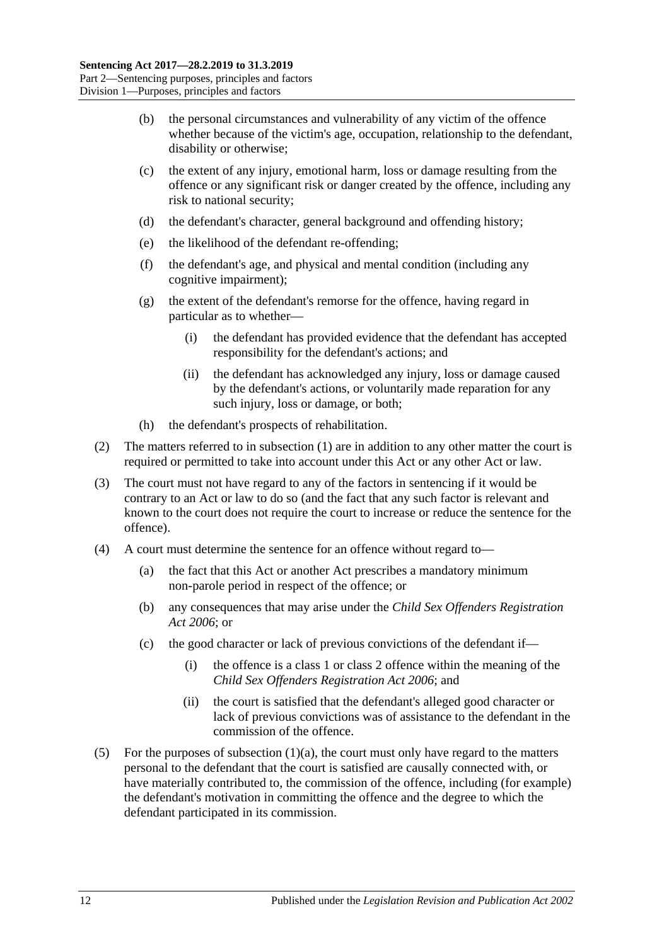- (b) the personal circumstances and vulnerability of any victim of the offence whether because of the victim's age, occupation, relationship to the defendant, disability or otherwise;
- (c) the extent of any injury, emotional harm, loss or damage resulting from the offence or any significant risk or danger created by the offence, including any risk to national security;
- (d) the defendant's character, general background and offending history;
- (e) the likelihood of the defendant re-offending;
- (f) the defendant's age, and physical and mental condition (including any cognitive impairment);
- (g) the extent of the defendant's remorse for the offence, having regard in particular as to whether—
	- (i) the defendant has provided evidence that the defendant has accepted responsibility for the defendant's actions; and
	- (ii) the defendant has acknowledged any injury, loss or damage caused by the defendant's actions, or voluntarily made reparation for any such injury, loss or damage, or both;
- (h) the defendant's prospects of rehabilitation.
- (2) The matters referred to in [subsection](#page-10-7) (1) are in addition to any other matter the court is required or permitted to take into account under this Act or any other Act or law.
- (3) The court must not have regard to any of the factors in sentencing if it would be contrary to an Act or law to do so (and the fact that any such factor is relevant and known to the court does not require the court to increase or reduce the sentence for the offence).
- (4) A court must determine the sentence for an offence without regard to—
	- (a) the fact that this Act or another Act prescribes a mandatory minimum non-parole period in respect of the offence; or
	- (b) any consequences that may arise under the *[Child Sex Offenders Registration](http://www.legislation.sa.gov.au/index.aspx?action=legref&type=act&legtitle=Child%20Sex%20Offenders%20Registration%20Act%202006)  Act [2006](http://www.legislation.sa.gov.au/index.aspx?action=legref&type=act&legtitle=Child%20Sex%20Offenders%20Registration%20Act%202006)*; or
	- (c) the good character or lack of previous convictions of the defendant if—
		- (i) the offence is a class 1 or class 2 offence within the meaning of the *[Child Sex Offenders Registration Act](http://www.legislation.sa.gov.au/index.aspx?action=legref&type=act&legtitle=Child%20Sex%20Offenders%20Registration%20Act%202006) 2006*; and
		- (ii) the court is satisfied that the defendant's alleged good character or lack of previous convictions was of assistance to the defendant in the commission of the offence.
- (5) For the purposes of [subsection](#page-10-8)  $(1)(a)$ , the court must only have regard to the matters personal to the defendant that the court is satisfied are causally connected with, or have materially contributed to, the commission of the offence, including (for example) the defendant's motivation in committing the offence and the degree to which the defendant participated in its commission.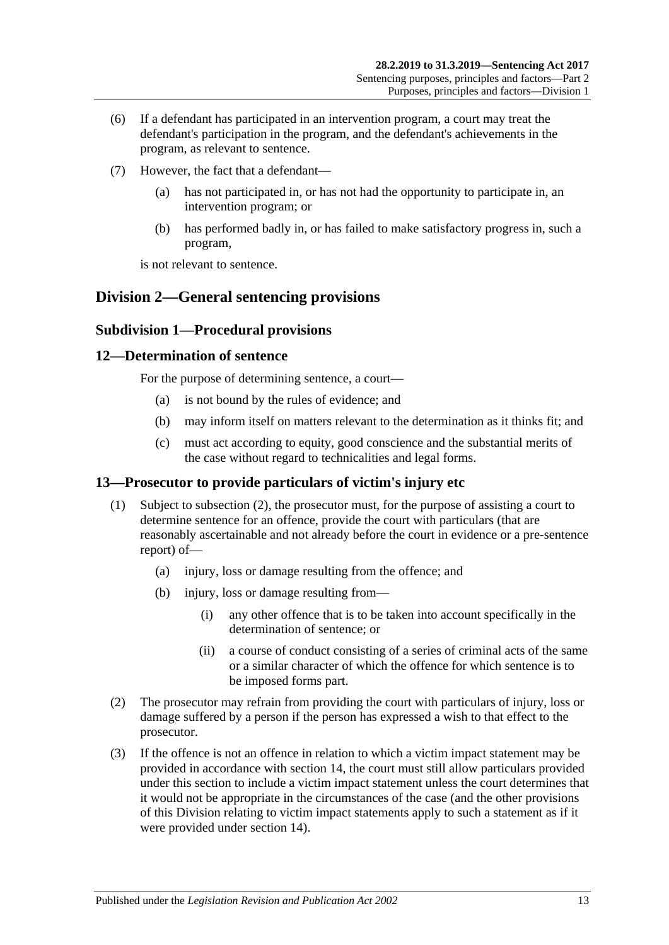- (6) If a defendant has participated in an intervention program, a court may treat the defendant's participation in the program, and the defendant's achievements in the program, as relevant to sentence.
- (7) However, the fact that a defendant
	- has not participated in, or has not had the opportunity to participate in, an intervention program; or
	- (b) has performed badly in, or has failed to make satisfactory progress in, such a program,

is not relevant to sentence.

## <span id="page-12-1"></span><span id="page-12-0"></span>**Division 2—General sentencing provisions**

#### **Subdivision 1—Procedural provisions**

#### <span id="page-12-2"></span>**12—Determination of sentence**

For the purpose of determining sentence, a court—

- (a) is not bound by the rules of evidence; and
- (b) may inform itself on matters relevant to the determination as it thinks fit; and
- (c) must act according to equity, good conscience and the substantial merits of the case without regard to technicalities and legal forms.

### <span id="page-12-3"></span>**13—Prosecutor to provide particulars of victim's injury etc**

- (1) Subject to [subsection](#page-12-4) (2), the prosecutor must, for the purpose of assisting a court to determine sentence for an offence, provide the court with particulars (that are reasonably ascertainable and not already before the court in evidence or a pre-sentence report) of—
	- (a) injury, loss or damage resulting from the offence; and
	- (b) injury, loss or damage resulting from—
		- (i) any other offence that is to be taken into account specifically in the determination of sentence; or
		- (ii) a course of conduct consisting of a series of criminal acts of the same or a similar character of which the offence for which sentence is to be imposed forms part.
- <span id="page-12-4"></span>(2) The prosecutor may refrain from providing the court with particulars of injury, loss or damage suffered by a person if the person has expressed a wish to that effect to the prosecutor.
- (3) If the offence is not an offence in relation to which a victim impact statement may be provided in accordance with [section](#page-13-0) 14, the court must still allow particulars provided under this section to include a victim impact statement unless the court determines that it would not be appropriate in the circumstances of the case (and the other provisions of this Division relating to victim impact statements apply to such a statement as if it were provided under [section](#page-13-0) 14).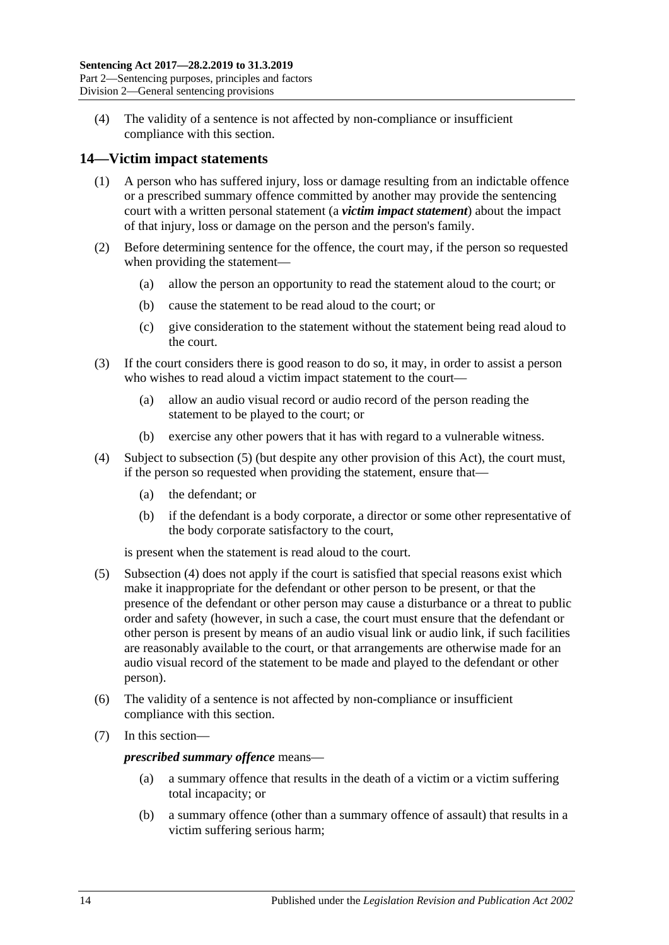(4) The validity of a sentence is not affected by non-compliance or insufficient compliance with this section.

### <span id="page-13-0"></span>**14—Victim impact statements**

- (1) A person who has suffered injury, loss or damage resulting from an indictable offence or a prescribed summary offence committed by another may provide the sentencing court with a written personal statement (a *victim impact statement*) about the impact of that injury, loss or damage on the person and the person's family.
- (2) Before determining sentence for the offence, the court may, if the person so requested when providing the statement—
	- (a) allow the person an opportunity to read the statement aloud to the court; or
	- (b) cause the statement to be read aloud to the court; or
	- (c) give consideration to the statement without the statement being read aloud to the court.
- (3) If the court considers there is good reason to do so, it may, in order to assist a person who wishes to read aloud a victim impact statement to the court—
	- (a) allow an audio visual record or audio record of the person reading the statement to be played to the court; or
	- (b) exercise any other powers that it has with regard to a vulnerable witness.
- <span id="page-13-2"></span>(4) Subject to [subsection](#page-13-1) (5) (but despite any other provision of this Act), the court must, if the person so requested when providing the statement, ensure that—
	- (a) the defendant; or
	- (b) if the defendant is a body corporate, a director or some other representative of the body corporate satisfactory to the court,

is present when the statement is read aloud to the court.

- <span id="page-13-1"></span>(5) [Subsection](#page-13-2) (4) does not apply if the court is satisfied that special reasons exist which make it inappropriate for the defendant or other person to be present, or that the presence of the defendant or other person may cause a disturbance or a threat to public order and safety (however, in such a case, the court must ensure that the defendant or other person is present by means of an audio visual link or audio link, if such facilities are reasonably available to the court, or that arrangements are otherwise made for an audio visual record of the statement to be made and played to the defendant or other person).
- (6) The validity of a sentence is not affected by non-compliance or insufficient compliance with this section.
- (7) In this section—

*prescribed summary offence* means—

- (a) a summary offence that results in the death of a victim or a victim suffering total incapacity; or
- (b) a summary offence (other than a summary offence of assault) that results in a victim suffering serious harm;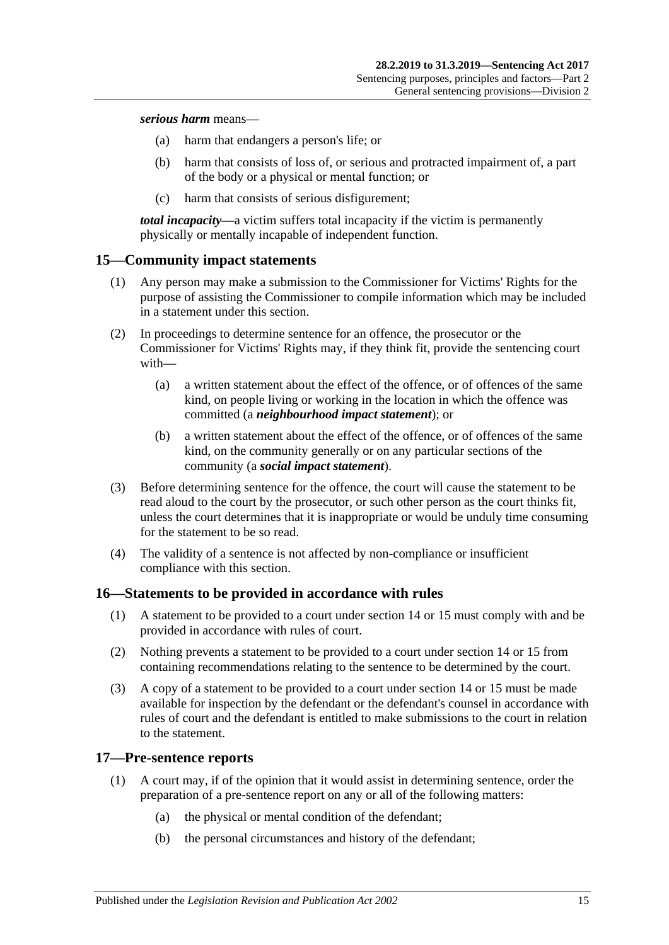#### *serious harm* means—

- (a) harm that endangers a person's life; or
- (b) harm that consists of loss of, or serious and protracted impairment of, a part of the body or a physical or mental function; or
- (c) harm that consists of serious disfigurement;

*total incapacity*—a victim suffers total incapacity if the victim is permanently physically or mentally incapable of independent function.

### <span id="page-14-0"></span>**15—Community impact statements**

- (1) Any person may make a submission to the Commissioner for Victims' Rights for the purpose of assisting the Commissioner to compile information which may be included in a statement under this section.
- (2) In proceedings to determine sentence for an offence, the prosecutor or the Commissioner for Victims' Rights may, if they think fit, provide the sentencing court with—
	- (a) a written statement about the effect of the offence, or of offences of the same kind, on people living or working in the location in which the offence was committed (a *neighbourhood impact statement*); or
	- (b) a written statement about the effect of the offence, or of offences of the same kind, on the community generally or on any particular sections of the community (a *social impact statement*).
- (3) Before determining sentence for the offence, the court will cause the statement to be read aloud to the court by the prosecutor, or such other person as the court thinks fit, unless the court determines that it is inappropriate or would be unduly time consuming for the statement to be so read.
- (4) The validity of a sentence is not affected by non-compliance or insufficient compliance with this section.

### <span id="page-14-1"></span>**16—Statements to be provided in accordance with rules**

- (1) A statement to be provided to a court under [section](#page-13-0) 14 or [15](#page-14-0) must comply with and be provided in accordance with rules of court.
- (2) Nothing prevents a statement to be provided to a court under [section](#page-13-0) 14 or [15](#page-14-0) from containing recommendations relating to the sentence to be determined by the court.
- (3) A copy of a statement to be provided to a court under [section](#page-13-0) 14 or [15](#page-14-0) must be made available for inspection by the defendant or the defendant's counsel in accordance with rules of court and the defendant is entitled to make submissions to the court in relation to the statement.

### <span id="page-14-2"></span>**17—Pre-sentence reports**

- (1) A court may, if of the opinion that it would assist in determining sentence, order the preparation of a pre-sentence report on any or all of the following matters:
	- (a) the physical or mental condition of the defendant;
	- (b) the personal circumstances and history of the defendant;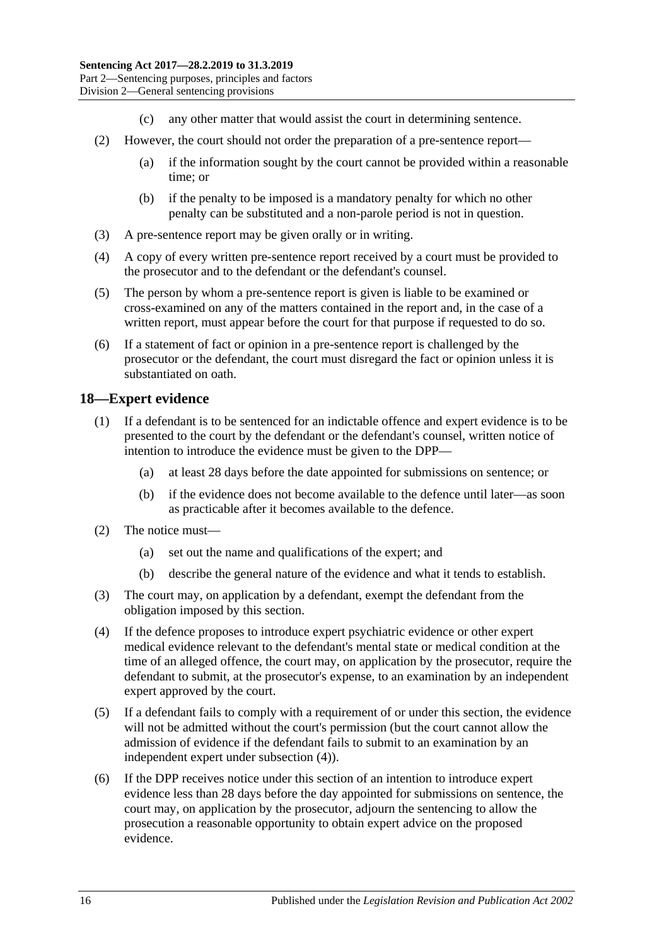- (c) any other matter that would assist the court in determining sentence.
- (2) However, the court should not order the preparation of a pre-sentence report—
	- (a) if the information sought by the court cannot be provided within a reasonable time; or
	- (b) if the penalty to be imposed is a mandatory penalty for which no other penalty can be substituted and a non-parole period is not in question.
- (3) A pre-sentence report may be given orally or in writing.
- (4) A copy of every written pre-sentence report received by a court must be provided to the prosecutor and to the defendant or the defendant's counsel.
- (5) The person by whom a pre-sentence report is given is liable to be examined or cross-examined on any of the matters contained in the report and, in the case of a written report, must appear before the court for that purpose if requested to do so.
- (6) If a statement of fact or opinion in a pre-sentence report is challenged by the prosecutor or the defendant, the court must disregard the fact or opinion unless it is substantiated on oath.

### <span id="page-15-0"></span>**18—Expert evidence**

- (1) If a defendant is to be sentenced for an indictable offence and expert evidence is to be presented to the court by the defendant or the defendant's counsel, written notice of intention to introduce the evidence must be given to the DPP—
	- (a) at least 28 days before the date appointed for submissions on sentence; or
	- (b) if the evidence does not become available to the defence until later—as soon as practicable after it becomes available to the defence.
- (2) The notice must—
	- (a) set out the name and qualifications of the expert; and
	- (b) describe the general nature of the evidence and what it tends to establish.
- (3) The court may, on application by a defendant, exempt the defendant from the obligation imposed by this section.
- <span id="page-15-1"></span>(4) If the defence proposes to introduce expert psychiatric evidence or other expert medical evidence relevant to the defendant's mental state or medical condition at the time of an alleged offence, the court may, on application by the prosecutor, require the defendant to submit, at the prosecutor's expense, to an examination by an independent expert approved by the court.
- (5) If a defendant fails to comply with a requirement of or under this section, the evidence will not be admitted without the court's permission (but the court cannot allow the admission of evidence if the defendant fails to submit to an examination by an independent expert under [subsection](#page-15-1) (4)).
- <span id="page-15-2"></span>(6) If the DPP receives notice under this section of an intention to introduce expert evidence less than 28 days before the day appointed for submissions on sentence, the court may, on application by the prosecutor, adjourn the sentencing to allow the prosecution a reasonable opportunity to obtain expert advice on the proposed evidence.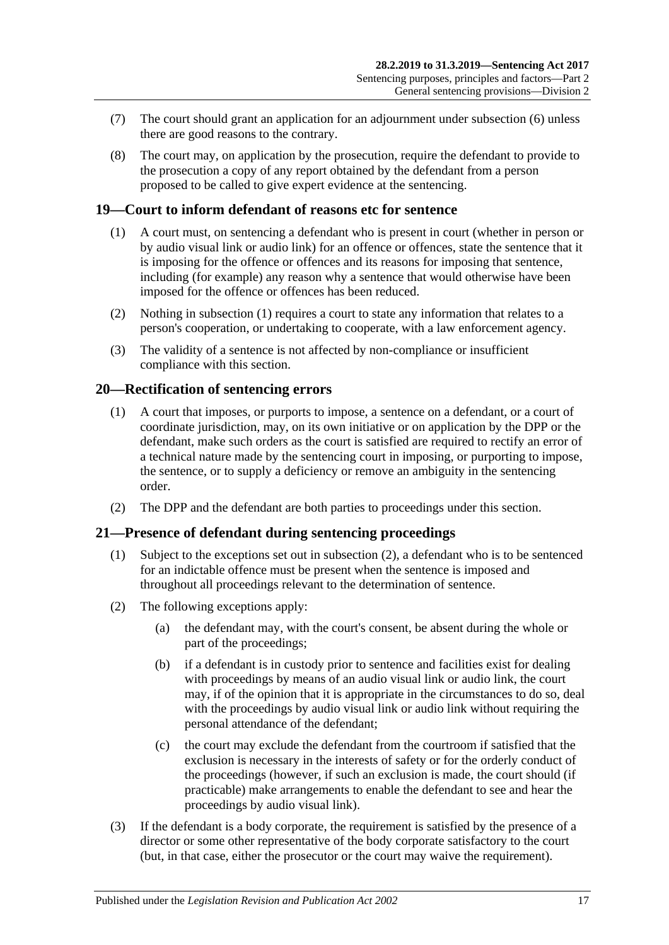- (7) The court should grant an application for an adjournment under [subsection](#page-15-2) (6) unless there are good reasons to the contrary.
- (8) The court may, on application by the prosecution, require the defendant to provide to the prosecution a copy of any report obtained by the defendant from a person proposed to be called to give expert evidence at the sentencing.

### <span id="page-16-3"></span><span id="page-16-0"></span>**19—Court to inform defendant of reasons etc for sentence**

- (1) A court must, on sentencing a defendant who is present in court (whether in person or by audio visual link or audio link) for an offence or offences, state the sentence that it is imposing for the offence or offences and its reasons for imposing that sentence, including (for example) any reason why a sentence that would otherwise have been imposed for the offence or offences has been reduced.
- (2) Nothing in [subsection](#page-16-3) (1) requires a court to state any information that relates to a person's cooperation, or undertaking to cooperate, with a law enforcement agency.
- (3) The validity of a sentence is not affected by non-compliance or insufficient compliance with this section.

#### <span id="page-16-1"></span>**20—Rectification of sentencing errors**

- (1) A court that imposes, or purports to impose, a sentence on a defendant, or a court of coordinate jurisdiction, may, on its own initiative or on application by the DPP or the defendant, make such orders as the court is satisfied are required to rectify an error of a technical nature made by the sentencing court in imposing, or purporting to impose, the sentence, or to supply a deficiency or remove an ambiguity in the sentencing order.
- (2) The DPP and the defendant are both parties to proceedings under this section.

#### <span id="page-16-2"></span>**21—Presence of defendant during sentencing proceedings**

- (1) Subject to the exceptions set out in [subsection](#page-16-4) (2), a defendant who is to be sentenced for an indictable offence must be present when the sentence is imposed and throughout all proceedings relevant to the determination of sentence.
- <span id="page-16-4"></span>(2) The following exceptions apply:
	- (a) the defendant may, with the court's consent, be absent during the whole or part of the proceedings;
	- (b) if a defendant is in custody prior to sentence and facilities exist for dealing with proceedings by means of an audio visual link or audio link, the court may, if of the opinion that it is appropriate in the circumstances to do so, deal with the proceedings by audio visual link or audio link without requiring the personal attendance of the defendant;
	- (c) the court may exclude the defendant from the courtroom if satisfied that the exclusion is necessary in the interests of safety or for the orderly conduct of the proceedings (however, if such an exclusion is made, the court should (if practicable) make arrangements to enable the defendant to see and hear the proceedings by audio visual link).
- (3) If the defendant is a body corporate, the requirement is satisfied by the presence of a director or some other representative of the body corporate satisfactory to the court (but, in that case, either the prosecutor or the court may waive the requirement).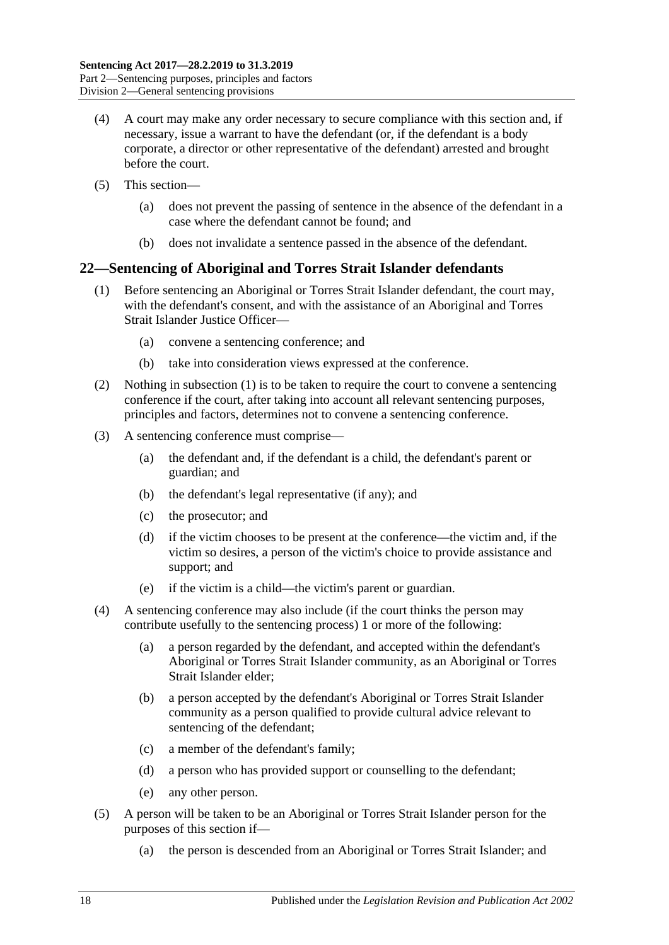- (4) A court may make any order necessary to secure compliance with this section and, if necessary, issue a warrant to have the defendant (or, if the defendant is a body corporate, a director or other representative of the defendant) arrested and brought before the court.
- (5) This section—
	- (a) does not prevent the passing of sentence in the absence of the defendant in a case where the defendant cannot be found; and
	- (b) does not invalidate a sentence passed in the absence of the defendant.

## <span id="page-17-1"></span><span id="page-17-0"></span>**22—Sentencing of Aboriginal and Torres Strait Islander defendants**

- (1) Before sentencing an Aboriginal or Torres Strait Islander defendant, the court may, with the defendant's consent, and with the assistance of an Aboriginal and Torres Strait Islander Justice Officer—
	- (a) convene a sentencing conference; and
	- (b) take into consideration views expressed at the conference.
- (2) Nothing in [subsection](#page-17-1) (1) is to be taken to require the court to convene a sentencing conference if the court, after taking into account all relevant sentencing purposes, principles and factors, determines not to convene a sentencing conference.
- (3) A sentencing conference must comprise—
	- (a) the defendant and, if the defendant is a child, the defendant's parent or guardian; and
	- (b) the defendant's legal representative (if any); and
	- (c) the prosecutor; and
	- (d) if the victim chooses to be present at the conference—the victim and, if the victim so desires, a person of the victim's choice to provide assistance and support; and
	- (e) if the victim is a child—the victim's parent or guardian.
- (4) A sentencing conference may also include (if the court thinks the person may contribute usefully to the sentencing process) 1 or more of the following:
	- (a) a person regarded by the defendant, and accepted within the defendant's Aboriginal or Torres Strait Islander community, as an Aboriginal or Torres Strait Islander elder;
	- (b) a person accepted by the defendant's Aboriginal or Torres Strait Islander community as a person qualified to provide cultural advice relevant to sentencing of the defendant;
	- (c) a member of the defendant's family;
	- (d) a person who has provided support or counselling to the defendant;
	- (e) any other person.
- (5) A person will be taken to be an Aboriginal or Torres Strait Islander person for the purposes of this section if—
	- (a) the person is descended from an Aboriginal or Torres Strait Islander; and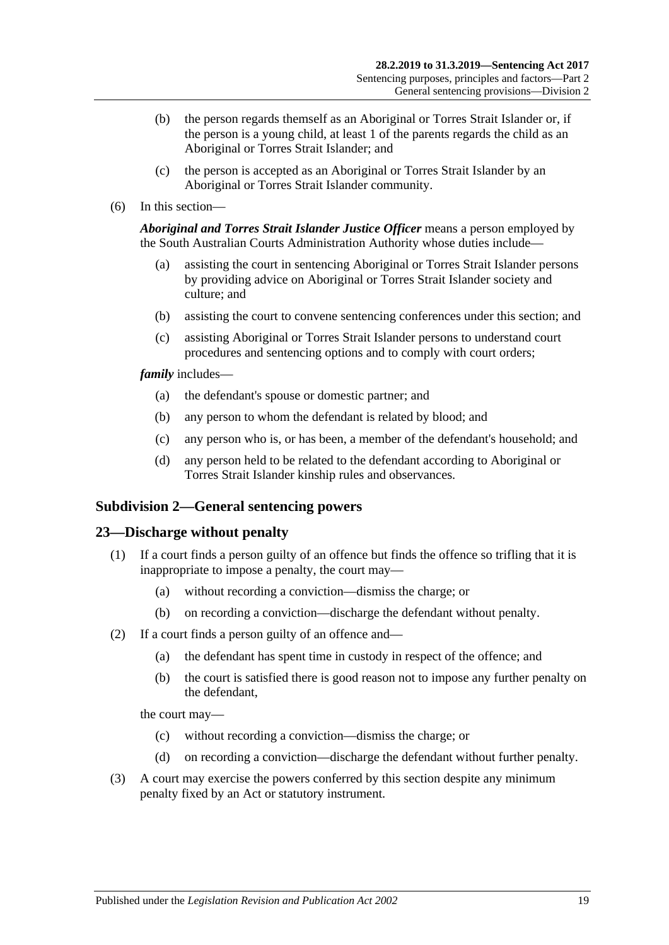- (b) the person regards themself as an Aboriginal or Torres Strait Islander or, if the person is a young child, at least 1 of the parents regards the child as an Aboriginal or Torres Strait Islander; and
- (c) the person is accepted as an Aboriginal or Torres Strait Islander by an Aboriginal or Torres Strait Islander community.
- (6) In this section—

*Aboriginal and Torres Strait Islander Justice Officer* means a person employed by the South Australian Courts Administration Authority whose duties include—

- (a) assisting the court in sentencing Aboriginal or Torres Strait Islander persons by providing advice on Aboriginal or Torres Strait Islander society and culture; and
- (b) assisting the court to convene sentencing conferences under this section; and
- (c) assisting Aboriginal or Torres Strait Islander persons to understand court procedures and sentencing options and to comply with court orders;

*family* includes—

- (a) the defendant's spouse or domestic partner; and
- (b) any person to whom the defendant is related by blood; and
- (c) any person who is, or has been, a member of the defendant's household; and
- (d) any person held to be related to the defendant according to Aboriginal or Torres Strait Islander kinship rules and observances.

#### <span id="page-18-0"></span>**Subdivision 2—General sentencing powers**

#### <span id="page-18-1"></span>**23—Discharge without penalty**

- (1) If a court finds a person guilty of an offence but finds the offence so trifling that it is inappropriate to impose a penalty, the court may—
	- (a) without recording a conviction—dismiss the charge; or
	- (b) on recording a conviction—discharge the defendant without penalty.
- (2) If a court finds a person guilty of an offence and—
	- (a) the defendant has spent time in custody in respect of the offence; and
	- (b) the court is satisfied there is good reason not to impose any further penalty on the defendant,

the court may—

- (c) without recording a conviction—dismiss the charge; or
- (d) on recording a conviction—discharge the defendant without further penalty.
- (3) A court may exercise the powers conferred by this section despite any minimum penalty fixed by an Act or statutory instrument.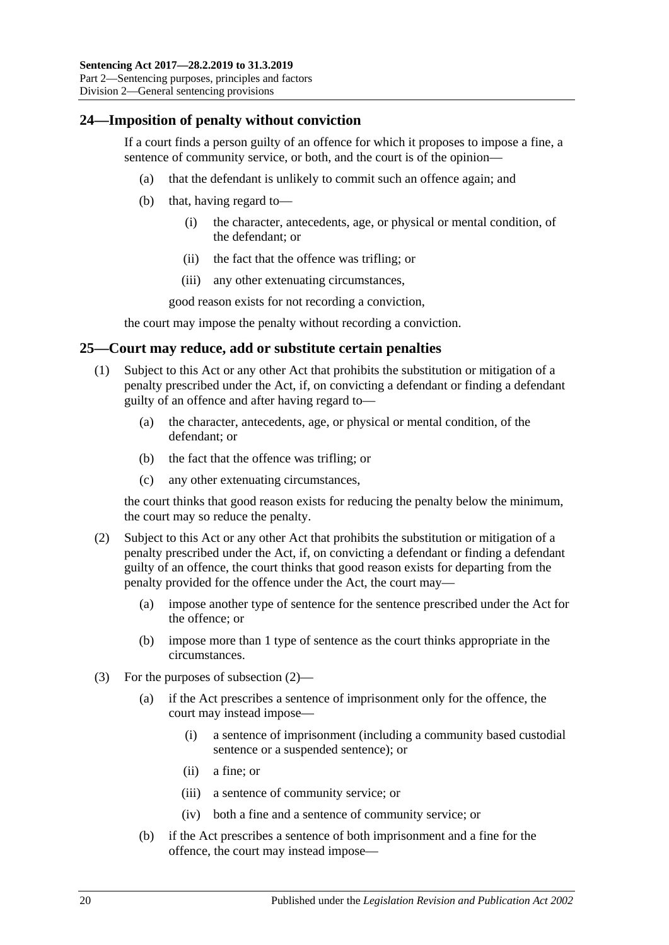### <span id="page-19-0"></span>**24—Imposition of penalty without conviction**

If a court finds a person guilty of an offence for which it proposes to impose a fine, a sentence of community service, or both, and the court is of the opinion—

- (a) that the defendant is unlikely to commit such an offence again; and
- (b) that, having regard to—
	- (i) the character, antecedents, age, or physical or mental condition, of the defendant; or
	- (ii) the fact that the offence was trifling; or
	- (iii) any other extenuating circumstances,

good reason exists for not recording a conviction,

the court may impose the penalty without recording a conviction.

#### <span id="page-19-1"></span>**25—Court may reduce, add or substitute certain penalties**

- (1) Subject to this Act or any other Act that prohibits the substitution or mitigation of a penalty prescribed under the Act, if, on convicting a defendant or finding a defendant guilty of an offence and after having regard to—
	- (a) the character, antecedents, age, or physical or mental condition, of the defendant; or
	- (b) the fact that the offence was trifling; or
	- (c) any other extenuating circumstances,

the court thinks that good reason exists for reducing the penalty below the minimum, the court may so reduce the penalty.

- <span id="page-19-2"></span>(2) Subject to this Act or any other Act that prohibits the substitution or mitigation of a penalty prescribed under the Act, if, on convicting a defendant or finding a defendant guilty of an offence, the court thinks that good reason exists for departing from the penalty provided for the offence under the Act, the court may—
	- (a) impose another type of sentence for the sentence prescribed under the Act for the offence; or
	- (b) impose more than 1 type of sentence as the court thinks appropriate in the circumstances.
- (3) For the purposes of [subsection](#page-19-2) (2)—
	- (a) if the Act prescribes a sentence of imprisonment only for the offence, the court may instead impose—
		- (i) a sentence of imprisonment (including a community based custodial sentence or a suspended sentence); or
		- (ii) a fine; or
		- (iii) a sentence of community service; or
		- (iv) both a fine and a sentence of community service; or
	- (b) if the Act prescribes a sentence of both imprisonment and a fine for the offence, the court may instead impose—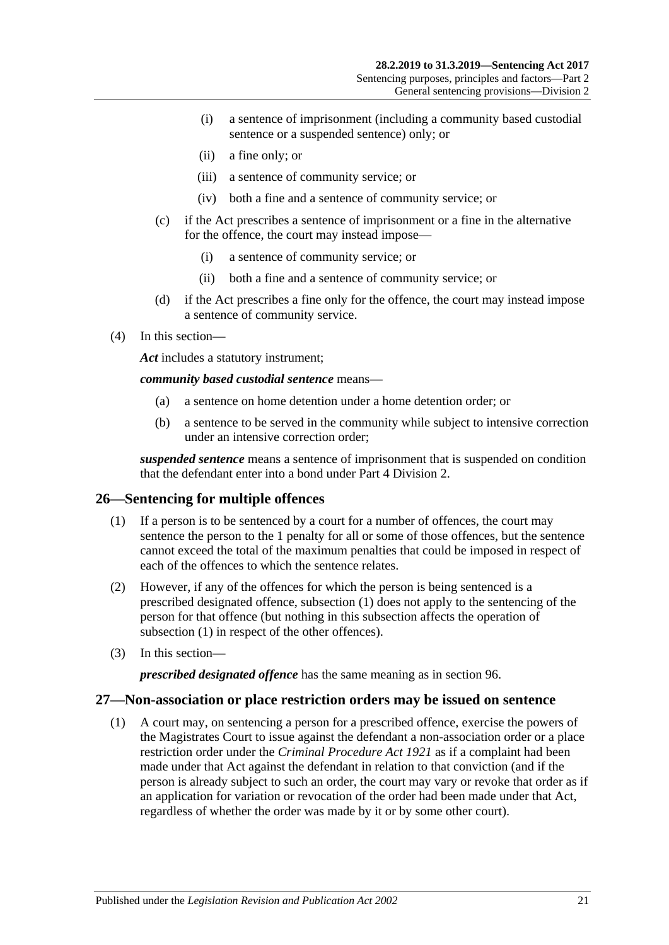- (i) a sentence of imprisonment (including a community based custodial sentence or a suspended sentence) only; or
- (ii) a fine only; or
- (iii) a sentence of community service; or
- (iv) both a fine and a sentence of community service; or
- (c) if the Act prescribes a sentence of imprisonment or a fine in the alternative for the offence, the court may instead impose—
	- (i) a sentence of community service; or
	- (ii) both a fine and a sentence of community service; or
- (d) if the Act prescribes a fine only for the offence, the court may instead impose a sentence of community service.
- (4) In this section—

*Act* includes a statutory instrument;

*community based custodial sentence* means—

- (a) a sentence on home detention under a home detention order; or
- (b) a sentence to be served in the community while subject to intensive correction under an intensive correction order;

*suspended sentence* means a sentence of imprisonment that is suspended on condition that the defendant enter into a bond under Part [4 Division](#page-74-0) 2.

#### <span id="page-20-2"></span><span id="page-20-0"></span>**26—Sentencing for multiple offences**

- (1) If a person is to be sentenced by a court for a number of offences, the court may sentence the person to the 1 penalty for all or some of those offences, but the sentence cannot exceed the total of the maximum penalties that could be imposed in respect of each of the offences to which the sentence relates.
- (2) However, if any of the offences for which the person is being sentenced is a prescribed designated offence, [subsection](#page-20-2) (1) does not apply to the sentencing of the person for that offence (but nothing in this subsection affects the operation of [subsection](#page-20-2) (1) in respect of the other offences).
- (3) In this section—

*prescribed designated offence* has the same meaning as in [section](#page-74-1) 96.

#### <span id="page-20-1"></span>**27—Non-association or place restriction orders may be issued on sentence**

(1) A court may, on sentencing a person for a prescribed offence, exercise the powers of the Magistrates Court to issue against the defendant a non-association order or a place restriction order under the *[Criminal Procedure Act](http://www.legislation.sa.gov.au/index.aspx?action=legref&type=act&legtitle=Criminal%20Procedure%20Act%201921) 1921* as if a complaint had been made under that Act against the defendant in relation to that conviction (and if the person is already subject to such an order, the court may vary or revoke that order as if an application for variation or revocation of the order had been made under that Act, regardless of whether the order was made by it or by some other court).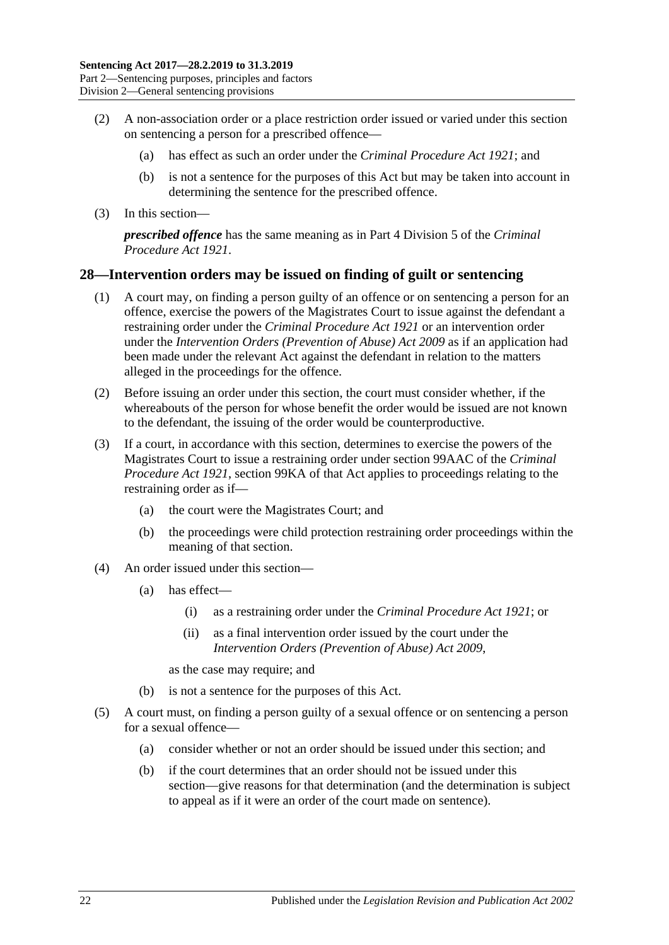- (2) A non-association order or a place restriction order issued or varied under this section on sentencing a person for a prescribed offence—
	- (a) has effect as such an order under the *[Criminal Procedure Act](http://www.legislation.sa.gov.au/index.aspx?action=legref&type=act&legtitle=Criminal%20Procedure%20Act%201921) 1921*; and
	- (b) is not a sentence for the purposes of this Act but may be taken into account in determining the sentence for the prescribed offence.
- (3) In this section—

*prescribed offence* has the same meaning as in Part 4 Division 5 of the *[Criminal](http://www.legislation.sa.gov.au/index.aspx?action=legref&type=act&legtitle=Criminal%20Procedure%20Act%201921)  [Procedure Act](http://www.legislation.sa.gov.au/index.aspx?action=legref&type=act&legtitle=Criminal%20Procedure%20Act%201921) 1921*.

#### <span id="page-21-0"></span>**28—Intervention orders may be issued on finding of guilt or sentencing**

- (1) A court may, on finding a person guilty of an offence or on sentencing a person for an offence, exercise the powers of the Magistrates Court to issue against the defendant a restraining order under the *[Criminal Procedure](http://www.legislation.sa.gov.au/index.aspx?action=legref&type=act&legtitle=Criminal%20Procedure%20Act%201921) Act 1921* or an intervention order under the *[Intervention Orders \(Prevention of Abuse\) Act](http://www.legislation.sa.gov.au/index.aspx?action=legref&type=act&legtitle=Intervention%20Orders%20(Prevention%20of%20Abuse)%20Act%202009) 2009* as if an application had been made under the relevant Act against the defendant in relation to the matters alleged in the proceedings for the offence.
- (2) Before issuing an order under this section, the court must consider whether, if the whereabouts of the person for whose benefit the order would be issued are not known to the defendant, the issuing of the order would be counterproductive.
- (3) If a court, in accordance with this section, determines to exercise the powers of the Magistrates Court to issue a restraining order under section 99AAC of the *[Criminal](http://www.legislation.sa.gov.au/index.aspx?action=legref&type=act&legtitle=Criminal%20Procedure%20Act%201921)  [Procedure Act](http://www.legislation.sa.gov.au/index.aspx?action=legref&type=act&legtitle=Criminal%20Procedure%20Act%201921) 1921*, section 99KA of that Act applies to proceedings relating to the restraining order as if—
	- (a) the court were the Magistrates Court; and
	- (b) the proceedings were child protection restraining order proceedings within the meaning of that section.
- (4) An order issued under this section—
	- (a) has effect—
		- (i) as a restraining order under the *[Criminal Procedure Act](http://www.legislation.sa.gov.au/index.aspx?action=legref&type=act&legtitle=Criminal%20Procedure%20Act%201921) 1921*; or
		- (ii) as a final intervention order issued by the court under the *[Intervention Orders \(Prevention of Abuse\) Act](http://www.legislation.sa.gov.au/index.aspx?action=legref&type=act&legtitle=Intervention%20Orders%20(Prevention%20of%20Abuse)%20Act%202009) 2009*,

as the case may require; and

- (b) is not a sentence for the purposes of this Act.
- (5) A court must, on finding a person guilty of a sexual offence or on sentencing a person for a sexual offence—
	- (a) consider whether or not an order should be issued under this section; and
	- (b) if the court determines that an order should not be issued under this section—give reasons for that determination (and the determination is subject to appeal as if it were an order of the court made on sentence).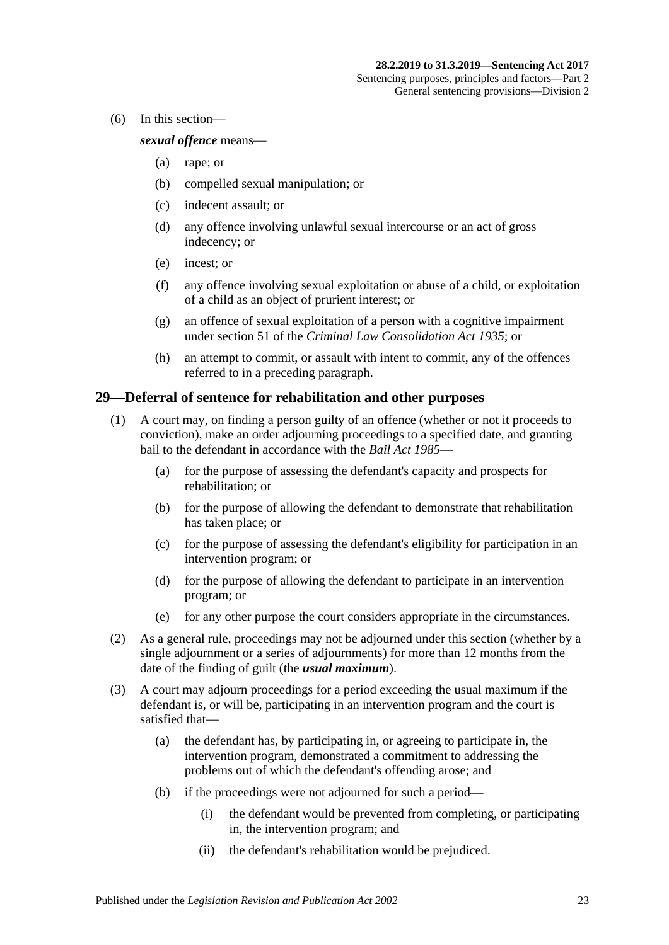(6) In this section—

#### *sexual offence* means—

- (a) rape; or
- (b) compelled sexual manipulation; or
- (c) indecent assault; or
- (d) any offence involving unlawful sexual intercourse or an act of gross indecency; or
- (e) incest; or
- (f) any offence involving sexual exploitation or abuse of a child, or exploitation of a child as an object of prurient interest; or
- (g) an offence of sexual exploitation of a person with a cognitive impairment under section 51 of the *[Criminal Law Consolidation Act](http://www.legislation.sa.gov.au/index.aspx?action=legref&type=act&legtitle=Criminal%20Law%20Consolidation%20Act%201935) 1935*; or
- (h) an attempt to commit, or assault with intent to commit, any of the offences referred to in a preceding paragraph.

#### <span id="page-22-0"></span>**29—Deferral of sentence for rehabilitation and other purposes**

- (1) A court may, on finding a person guilty of an offence (whether or not it proceeds to conviction), make an order adjourning proceedings to a specified date, and granting bail to the defendant in accordance with the *[Bail Act](http://www.legislation.sa.gov.au/index.aspx?action=legref&type=act&legtitle=Bail%20Act%201985) 1985*—
	- (a) for the purpose of assessing the defendant's capacity and prospects for rehabilitation; or
	- (b) for the purpose of allowing the defendant to demonstrate that rehabilitation has taken place; or
	- (c) for the purpose of assessing the defendant's eligibility for participation in an intervention program; or
	- (d) for the purpose of allowing the defendant to participate in an intervention program; or
	- (e) for any other purpose the court considers appropriate in the circumstances.
- (2) As a general rule, proceedings may not be adjourned under this section (whether by a single adjournment or a series of adjournments) for more than 12 months from the date of the finding of guilt (the *usual maximum*).
- (3) A court may adjourn proceedings for a period exceeding the usual maximum if the defendant is, or will be, participating in an intervention program and the court is satisfied that—
	- (a) the defendant has, by participating in, or agreeing to participate in, the intervention program, demonstrated a commitment to addressing the problems out of which the defendant's offending arose; and
	- (b) if the proceedings were not adjourned for such a period—
		- (i) the defendant would be prevented from completing, or participating in, the intervention program; and
		- (ii) the defendant's rehabilitation would be prejudiced.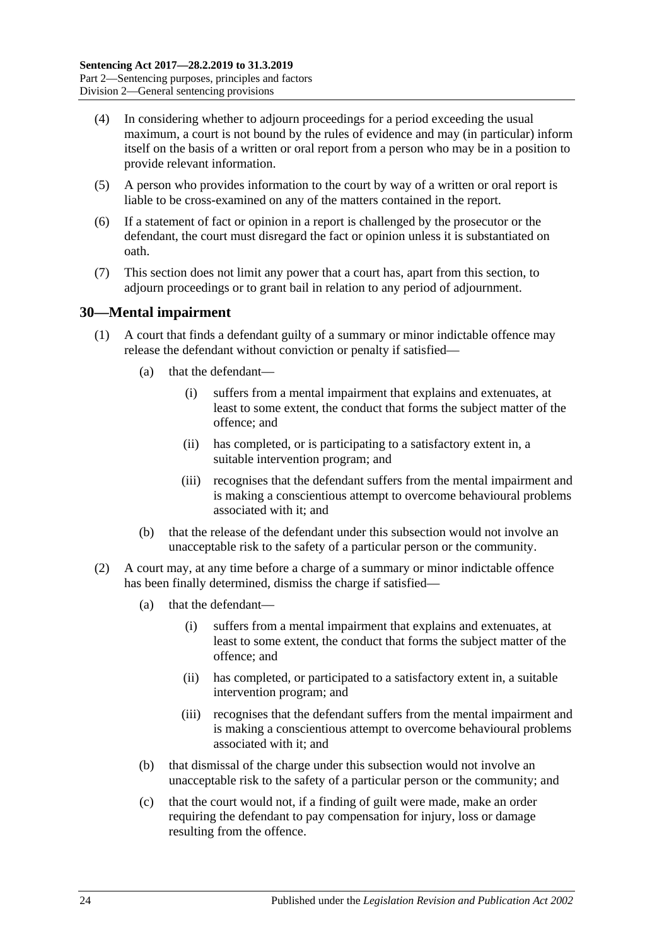- (4) In considering whether to adjourn proceedings for a period exceeding the usual maximum, a court is not bound by the rules of evidence and may (in particular) inform itself on the basis of a written or oral report from a person who may be in a position to provide relevant information.
- (5) A person who provides information to the court by way of a written or oral report is liable to be cross-examined on any of the matters contained in the report.
- (6) If a statement of fact or opinion in a report is challenged by the prosecutor or the defendant, the court must disregard the fact or opinion unless it is substantiated on oath.
- (7) This section does not limit any power that a court has, apart from this section, to adjourn proceedings or to grant bail in relation to any period of adjournment.

### <span id="page-23-0"></span>**30—Mental impairment**

- (1) A court that finds a defendant guilty of a summary or minor indictable offence may release the defendant without conviction or penalty if satisfied—
	- (a) that the defendant—
		- (i) suffers from a mental impairment that explains and extenuates, at least to some extent, the conduct that forms the subject matter of the offence; and
		- (ii) has completed, or is participating to a satisfactory extent in, a suitable intervention program; and
		- (iii) recognises that the defendant suffers from the mental impairment and is making a conscientious attempt to overcome behavioural problems associated with it; and
	- (b) that the release of the defendant under this subsection would not involve an unacceptable risk to the safety of a particular person or the community.
- <span id="page-23-1"></span>(2) A court may, at any time before a charge of a summary or minor indictable offence has been finally determined, dismiss the charge if satisfied—
	- (a) that the defendant—
		- (i) suffers from a mental impairment that explains and extenuates, at least to some extent, the conduct that forms the subject matter of the offence; and
		- (ii) has completed, or participated to a satisfactory extent in, a suitable intervention program; and
		- (iii) recognises that the defendant suffers from the mental impairment and is making a conscientious attempt to overcome behavioural problems associated with it; and
	- (b) that dismissal of the charge under this subsection would not involve an unacceptable risk to the safety of a particular person or the community; and
	- (c) that the court would not, if a finding of guilt were made, make an order requiring the defendant to pay compensation for injury, loss or damage resulting from the offence.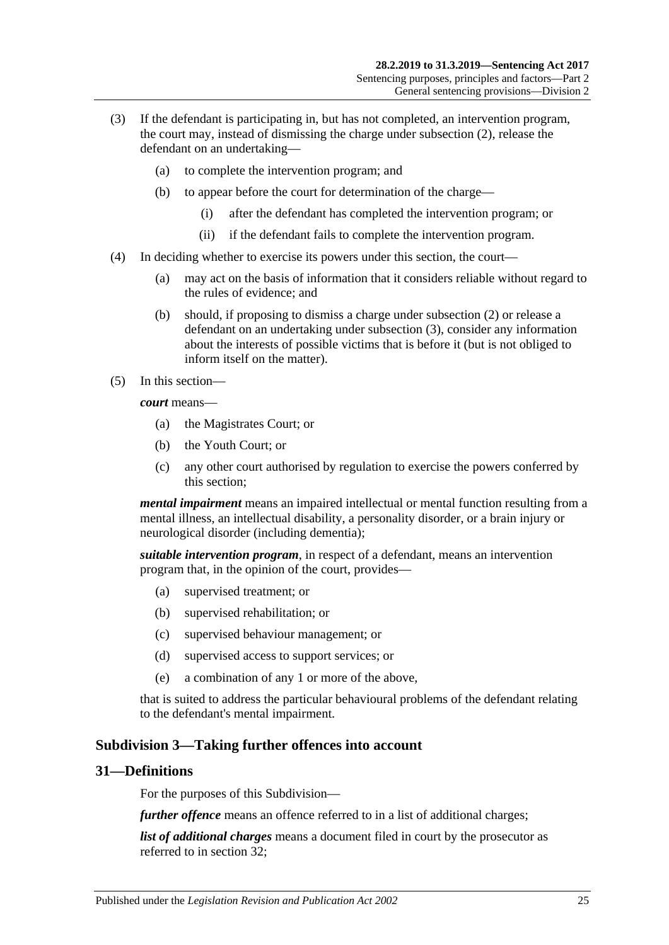- <span id="page-24-2"></span>(3) If the defendant is participating in, but has not completed, an intervention program, the court may, instead of dismissing the charge under [subsection](#page-23-1) (2), release the defendant on an undertaking—
	- (a) to complete the intervention program; and
	- (b) to appear before the court for determination of the charge—
		- (i) after the defendant has completed the intervention program; or
		- (ii) if the defendant fails to complete the intervention program.
- (4) In deciding whether to exercise its powers under this section, the court—
	- (a) may act on the basis of information that it considers reliable without regard to the rules of evidence; and
	- (b) should, if proposing to dismiss a charge under [subsection](#page-23-1) (2) or release a defendant on an undertaking under [subsection](#page-24-2) (3), consider any information about the interests of possible victims that is before it (but is not obliged to inform itself on the matter).
- (5) In this section—

*court* means—

- (a) the Magistrates Court; or
- (b) the Youth Court; or
- (c) any other court authorised by regulation to exercise the powers conferred by this section;

*mental impairment* means an impaired intellectual or mental function resulting from a mental illness, an intellectual disability, a personality disorder, or a brain injury or neurological disorder (including dementia);

*suitable intervention program*, in respect of a defendant, means an intervention program that, in the opinion of the court, provides—

- (a) supervised treatment; or
- (b) supervised rehabilitation; or
- (c) supervised behaviour management; or
- (d) supervised access to support services; or
- (e) a combination of any 1 or more of the above,

that is suited to address the particular behavioural problems of the defendant relating to the defendant's mental impairment.

#### <span id="page-24-0"></span>**Subdivision 3—Taking further offences into account**

#### <span id="page-24-1"></span>**31—Definitions**

For the purposes of this Subdivision—

*further offence* means an offence referred to in a list of additional charges;

*list of additional charges* means a document filed in court by the prosecutor as referred to in [section](#page-25-0) 32;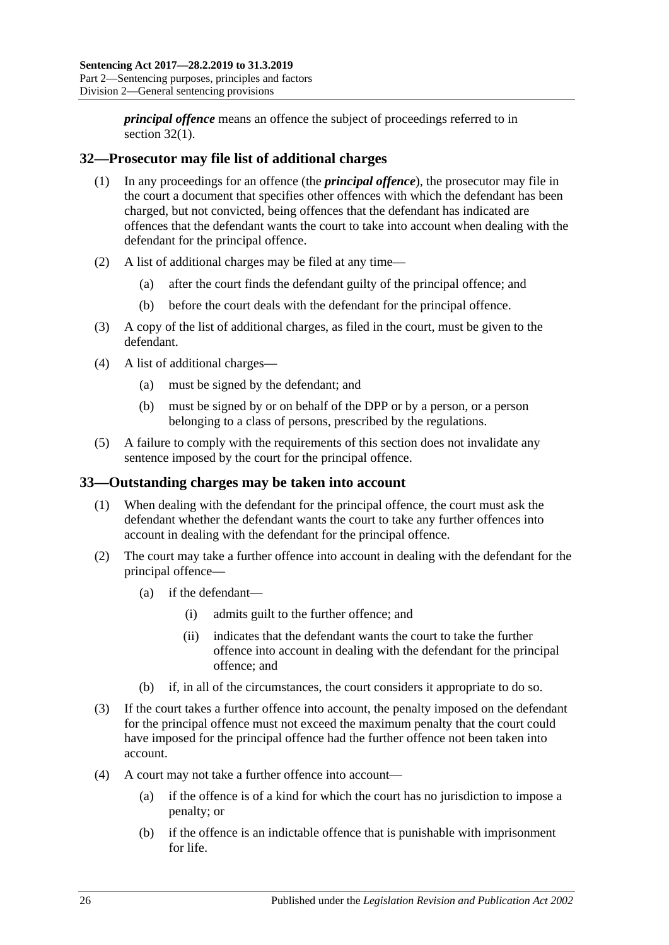*principal offence* means an offence the subject of proceedings referred to in [section](#page-25-2) 32(1).

## <span id="page-25-2"></span><span id="page-25-0"></span>**32—Prosecutor may file list of additional charges**

- (1) In any proceedings for an offence (the *principal offence*), the prosecutor may file in the court a document that specifies other offences with which the defendant has been charged, but not convicted, being offences that the defendant has indicated are offences that the defendant wants the court to take into account when dealing with the defendant for the principal offence.
- (2) A list of additional charges may be filed at any time—
	- (a) after the court finds the defendant guilty of the principal offence; and
	- (b) before the court deals with the defendant for the principal offence.
- (3) A copy of the list of additional charges, as filed in the court, must be given to the defendant.
- (4) A list of additional charges—
	- (a) must be signed by the defendant; and
	- (b) must be signed by or on behalf of the DPP or by a person, or a person belonging to a class of persons, prescribed by the regulations.
- (5) A failure to comply with the requirements of this section does not invalidate any sentence imposed by the court for the principal offence.

### <span id="page-25-1"></span>**33—Outstanding charges may be taken into account**

- (1) When dealing with the defendant for the principal offence, the court must ask the defendant whether the defendant wants the court to take any further offences into account in dealing with the defendant for the principal offence.
- (2) The court may take a further offence into account in dealing with the defendant for the principal offence—
	- (a) if the defendant—
		- (i) admits guilt to the further offence; and
		- (ii) indicates that the defendant wants the court to take the further offence into account in dealing with the defendant for the principal offence; and
	- (b) if, in all of the circumstances, the court considers it appropriate to do so.
- (3) If the court takes a further offence into account, the penalty imposed on the defendant for the principal offence must not exceed the maximum penalty that the court could have imposed for the principal offence had the further offence not been taken into account.
- <span id="page-25-3"></span>(4) A court may not take a further offence into account—
	- (a) if the offence is of a kind for which the court has no jurisdiction to impose a penalty; or
	- (b) if the offence is an indictable offence that is punishable with imprisonment for life.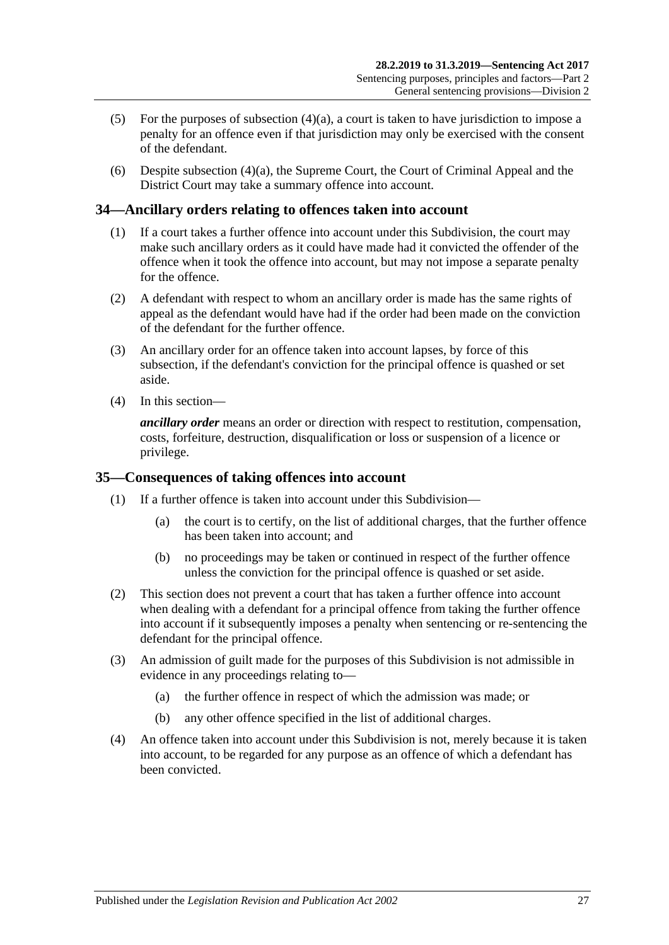- (5) For the purposes of [subsection](#page-25-3)  $(4)(a)$ , a court is taken to have jurisdiction to impose a penalty for an offence even if that jurisdiction may only be exercised with the consent of the defendant.
- (6) Despite [subsection](#page-25-3) (4)(a), the Supreme Court, the Court of Criminal Appeal and the District Court may take a summary offence into account.

#### <span id="page-26-0"></span>**34—Ancillary orders relating to offences taken into account**

- (1) If a court takes a further offence into account under this Subdivision, the court may make such ancillary orders as it could have made had it convicted the offender of the offence when it took the offence into account, but may not impose a separate penalty for the offence.
- (2) A defendant with respect to whom an ancillary order is made has the same rights of appeal as the defendant would have had if the order had been made on the conviction of the defendant for the further offence.
- (3) An ancillary order for an offence taken into account lapses, by force of this subsection, if the defendant's conviction for the principal offence is quashed or set aside.
- (4) In this section—

*ancillary order* means an order or direction with respect to restitution, compensation, costs, forfeiture, destruction, disqualification or loss or suspension of a licence or privilege.

#### <span id="page-26-1"></span>**35—Consequences of taking offences into account**

- (1) If a further offence is taken into account under this Subdivision—
	- (a) the court is to certify, on the list of additional charges, that the further offence has been taken into account; and
	- (b) no proceedings may be taken or continued in respect of the further offence unless the conviction for the principal offence is quashed or set aside.
- (2) This section does not prevent a court that has taken a further offence into account when dealing with a defendant for a principal offence from taking the further offence into account if it subsequently imposes a penalty when sentencing or re-sentencing the defendant for the principal offence.
- (3) An admission of guilt made for the purposes of this Subdivision is not admissible in evidence in any proceedings relating to—
	- (a) the further offence in respect of which the admission was made; or
	- (b) any other offence specified in the list of additional charges.
- (4) An offence taken into account under this Subdivision is not, merely because it is taken into account, to be regarded for any purpose as an offence of which a defendant has been convicted.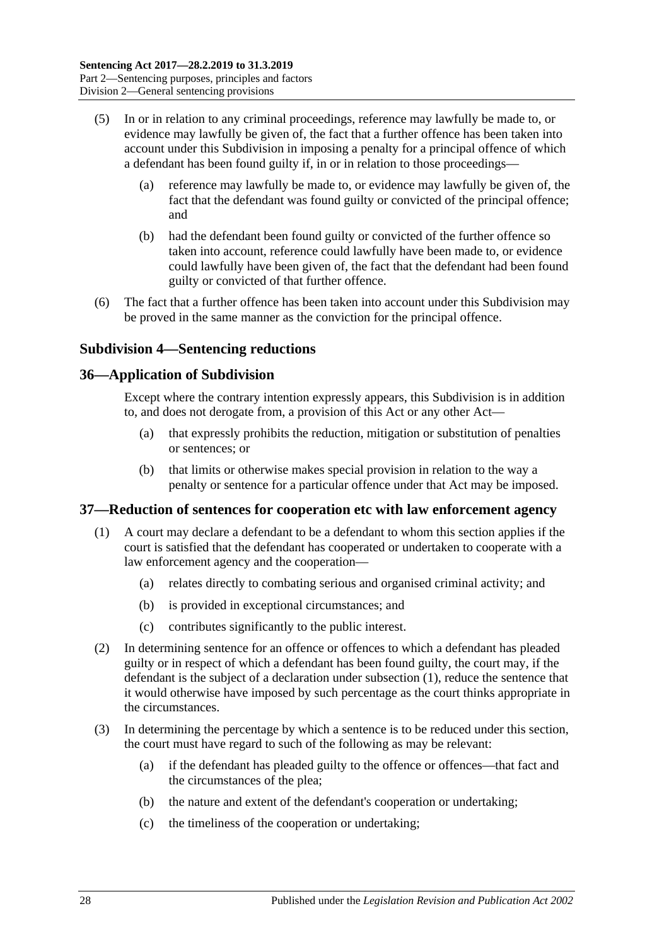- (5) In or in relation to any criminal proceedings, reference may lawfully be made to, or evidence may lawfully be given of, the fact that a further offence has been taken into account under this Subdivision in imposing a penalty for a principal offence of which a defendant has been found guilty if, in or in relation to those proceedings—
	- (a) reference may lawfully be made to, or evidence may lawfully be given of, the fact that the defendant was found guilty or convicted of the principal offence; and
	- (b) had the defendant been found guilty or convicted of the further offence so taken into account, reference could lawfully have been made to, or evidence could lawfully have been given of, the fact that the defendant had been found guilty or convicted of that further offence.
- (6) The fact that a further offence has been taken into account under this Subdivision may be proved in the same manner as the conviction for the principal offence.

#### <span id="page-27-0"></span>**Subdivision 4—Sentencing reductions**

#### <span id="page-27-1"></span>**36—Application of Subdivision**

Except where the contrary intention expressly appears, this Subdivision is in addition to, and does not derogate from, a provision of this Act or any other Act—

- (a) that expressly prohibits the reduction, mitigation or substitution of penalties or sentences; or
- (b) that limits or otherwise makes special provision in relation to the way a penalty or sentence for a particular offence under that Act may be imposed.

#### <span id="page-27-3"></span><span id="page-27-2"></span>**37—Reduction of sentences for cooperation etc with law enforcement agency**

- (1) A court may declare a defendant to be a defendant to whom this section applies if the court is satisfied that the defendant has cooperated or undertaken to cooperate with a law enforcement agency and the cooperation—
	- (a) relates directly to combating serious and organised criminal activity; and
	- (b) is provided in exceptional circumstances; and
	- (c) contributes significantly to the public interest.
- (2) In determining sentence for an offence or offences to which a defendant has pleaded guilty or in respect of which a defendant has been found guilty, the court may, if the defendant is the subject of a declaration under [subsection](#page-27-3) (1), reduce the sentence that it would otherwise have imposed by such percentage as the court thinks appropriate in the circumstances.
- (3) In determining the percentage by which a sentence is to be reduced under this section, the court must have regard to such of the following as may be relevant:
	- (a) if the defendant has pleaded guilty to the offence or offences—that fact and the circumstances of the plea;
	- (b) the nature and extent of the defendant's cooperation or undertaking;
	- (c) the timeliness of the cooperation or undertaking;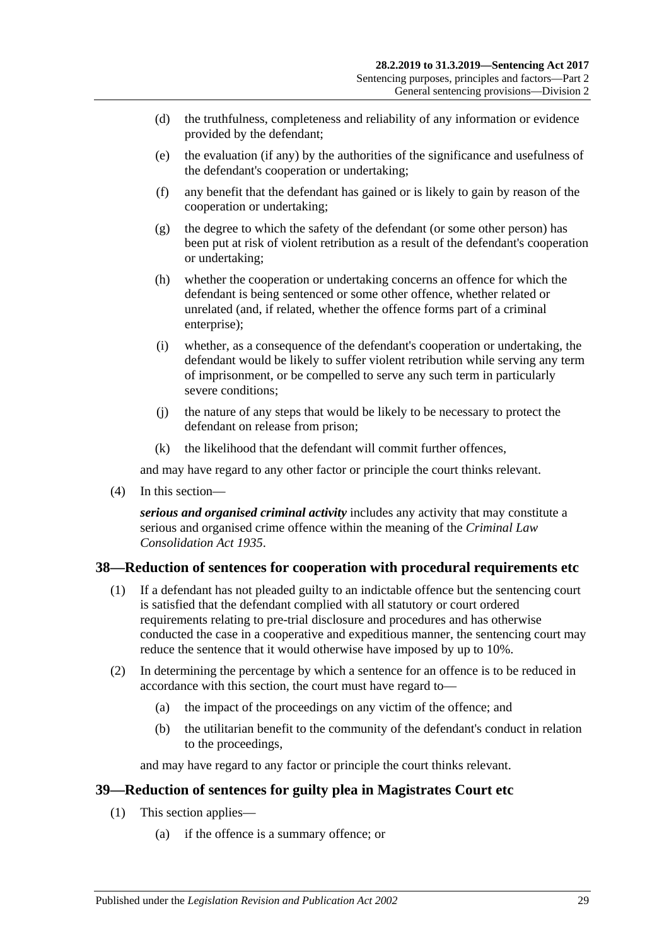- (d) the truthfulness, completeness and reliability of any information or evidence provided by the defendant;
- (e) the evaluation (if any) by the authorities of the significance and usefulness of the defendant's cooperation or undertaking;
- (f) any benefit that the defendant has gained or is likely to gain by reason of the cooperation or undertaking;
- (g) the degree to which the safety of the defendant (or some other person) has been put at risk of violent retribution as a result of the defendant's cooperation or undertaking;
- (h) whether the cooperation or undertaking concerns an offence for which the defendant is being sentenced or some other offence, whether related or unrelated (and, if related, whether the offence forms part of a criminal enterprise);
- (i) whether, as a consequence of the defendant's cooperation or undertaking, the defendant would be likely to suffer violent retribution while serving any term of imprisonment, or be compelled to serve any such term in particularly severe conditions;
- (j) the nature of any steps that would be likely to be necessary to protect the defendant on release from prison;
- (k) the likelihood that the defendant will commit further offences,

and may have regard to any other factor or principle the court thinks relevant.

(4) In this section—

*serious and organised criminal activity* includes any activity that may constitute a serious and organised crime offence within the meaning of the *[Criminal Law](http://www.legislation.sa.gov.au/index.aspx?action=legref&type=act&legtitle=Criminal%20Law%20Consolidation%20Act%201935)  [Consolidation Act](http://www.legislation.sa.gov.au/index.aspx?action=legref&type=act&legtitle=Criminal%20Law%20Consolidation%20Act%201935) 1935*.

#### <span id="page-28-0"></span>**38—Reduction of sentences for cooperation with procedural requirements etc**

- (1) If a defendant has not pleaded guilty to an indictable offence but the sentencing court is satisfied that the defendant complied with all statutory or court ordered requirements relating to pre-trial disclosure and procedures and has otherwise conducted the case in a cooperative and expeditious manner, the sentencing court may reduce the sentence that it would otherwise have imposed by up to 10%.
- (2) In determining the percentage by which a sentence for an offence is to be reduced in accordance with this section, the court must have regard to—
	- (a) the impact of the proceedings on any victim of the offence; and
	- (b) the utilitarian benefit to the community of the defendant's conduct in relation to the proceedings,

and may have regard to any factor or principle the court thinks relevant.

#### <span id="page-28-2"></span><span id="page-28-1"></span>**39—Reduction of sentences for guilty plea in Magistrates Court etc**

- (1) This section applies—
	- (a) if the offence is a summary offence; or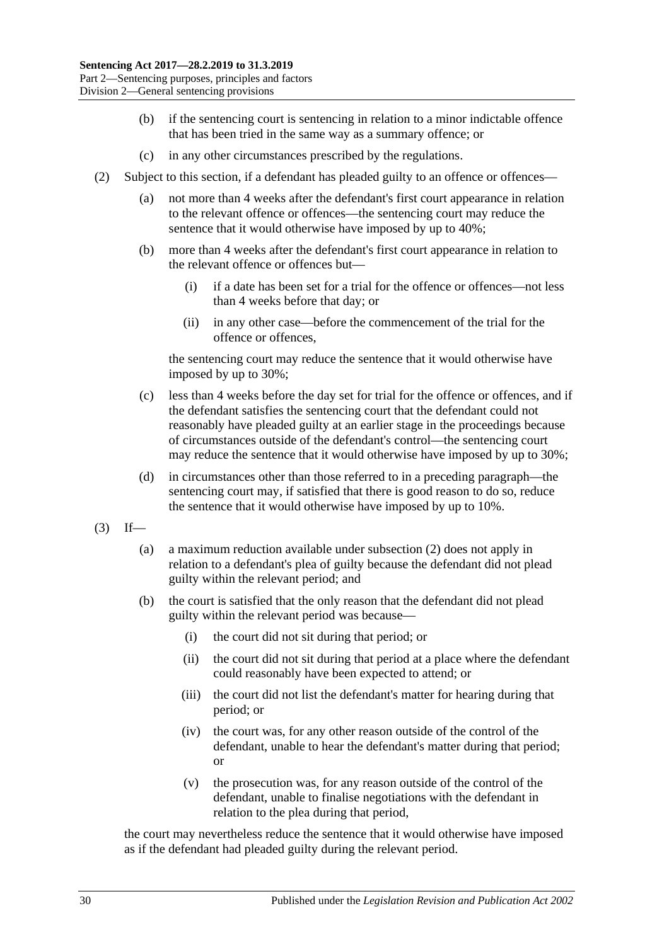- (b) if the sentencing court is sentencing in relation to a minor indictable offence that has been tried in the same way as a summary offence; or
- (c) in any other circumstances prescribed by the regulations.
- <span id="page-29-0"></span>(2) Subject to this section, if a defendant has pleaded guilty to an offence or offences—
	- (a) not more than 4 weeks after the defendant's first court appearance in relation to the relevant offence or offences—the sentencing court may reduce the sentence that it would otherwise have imposed by up to 40%;
	- (b) more than 4 weeks after the defendant's first court appearance in relation to the relevant offence or offences but—
		- (i) if a date has been set for a trial for the offence or offences—not less than 4 weeks before that day; or
		- (ii) in any other case—before the commencement of the trial for the offence or offences,

the sentencing court may reduce the sentence that it would otherwise have imposed by up to 30%;

- (c) less than 4 weeks before the day set for trial for the offence or offences, and if the defendant satisfies the sentencing court that the defendant could not reasonably have pleaded guilty at an earlier stage in the proceedings because of circumstances outside of the defendant's control—the sentencing court may reduce the sentence that it would otherwise have imposed by up to 30%;
- (d) in circumstances other than those referred to in a preceding paragraph—the sentencing court may, if satisfied that there is good reason to do so, reduce the sentence that it would otherwise have imposed by up to 10%.
- $(3)$  If—
	- (a) a maximum reduction available under [subsection](#page-29-0) (2) does not apply in relation to a defendant's plea of guilty because the defendant did not plead guilty within the relevant period; and
	- (b) the court is satisfied that the only reason that the defendant did not plead guilty within the relevant period was because—
		- (i) the court did not sit during that period; or
		- (ii) the court did not sit during that period at a place where the defendant could reasonably have been expected to attend; or
		- (iii) the court did not list the defendant's matter for hearing during that period; or
		- (iv) the court was, for any other reason outside of the control of the defendant, unable to hear the defendant's matter during that period; or
		- (v) the prosecution was, for any reason outside of the control of the defendant, unable to finalise negotiations with the defendant in relation to the plea during that period,

the court may nevertheless reduce the sentence that it would otherwise have imposed as if the defendant had pleaded guilty during the relevant period.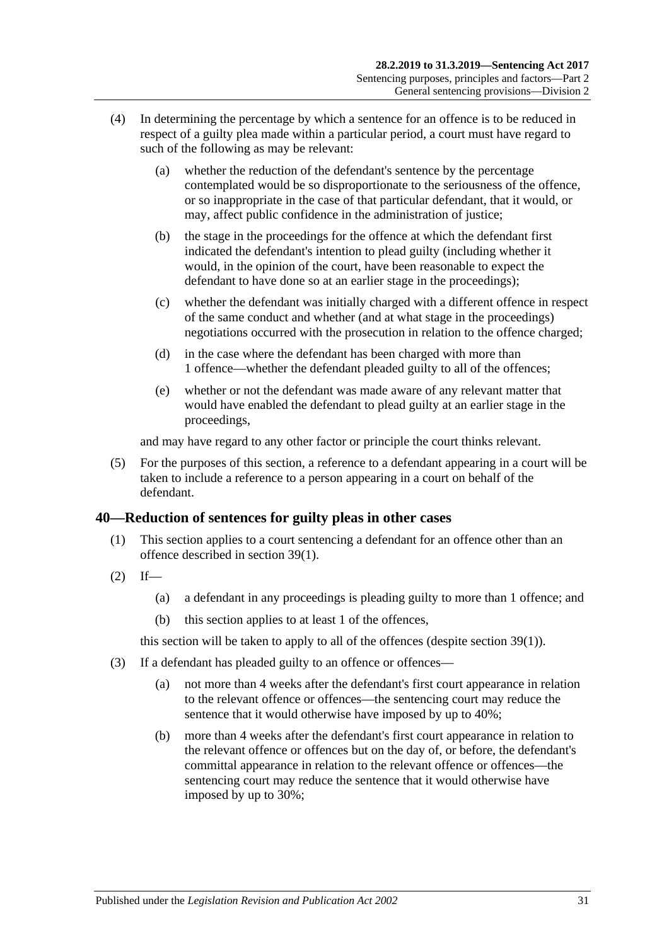- (4) In determining the percentage by which a sentence for an offence is to be reduced in respect of a guilty plea made within a particular period, a court must have regard to such of the following as may be relevant:
	- (a) whether the reduction of the defendant's sentence by the percentage contemplated would be so disproportionate to the seriousness of the offence, or so inappropriate in the case of that particular defendant, that it would, or may, affect public confidence in the administration of justice;
	- (b) the stage in the proceedings for the offence at which the defendant first indicated the defendant's intention to plead guilty (including whether it would, in the opinion of the court, have been reasonable to expect the defendant to have done so at an earlier stage in the proceedings);
	- (c) whether the defendant was initially charged with a different offence in respect of the same conduct and whether (and at what stage in the proceedings) negotiations occurred with the prosecution in relation to the offence charged;
	- (d) in the case where the defendant has been charged with more than 1 offence—whether the defendant pleaded guilty to all of the offences;
	- (e) whether or not the defendant was made aware of any relevant matter that would have enabled the defendant to plead guilty at an earlier stage in the proceedings,

and may have regard to any other factor or principle the court thinks relevant.

(5) For the purposes of this section, a reference to a defendant appearing in a court will be taken to include a reference to a person appearing in a court on behalf of the defendant.

### <span id="page-30-0"></span>**40—Reduction of sentences for guilty pleas in other cases**

- (1) This section applies to a court sentencing a defendant for an offence other than an offence described in [section](#page-28-2) 39(1).
- $(2)$  If—
	- (a) a defendant in any proceedings is pleading guilty to more than 1 offence; and
	- (b) this section applies to at least 1 of the offences,

this section will be taken to apply to all of the offences (despite [section](#page-28-2) 39(1)).

- <span id="page-30-1"></span>(3) If a defendant has pleaded guilty to an offence or offences—
	- (a) not more than 4 weeks after the defendant's first court appearance in relation to the relevant offence or offences—the sentencing court may reduce the sentence that it would otherwise have imposed by up to 40%;
	- (b) more than 4 weeks after the defendant's first court appearance in relation to the relevant offence or offences but on the day of, or before, the defendant's committal appearance in relation to the relevant offence or offences—the sentencing court may reduce the sentence that it would otherwise have imposed by up to 30%;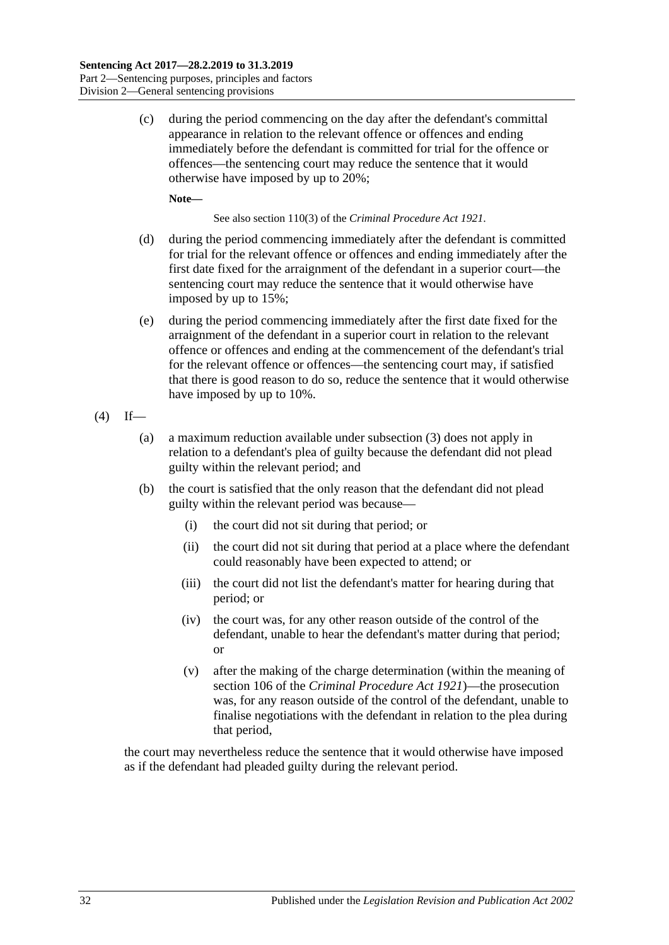(c) during the period commencing on the day after the defendant's committal appearance in relation to the relevant offence or offences and ending immediately before the defendant is committed for trial for the offence or offences—the sentencing court may reduce the sentence that it would otherwise have imposed by up to 20%;

**Note—**

See also section 110(3) of the *[Criminal Procedure Act](http://www.legislation.sa.gov.au/index.aspx?action=legref&type=act&legtitle=Criminal%20Procedure%20Act%201921) 1921*.

- (d) during the period commencing immediately after the defendant is committed for trial for the relevant offence or offences and ending immediately after the first date fixed for the arraignment of the defendant in a superior court—the sentencing court may reduce the sentence that it would otherwise have imposed by up to 15%;
- (e) during the period commencing immediately after the first date fixed for the arraignment of the defendant in a superior court in relation to the relevant offence or offences and ending at the commencement of the defendant's trial for the relevant offence or offences—the sentencing court may, if satisfied that there is good reason to do so, reduce the sentence that it would otherwise have imposed by up to 10%.
- $(4)$  If—
	- (a) a maximum reduction available under [subsection](#page-30-1) (3) does not apply in relation to a defendant's plea of guilty because the defendant did not plead guilty within the relevant period; and
	- (b) the court is satisfied that the only reason that the defendant did not plead guilty within the relevant period was because—
		- (i) the court did not sit during that period; or
		- (ii) the court did not sit during that period at a place where the defendant could reasonably have been expected to attend; or
		- (iii) the court did not list the defendant's matter for hearing during that period; or
		- (iv) the court was, for any other reason outside of the control of the defendant, unable to hear the defendant's matter during that period; or
		- (v) after the making of the charge determination (within the meaning of section 106 of the *[Criminal Procedure Act](http://www.legislation.sa.gov.au/index.aspx?action=legref&type=act&legtitle=Criminal%20Procedure%20Act%201921) 1921*)—the prosecution was, for any reason outside of the control of the defendant, unable to finalise negotiations with the defendant in relation to the plea during that period,

the court may nevertheless reduce the sentence that it would otherwise have imposed as if the defendant had pleaded guilty during the relevant period.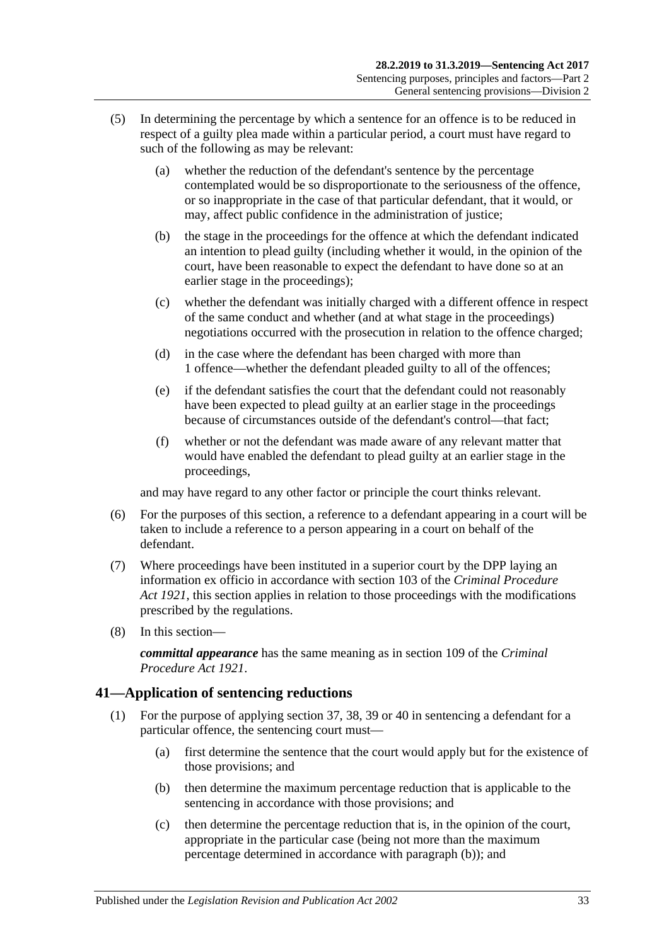- (5) In determining the percentage by which a sentence for an offence is to be reduced in respect of a guilty plea made within a particular period, a court must have regard to such of the following as may be relevant:
	- (a) whether the reduction of the defendant's sentence by the percentage contemplated would be so disproportionate to the seriousness of the offence, or so inappropriate in the case of that particular defendant, that it would, or may, affect public confidence in the administration of justice;
	- (b) the stage in the proceedings for the offence at which the defendant indicated an intention to plead guilty (including whether it would, in the opinion of the court, have been reasonable to expect the defendant to have done so at an earlier stage in the proceedings);
	- (c) whether the defendant was initially charged with a different offence in respect of the same conduct and whether (and at what stage in the proceedings) negotiations occurred with the prosecution in relation to the offence charged;
	- (d) in the case where the defendant has been charged with more than 1 offence—whether the defendant pleaded guilty to all of the offences;
	- (e) if the defendant satisfies the court that the defendant could not reasonably have been expected to plead guilty at an earlier stage in the proceedings because of circumstances outside of the defendant's control—that fact;
	- (f) whether or not the defendant was made aware of any relevant matter that would have enabled the defendant to plead guilty at an earlier stage in the proceedings,

and may have regard to any other factor or principle the court thinks relevant.

- (6) For the purposes of this section, a reference to a defendant appearing in a court will be taken to include a reference to a person appearing in a court on behalf of the defendant.
- (7) Where proceedings have been instituted in a superior court by the DPP laying an information ex officio in accordance with section 103 of the *[Criminal Procedure](http://www.legislation.sa.gov.au/index.aspx?action=legref&type=act&legtitle=Criminal%20Procedure%20Act%201921)  Act [1921](http://www.legislation.sa.gov.au/index.aspx?action=legref&type=act&legtitle=Criminal%20Procedure%20Act%201921)*, this section applies in relation to those proceedings with the modifications prescribed by the regulations.
- (8) In this section—

*committal appearance* has the same meaning as in section 109 of the *[Criminal](http://www.legislation.sa.gov.au/index.aspx?action=legref&type=act&legtitle=Criminal%20Procedure%20Act%201921)  [Procedure Act](http://www.legislation.sa.gov.au/index.aspx?action=legref&type=act&legtitle=Criminal%20Procedure%20Act%201921) 1921*.

### <span id="page-32-4"></span><span id="page-32-0"></span>**41—Application of sentencing reductions**

- <span id="page-32-3"></span><span id="page-32-2"></span><span id="page-32-1"></span>(1) For the purpose of applying [section](#page-27-2) 37, [38,](#page-28-0) [39](#page-28-1) or [40](#page-30-0) in sentencing a defendant for a particular offence, the sentencing court must—
	- (a) first determine the sentence that the court would apply but for the existence of those provisions; and
	- (b) then determine the maximum percentage reduction that is applicable to the sentencing in accordance with those provisions; and
	- (c) then determine the percentage reduction that is, in the opinion of the court, appropriate in the particular case (being not more than the maximum percentage determined in accordance with [paragraph](#page-32-1) (b)); and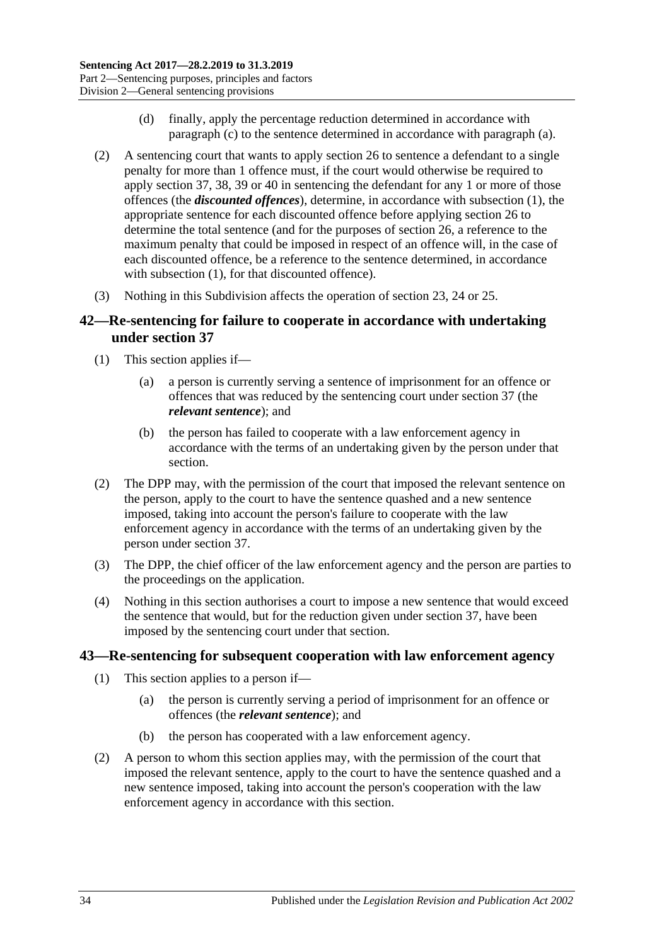- (d) finally, apply the percentage reduction determined in accordance with [paragraph](#page-32-2) (c) to the sentence determined in accordance with [paragraph](#page-32-3) (a).
- (2) A sentencing court that wants to apply [section](#page-20-0) 26 to sentence a defendant to a single penalty for more than 1 offence must, if the court would otherwise be required to apply [section](#page-27-2) 37, [38,](#page-28-0) [39](#page-28-1) or [40](#page-30-0) in sentencing the defendant for any 1 or more of those offences (the *discounted offences*), determine, in accordance with [subsection](#page-32-4) (1), the appropriate sentence for each discounted offence before applying [section](#page-20-0) 26 to determine the total sentence (and for the purposes of [section](#page-20-0) 26, a reference to the maximum penalty that could be imposed in respect of an offence will, in the case of each discounted offence, be a reference to the sentence determined, in accordance with [subsection](#page-32-4) (1), for that discounted offence).
- (3) Nothing in this Subdivision affects the operation of [section 23,](#page-18-1) [24](#page-19-0) or [25.](#page-19-1)

### <span id="page-33-0"></span>**42—Re-sentencing for failure to cooperate in accordance with undertaking under [section](#page-27-2) 37**

- (1) This section applies if—
	- (a) a person is currently serving a sentence of imprisonment for an offence or offences that was reduced by the sentencing court under [section](#page-27-2) 37 (the *relevant sentence*); and
	- (b) the person has failed to cooperate with a law enforcement agency in accordance with the terms of an undertaking given by the person under that section.
- (2) The DPP may, with the permission of the court that imposed the relevant sentence on the person, apply to the court to have the sentence quashed and a new sentence imposed, taking into account the person's failure to cooperate with the law enforcement agency in accordance with the terms of an undertaking given by the person under [section](#page-27-2) 37.
- (3) The DPP, the chief officer of the law enforcement agency and the person are parties to the proceedings on the application.
- (4) Nothing in this section authorises a court to impose a new sentence that would exceed the sentence that would, but for the reduction given under [section](#page-27-2) 37, have been imposed by the sentencing court under that section.

#### <span id="page-33-1"></span>**43—Re-sentencing for subsequent cooperation with law enforcement agency**

- (1) This section applies to a person if—
	- (a) the person is currently serving a period of imprisonment for an offence or offences (the *relevant sentence*); and
	- (b) the person has cooperated with a law enforcement agency.
- (2) A person to whom this section applies may, with the permission of the court that imposed the relevant sentence, apply to the court to have the sentence quashed and a new sentence imposed, taking into account the person's cooperation with the law enforcement agency in accordance with this section.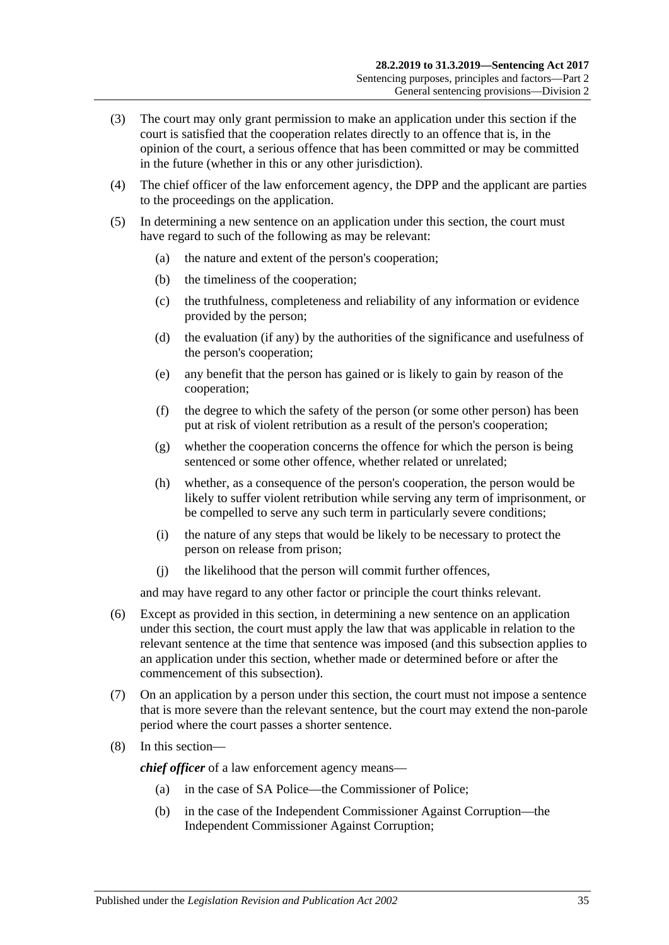- (3) The court may only grant permission to make an application under this section if the court is satisfied that the cooperation relates directly to an offence that is, in the opinion of the court, a serious offence that has been committed or may be committed in the future (whether in this or any other jurisdiction).
- (4) The chief officer of the law enforcement agency, the DPP and the applicant are parties to the proceedings on the application.
- (5) In determining a new sentence on an application under this section, the court must have regard to such of the following as may be relevant:
	- (a) the nature and extent of the person's cooperation;
	- (b) the timeliness of the cooperation;
	- (c) the truthfulness, completeness and reliability of any information or evidence provided by the person;
	- (d) the evaluation (if any) by the authorities of the significance and usefulness of the person's cooperation;
	- (e) any benefit that the person has gained or is likely to gain by reason of the cooperation;
	- (f) the degree to which the safety of the person (or some other person) has been put at risk of violent retribution as a result of the person's cooperation;
	- (g) whether the cooperation concerns the offence for which the person is being sentenced or some other offence, whether related or unrelated;
	- (h) whether, as a consequence of the person's cooperation, the person would be likely to suffer violent retribution while serving any term of imprisonment, or be compelled to serve any such term in particularly severe conditions;
	- (i) the nature of any steps that would be likely to be necessary to protect the person on release from prison;
	- (j) the likelihood that the person will commit further offences,

and may have regard to any other factor or principle the court thinks relevant.

- (6) Except as provided in this section, in determining a new sentence on an application under this section, the court must apply the law that was applicable in relation to the relevant sentence at the time that sentence was imposed (and this subsection applies to an application under this section, whether made or determined before or after the commencement of this subsection).
- (7) On an application by a person under this section, the court must not impose a sentence that is more severe than the relevant sentence, but the court may extend the non-parole period where the court passes a shorter sentence.
- (8) In this section—

*chief officer* of a law enforcement agency means—

- (a) in the case of SA Police—the Commissioner of Police;
- (b) in the case of the Independent Commissioner Against Corruption—the Independent Commissioner Against Corruption;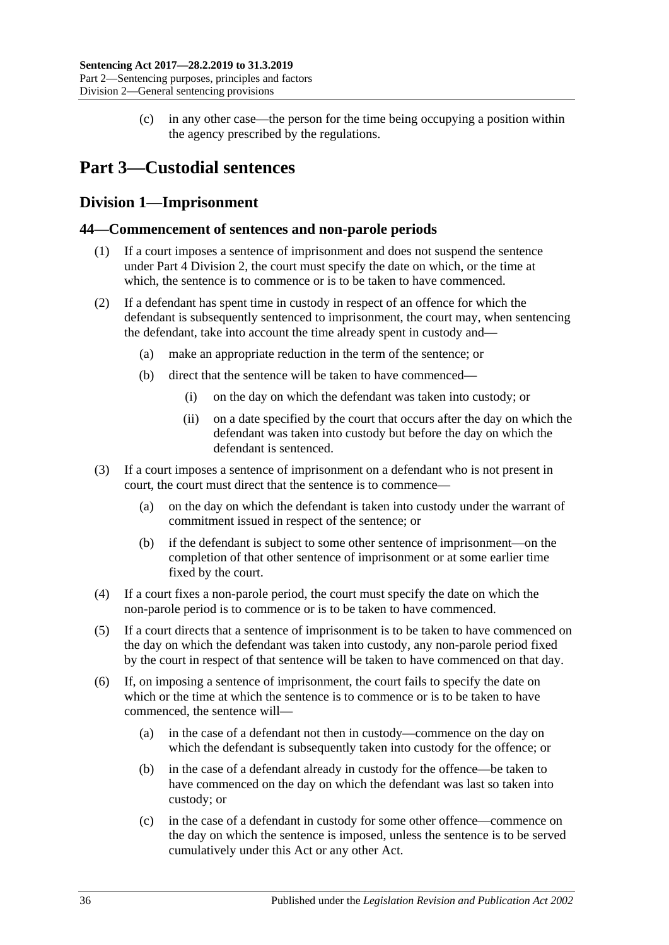(c) in any other case—the person for the time being occupying a position within the agency prescribed by the regulations.

## <span id="page-35-0"></span>**Part 3—Custodial sentences**

## <span id="page-35-1"></span>**Division 1—Imprisonment**

### <span id="page-35-2"></span>**44—Commencement of sentences and non-parole periods**

- (1) If a court imposes a sentence of imprisonment and does not suspend the sentence under Part [4 Division](#page-74-0) 2, the court must specify the date on which, or the time at which, the sentence is to commence or is to be taken to have commenced.
- (2) If a defendant has spent time in custody in respect of an offence for which the defendant is subsequently sentenced to imprisonment, the court may, when sentencing the defendant, take into account the time already spent in custody and—
	- (a) make an appropriate reduction in the term of the sentence; or
	- (b) direct that the sentence will be taken to have commenced—
		- (i) on the day on which the defendant was taken into custody; or
		- (ii) on a date specified by the court that occurs after the day on which the defendant was taken into custody but before the day on which the defendant is sentenced.
- (3) If a court imposes a sentence of imprisonment on a defendant who is not present in court, the court must direct that the sentence is to commence—
	- (a) on the day on which the defendant is taken into custody under the warrant of commitment issued in respect of the sentence; or
	- (b) if the defendant is subject to some other sentence of imprisonment—on the completion of that other sentence of imprisonment or at some earlier time fixed by the court.
- (4) If a court fixes a non-parole period, the court must specify the date on which the non-parole period is to commence or is to be taken to have commenced.
- (5) If a court directs that a sentence of imprisonment is to be taken to have commenced on the day on which the defendant was taken into custody, any non-parole period fixed by the court in respect of that sentence will be taken to have commenced on that day.
- (6) If, on imposing a sentence of imprisonment, the court fails to specify the date on which or the time at which the sentence is to commence or is to be taken to have commenced, the sentence will—
	- (a) in the case of a defendant not then in custody—commence on the day on which the defendant is subsequently taken into custody for the offence; or
	- (b) in the case of a defendant already in custody for the offence—be taken to have commenced on the day on which the defendant was last so taken into custody; or
	- (c) in the case of a defendant in custody for some other offence—commence on the day on which the sentence is imposed, unless the sentence is to be served cumulatively under this Act or any other Act.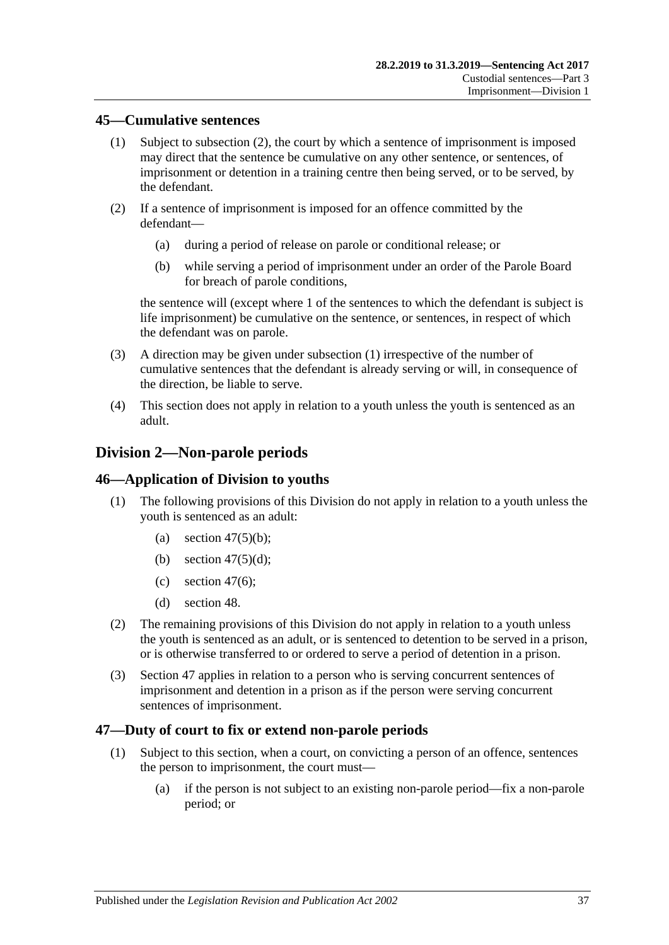### <span id="page-36-1"></span>**45—Cumulative sentences**

- (1) Subject to [subsection](#page-36-0) (2), the court by which a sentence of imprisonment is imposed may direct that the sentence be cumulative on any other sentence, or sentences, of imprisonment or detention in a training centre then being served, or to be served, by the defendant.
- <span id="page-36-0"></span>(2) If a sentence of imprisonment is imposed for an offence committed by the defendant—
	- (a) during a period of release on parole or conditional release; or
	- (b) while serving a period of imprisonment under an order of the Parole Board for breach of parole conditions,

the sentence will (except where 1 of the sentences to which the defendant is subject is life imprisonment) be cumulative on the sentence, or sentences, in respect of which the defendant was on parole.

- (3) A direction may be given under [subsection](#page-36-1) (1) irrespective of the number of cumulative sentences that the defendant is already serving or will, in consequence of the direction, be liable to serve.
- (4) This section does not apply in relation to a youth unless the youth is sentenced as an adult.

# **Division 2—Non-parole periods**

### **46—Application of Division to youths**

- (1) The following provisions of this Division do not apply in relation to a youth unless the youth is sentenced as an adult:
	- (a) section  $47(5)(b)$ ;
	- (b) section  $47(5)(d)$ ;
	- (c) [section](#page-38-0) 47 $(6)$ ;
	- (d) [section](#page-40-0) 48.
- (2) The remaining provisions of this Division do not apply in relation to a youth unless the youth is sentenced as an adult, or is sentenced to detention to be served in a prison, or is otherwise transferred to or ordered to serve a period of detention in a prison.
- (3) [Section](#page-36-2) 47 applies in relation to a person who is serving concurrent sentences of imprisonment and detention in a prison as if the person were serving concurrent sentences of imprisonment.

### <span id="page-36-2"></span>**47—Duty of court to fix or extend non-parole periods**

- <span id="page-36-3"></span>(1) Subject to this section, when a court, on convicting a person of an offence, sentences the person to imprisonment, the court must—
	- (a) if the person is not subject to an existing non-parole period—fix a non-parole period; or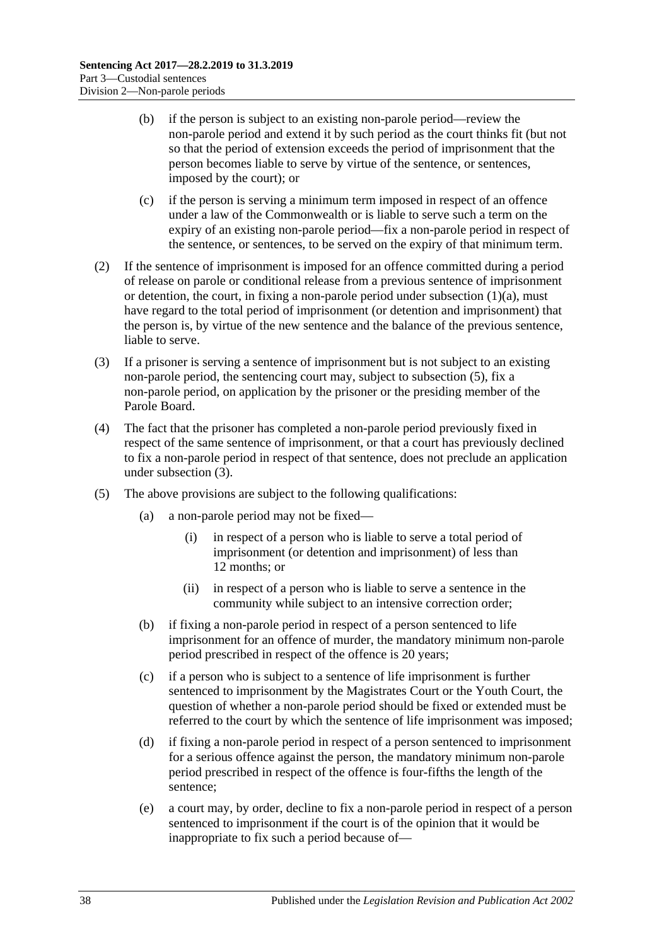- (b) if the person is subject to an existing non-parole period—review the non-parole period and extend it by such period as the court thinks fit (but not so that the period of extension exceeds the period of imprisonment that the person becomes liable to serve by virtue of the sentence, or sentences, imposed by the court); or
- (c) if the person is serving a minimum term imposed in respect of an offence under a law of the Commonwealth or is liable to serve such a term on the expiry of an existing non-parole period—fix a non-parole period in respect of the sentence, or sentences, to be served on the expiry of that minimum term.
- (2) If the sentence of imprisonment is imposed for an offence committed during a period of release on parole or conditional release from a previous sentence of imprisonment or detention, the court, in fixing a non-parole period under [subsection](#page-36-3)  $(1)(a)$ , must have regard to the total period of imprisonment (or detention and imprisonment) that the person is, by virtue of the new sentence and the balance of the previous sentence, liable to serve.
- <span id="page-37-3"></span>(3) If a prisoner is serving a sentence of imprisonment but is not subject to an existing non-parole period, the sentencing court may, subject to [subsection](#page-37-2) (5), fix a non-parole period, on application by the prisoner or the presiding member of the Parole Board.
- (4) The fact that the prisoner has completed a non-parole period previously fixed in respect of the same sentence of imprisonment, or that a court has previously declined to fix a non-parole period in respect of that sentence, does not preclude an application under [subsection](#page-37-3) (3).
- <span id="page-37-2"></span><span id="page-37-1"></span><span id="page-37-0"></span>(5) The above provisions are subject to the following qualifications:
	- (a) a non-parole period may not be fixed—
		- (i) in respect of a person who is liable to serve a total period of imprisonment (or detention and imprisonment) of less than 12 months; or
		- (ii) in respect of a person who is liable to serve a sentence in the community while subject to an intensive correction order;
	- (b) if fixing a non-parole period in respect of a person sentenced to life imprisonment for an offence of murder, the mandatory minimum non-parole period prescribed in respect of the offence is 20 years;
	- (c) if a person who is subject to a sentence of life imprisonment is further sentenced to imprisonment by the Magistrates Court or the Youth Court, the question of whether a non-parole period should be fixed or extended must be referred to the court by which the sentence of life imprisonment was imposed;
	- (d) if fixing a non-parole period in respect of a person sentenced to imprisonment for a serious offence against the person, the mandatory minimum non-parole period prescribed in respect of the offence is four-fifths the length of the sentence;
	- (e) a court may, by order, decline to fix a non-parole period in respect of a person sentenced to imprisonment if the court is of the opinion that it would be inappropriate to fix such a period because of—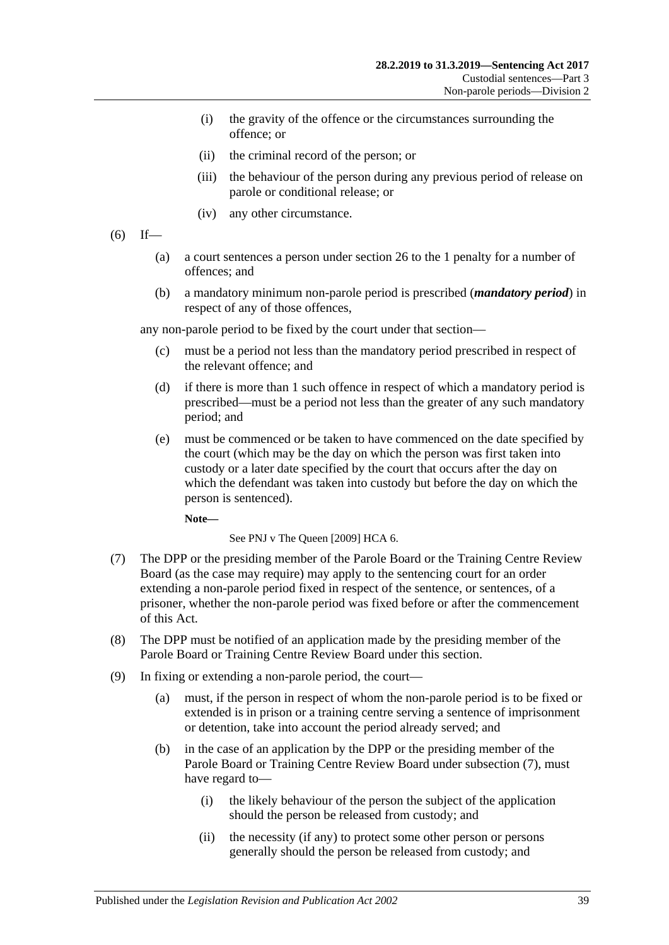- (i) the gravity of the offence or the circumstances surrounding the offence; or
- (ii) the criminal record of the person; or
- (iii) the behaviour of the person during any previous period of release on parole or conditional release; or
- (iv) any other circumstance.
- <span id="page-38-0"></span> $(6)$  If—
	- (a) a court sentences a person under [section](#page-20-0) 26 to the 1 penalty for a number of offences; and
	- (b) a mandatory minimum non-parole period is prescribed (*mandatory period*) in respect of any of those offences,

any non-parole period to be fixed by the court under that section—

- (c) must be a period not less than the mandatory period prescribed in respect of the relevant offence; and
- (d) if there is more than 1 such offence in respect of which a mandatory period is prescribed—must be a period not less than the greater of any such mandatory period; and
- (e) must be commenced or be taken to have commenced on the date specified by the court (which may be the day on which the person was first taken into custody or a later date specified by the court that occurs after the day on which the defendant was taken into custody but before the day on which the person is sentenced).

**Note—**

See PNJ v The Queen [2009] HCA 6.

- <span id="page-38-1"></span>(7) The DPP or the presiding member of the Parole Board or the Training Centre Review Board (as the case may require) may apply to the sentencing court for an order extending a non-parole period fixed in respect of the sentence, or sentences, of a prisoner, whether the non-parole period was fixed before or after the commencement of this Act.
- (8) The DPP must be notified of an application made by the presiding member of the Parole Board or Training Centre Review Board under this section.
- (9) In fixing or extending a non-parole period, the court—
	- (a) must, if the person in respect of whom the non-parole period is to be fixed or extended is in prison or a training centre serving a sentence of imprisonment or detention, take into account the period already served; and
	- (b) in the case of an application by the DPP or the presiding member of the Parole Board or Training Centre Review Board under [subsection](#page-38-1) (7), must have regard to—
		- (i) the likely behaviour of the person the subject of the application should the person be released from custody; and
		- (ii) the necessity (if any) to protect some other person or persons generally should the person be released from custody; and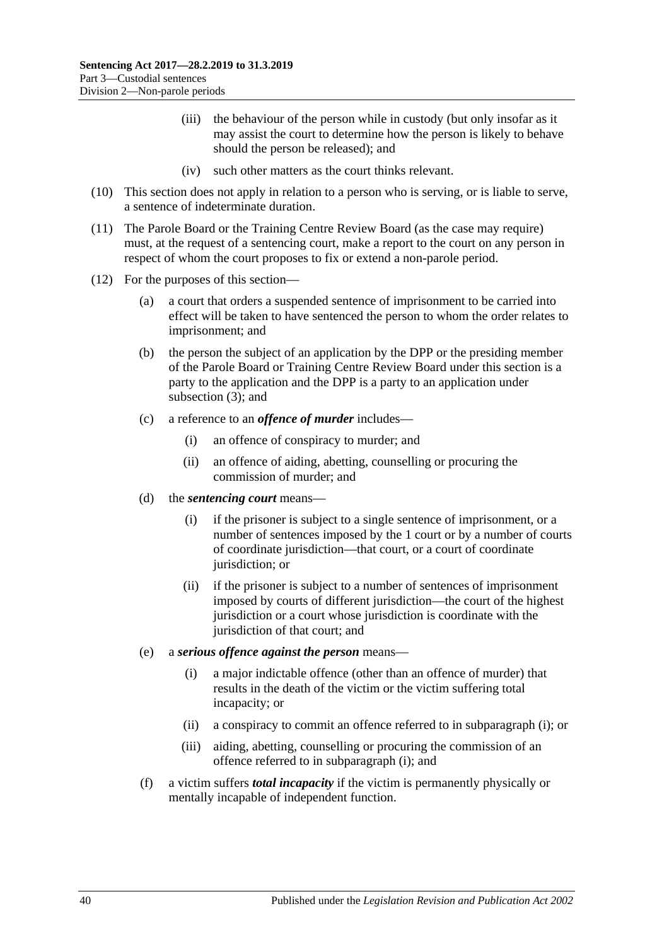- (iii) the behaviour of the person while in custody (but only insofar as it may assist the court to determine how the person is likely to behave should the person be released); and
- (iv) such other matters as the court thinks relevant.
- (10) This section does not apply in relation to a person who is serving, or is liable to serve, a sentence of indeterminate duration.
- (11) The Parole Board or the Training Centre Review Board (as the case may require) must, at the request of a sentencing court, make a report to the court on any person in respect of whom the court proposes to fix or extend a non-parole period.
- <span id="page-39-0"></span>(12) For the purposes of this section—
	- (a) a court that orders a suspended sentence of imprisonment to be carried into effect will be taken to have sentenced the person to whom the order relates to imprisonment; and
	- (b) the person the subject of an application by the DPP or the presiding member of the Parole Board or Training Centre Review Board under this section is a party to the application and the DPP is a party to an application under [subsection](#page-37-3) (3); and
	- (c) a reference to an *offence of murder* includes—
		- (i) an offence of conspiracy to murder; and
		- (ii) an offence of aiding, abetting, counselling or procuring the commission of murder; and
	- (d) the *sentencing court* means—
		- (i) if the prisoner is subject to a single sentence of imprisonment, or a number of sentences imposed by the 1 court or by a number of courts of coordinate jurisdiction—that court, or a court of coordinate jurisdiction; or
		- (ii) if the prisoner is subject to a number of sentences of imprisonment imposed by courts of different jurisdiction—the court of the highest jurisdiction or a court whose jurisdiction is coordinate with the jurisdiction of that court; and
	- (e) a *serious offence against the person* means—
		- (i) a major indictable offence (other than an offence of murder) that results in the death of the victim or the victim suffering total incapacity; or
		- (ii) a conspiracy to commit an offence referred to in [subparagraph](#page-39-0) (i); or
		- (iii) aiding, abetting, counselling or procuring the commission of an offence referred to in [subparagraph](#page-39-0) (i); and
	- (f) a victim suffers *total incapacity* if the victim is permanently physically or mentally incapable of independent function.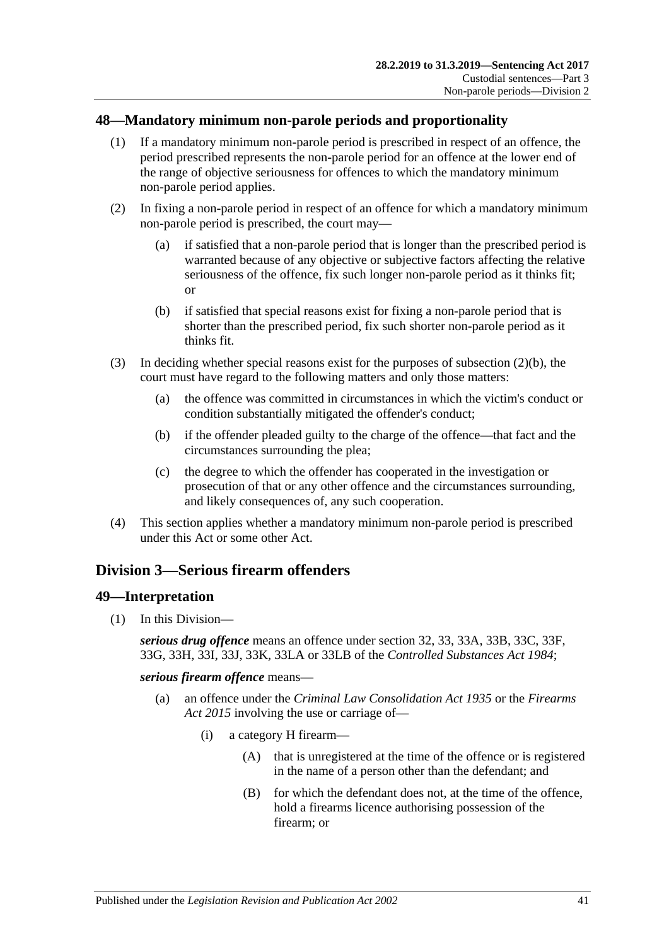# <span id="page-40-0"></span>**48—Mandatory minimum non-parole periods and proportionality**

- (1) If a mandatory minimum non-parole period is prescribed in respect of an offence, the period prescribed represents the non-parole period for an offence at the lower end of the range of objective seriousness for offences to which the mandatory minimum non-parole period applies.
- (2) In fixing a non-parole period in respect of an offence for which a mandatory minimum non-parole period is prescribed, the court may—
	- (a) if satisfied that a non-parole period that is longer than the prescribed period is warranted because of any objective or subjective factors affecting the relative seriousness of the offence, fix such longer non-parole period as it thinks fit; or
	- (b) if satisfied that special reasons exist for fixing a non-parole period that is shorter than the prescribed period, fix such shorter non-parole period as it thinks fit.
- <span id="page-40-1"></span>(3) In deciding whether special reasons exist for the purposes of [subsection](#page-40-1)  $(2)(b)$ , the court must have regard to the following matters and only those matters:
	- (a) the offence was committed in circumstances in which the victim's conduct or condition substantially mitigated the offender's conduct;
	- (b) if the offender pleaded guilty to the charge of the offence—that fact and the circumstances surrounding the plea;
	- (c) the degree to which the offender has cooperated in the investigation or prosecution of that or any other offence and the circumstances surrounding, and likely consequences of, any such cooperation.
- (4) This section applies whether a mandatory minimum non-parole period is prescribed under this Act or some other Act.

# <span id="page-40-2"></span>**Division 3—Serious firearm offenders**

# **49—Interpretation**

(1) In this Division—

*serious drug offence* means an offence under section 32, 33, 33A, 33B, 33C, 33F, 33G, 33H, 33I, 33J, 33K, 33LA or 33LB of the *[Controlled Substances Act](http://www.legislation.sa.gov.au/index.aspx?action=legref&type=act&legtitle=Controlled%20Substances%20Act%201984) 1984*;

*serious firearm offence* means—

- (a) an offence under the *[Criminal Law Consolidation Act](http://www.legislation.sa.gov.au/index.aspx?action=legref&type=act&legtitle=Criminal%20Law%20Consolidation%20Act%201935) 1935* or the *[Firearms](http://www.legislation.sa.gov.au/index.aspx?action=legref&type=act&legtitle=Firearms%20Act%202015)  Act [2015](http://www.legislation.sa.gov.au/index.aspx?action=legref&type=act&legtitle=Firearms%20Act%202015)* involving the use or carriage of—
	- (i) a category H firearm—
		- (A) that is unregistered at the time of the offence or is registered in the name of a person other than the defendant; and
		- (B) for which the defendant does not, at the time of the offence, hold a firearms licence authorising possession of the firearm; or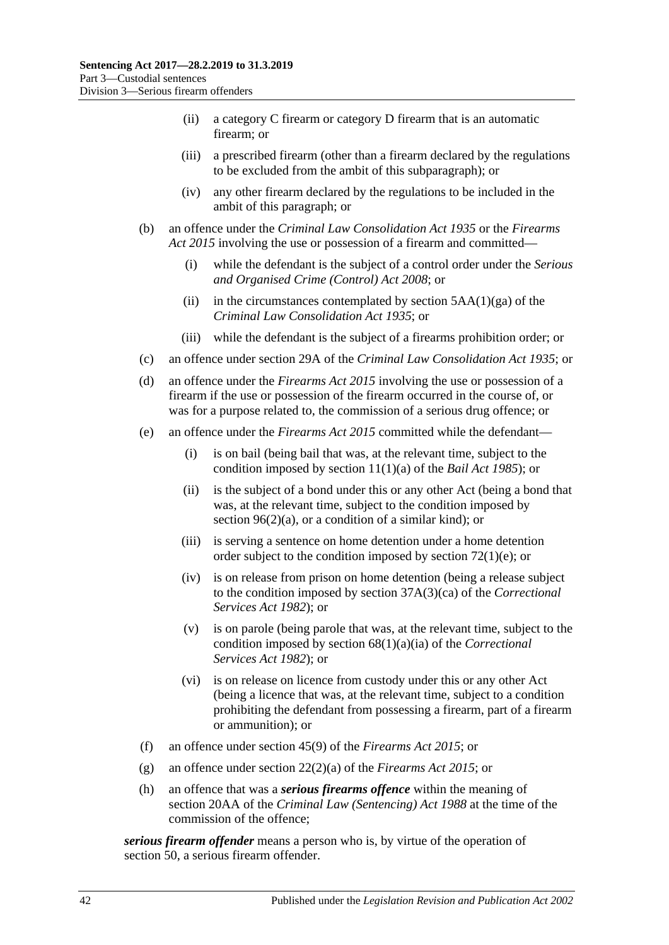- (ii) a category C firearm or category D firearm that is an automatic firearm; or
- (iii) a prescribed firearm (other than a firearm declared by the regulations to be excluded from the ambit of this subparagraph); or
- (iv) any other firearm declared by the regulations to be included in the ambit of this paragraph; or
- (b) an offence under the *[Criminal Law Consolidation Act](http://www.legislation.sa.gov.au/index.aspx?action=legref&type=act&legtitle=Criminal%20Law%20Consolidation%20Act%201935) 1935* or the *[Firearms](http://www.legislation.sa.gov.au/index.aspx?action=legref&type=act&legtitle=Firearms%20Act%202015)  Act [2015](http://www.legislation.sa.gov.au/index.aspx?action=legref&type=act&legtitle=Firearms%20Act%202015)* involving the use or possession of a firearm and committed—
	- (i) while the defendant is the subject of a control order under the *[Serious](http://www.legislation.sa.gov.au/index.aspx?action=legref&type=act&legtitle=Serious%20and%20Organised%20Crime%20(Control)%20Act%202008)  [and Organised Crime \(Control\) Act](http://www.legislation.sa.gov.au/index.aspx?action=legref&type=act&legtitle=Serious%20and%20Organised%20Crime%20(Control)%20Act%202008) 2008*; or
	- (ii) in the circumstances contemplated by section  $5AA(1)(ga)$  of the *[Criminal Law Consolidation Act](http://www.legislation.sa.gov.au/index.aspx?action=legref&type=act&legtitle=Criminal%20Law%20Consolidation%20Act%201935) 1935*; or
	- (iii) while the defendant is the subject of a firearms prohibition order; or
- (c) an offence under section 29A of the *[Criminal Law Consolidation Act](http://www.legislation.sa.gov.au/index.aspx?action=legref&type=act&legtitle=Criminal%20Law%20Consolidation%20Act%201935) 1935*; or
- (d) an offence under the *[Firearms Act](http://www.legislation.sa.gov.au/index.aspx?action=legref&type=act&legtitle=Firearms%20Act%202015) 2015* involving the use or possession of a firearm if the use or possession of the firearm occurred in the course of, or was for a purpose related to, the commission of a serious drug offence; or
- (e) an offence under the *[Firearms Act](http://www.legislation.sa.gov.au/index.aspx?action=legref&type=act&legtitle=Firearms%20Act%202015) 2015* committed while the defendant—
	- (i) is on bail (being bail that was, at the relevant time, subject to the condition imposed by section 11(1)(a) of the *[Bail Act](http://www.legislation.sa.gov.au/index.aspx?action=legref&type=act&legtitle=Bail%20Act%201985) 1985*); or
	- (ii) is the subject of a bond under this or any other Act (being a bond that was, at the relevant time, subject to the condition imposed by section  $96(2)(a)$ , or a condition of a similar kind); or
	- (iii) is serving a sentence on home detention under a home detention order subject to the condition imposed by section [72\(1\)\(e\);](#page-60-0) or
	- (iv) is on release from prison on home detention (being a release subject to the condition imposed by section 37A(3)(ca) of the *[Correctional](http://www.legislation.sa.gov.au/index.aspx?action=legref&type=act&legtitle=Correctional%20Services%20Act%201982)  [Services Act](http://www.legislation.sa.gov.au/index.aspx?action=legref&type=act&legtitle=Correctional%20Services%20Act%201982) 1982*); or
	- (v) is on parole (being parole that was, at the relevant time, subject to the condition imposed by section 68(1)(a)(ia) of the *[Correctional](http://www.legislation.sa.gov.au/index.aspx?action=legref&type=act&legtitle=Correctional%20Services%20Act%201982)  [Services Act](http://www.legislation.sa.gov.au/index.aspx?action=legref&type=act&legtitle=Correctional%20Services%20Act%201982) 1982*); or
	- (vi) is on release on licence from custody under this or any other Act (being a licence that was, at the relevant time, subject to a condition prohibiting the defendant from possessing a firearm, part of a firearm or ammunition); or
- (f) an offence under section 45(9) of the *[Firearms Act](http://www.legislation.sa.gov.au/index.aspx?action=legref&type=act&legtitle=Firearms%20Act%202015) 2015*; or
- (g) an offence under section 22(2)(a) of the *[Firearms Act](http://www.legislation.sa.gov.au/index.aspx?action=legref&type=act&legtitle=Firearms%20Act%202015) 2015*; or
- (h) an offence that was a *serious firearms offence* within the meaning of section 20AA of the *[Criminal Law \(Sentencing\) Act](http://www.legislation.sa.gov.au/index.aspx?action=legref&type=act&legtitle=Criminal%20Law%20(Sentencing)%20Act%201988) 1988* at the time of the commission of the offence;

*serious firearm offender* means a person who is, by virtue of the operation of [section](#page-42-0) 50, a serious firearm offender.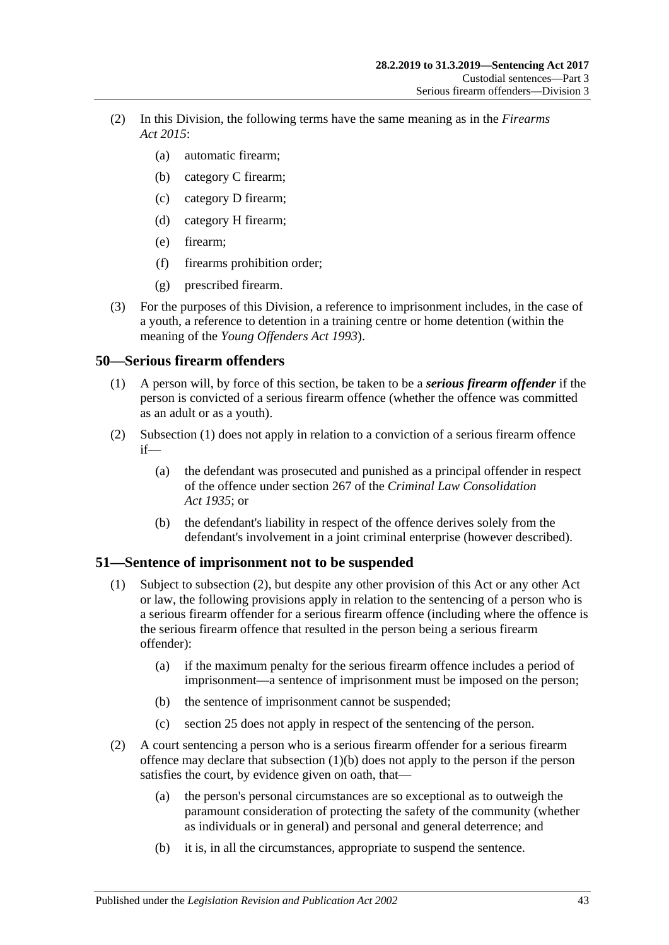- (2) In this Division, the following terms have the same meaning as in the *[Firearms](http://www.legislation.sa.gov.au/index.aspx?action=legref&type=act&legtitle=Firearms%20Act%202015)  Act [2015](http://www.legislation.sa.gov.au/index.aspx?action=legref&type=act&legtitle=Firearms%20Act%202015)*:
	- (a) automatic firearm;
	- (b) category C firearm;
	- (c) category D firearm;
	- (d) category H firearm;
	- (e) firearm;
	- (f) firearms prohibition order;
	- (g) prescribed firearm.
- (3) For the purposes of this Division, a reference to imprisonment includes, in the case of a youth, a reference to detention in a training centre or home detention (within the meaning of the *[Young Offenders Act](http://www.legislation.sa.gov.au/index.aspx?action=legref&type=act&legtitle=Young%20Offenders%20Act%201993) 1993*).

# <span id="page-42-1"></span><span id="page-42-0"></span>**50—Serious firearm offenders**

- (1) A person will, by force of this section, be taken to be a *serious firearm offender* if the person is convicted of a serious firearm offence (whether the offence was committed as an adult or as a youth).
- (2) [Subsection](#page-42-1) (1) does not apply in relation to a conviction of a serious firearm offence if—
	- (a) the defendant was prosecuted and punished as a principal offender in respect of the offence under section 267 of the *[Criminal Law Consolidation](http://www.legislation.sa.gov.au/index.aspx?action=legref&type=act&legtitle=Criminal%20Law%20Consolidation%20Act%201935)  Act [1935](http://www.legislation.sa.gov.au/index.aspx?action=legref&type=act&legtitle=Criminal%20Law%20Consolidation%20Act%201935)*; or
	- (b) the defendant's liability in respect of the offence derives solely from the defendant's involvement in a joint criminal enterprise (however described).

# **51—Sentence of imprisonment not to be suspended**

- (1) Subject to [subsection](#page-42-2) (2), but despite any other provision of this Act or any other Act or law, the following provisions apply in relation to the sentencing of a person who is a serious firearm offender for a serious firearm offence (including where the offence is the serious firearm offence that resulted in the person being a serious firearm offender):
	- (a) if the maximum penalty for the serious firearm offence includes a period of imprisonment—a sentence of imprisonment must be imposed on the person;
	- (b) the sentence of imprisonment cannot be suspended;
	- (c) [section](#page-19-0) 25 does not apply in respect of the sentencing of the person.
- <span id="page-42-3"></span><span id="page-42-2"></span>(2) A court sentencing a person who is a serious firearm offender for a serious firearm offence may declare that [subsection](#page-42-3) (1)(b) does not apply to the person if the person satisfies the court, by evidence given on oath, that—
	- (a) the person's personal circumstances are so exceptional as to outweigh the paramount consideration of protecting the safety of the community (whether as individuals or in general) and personal and general deterrence; and
	- (b) it is, in all the circumstances, appropriate to suspend the sentence.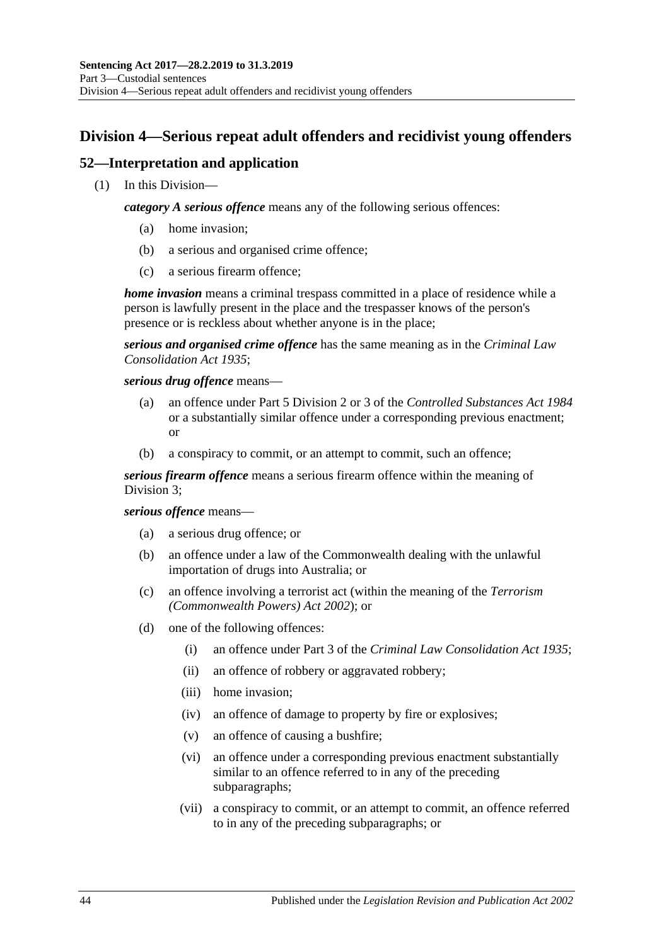# **Division 4—Serious repeat adult offenders and recidivist young offenders**

# **52—Interpretation and application**

(1) In this Division—

*category A serious offence* means any of the following serious offences:

- (a) home invasion;
- (b) a serious and organised crime offence;
- (c) a serious firearm offence;

*home invasion* means a criminal trespass committed in a place of residence while a person is lawfully present in the place and the trespasser knows of the person's presence or is reckless about whether anyone is in the place;

*serious and organised crime offence* has the same meaning as in the *[Criminal Law](http://www.legislation.sa.gov.au/index.aspx?action=legref&type=act&legtitle=Criminal%20Law%20Consolidation%20Act%201935)  [Consolidation Act](http://www.legislation.sa.gov.au/index.aspx?action=legref&type=act&legtitle=Criminal%20Law%20Consolidation%20Act%201935) 1935*;

*serious drug offence* means—

- (a) an offence under Part 5 Division 2 or 3 of the *[Controlled Substances Act](http://www.legislation.sa.gov.au/index.aspx?action=legref&type=act&legtitle=Controlled%20Substances%20Act%201984) 1984* or a substantially similar offence under a corresponding previous enactment; or
- (b) a conspiracy to commit, or an attempt to commit, such an offence;

*serious firearm offence* means a serious firearm offence within the meaning of [Division](#page-40-2) 3;

### *serious offence* means—

- (a) a serious drug offence; or
- (b) an offence under a law of the Commonwealth dealing with the unlawful importation of drugs into Australia; or
- (c) an offence involving a terrorist act (within the meaning of the *Terrorism (Commonwealth Powers) Act 2002*); or
- <span id="page-43-0"></span>(d) one of the following offences:
	- (i) an offence under Part 3 of the *[Criminal Law Consolidation Act](http://www.legislation.sa.gov.au/index.aspx?action=legref&type=act&legtitle=Criminal%20Law%20Consolidation%20Act%201935) 1935*;
	- (ii) an offence of robbery or aggravated robbery;
	- (iii) home invasion;
	- (iv) an offence of damage to property by fire or explosives;
	- (v) an offence of causing a bushfire;
	- (vi) an offence under a corresponding previous enactment substantially similar to an offence referred to in any of the preceding subparagraphs;
	- (vii) a conspiracy to commit, or an attempt to commit, an offence referred to in any of the preceding subparagraphs; or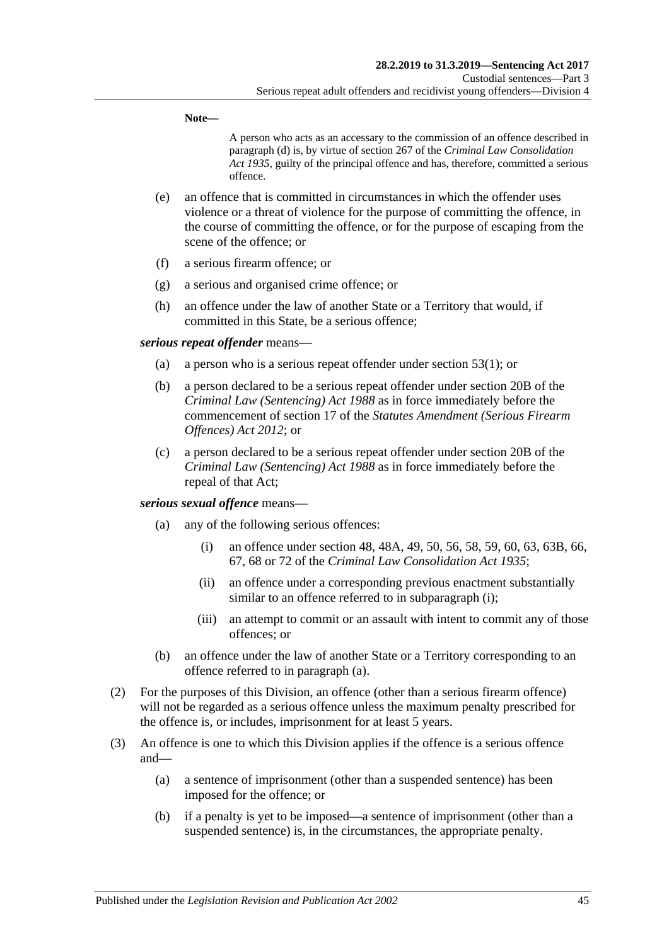**Note—**

A person who acts as an accessary to the commission of an offence described in [paragraph](#page-43-0) (d) is, by virtue of section 267 of the *[Criminal Law Consolidation](http://www.legislation.sa.gov.au/index.aspx?action=legref&type=act&legtitle=Criminal%20Law%20Consolidation%20Act%201935)  Act [1935](http://www.legislation.sa.gov.au/index.aspx?action=legref&type=act&legtitle=Criminal%20Law%20Consolidation%20Act%201935)*, guilty of the principal offence and has, therefore, committed a serious offence.

- (e) an offence that is committed in circumstances in which the offender uses violence or a threat of violence for the purpose of committing the offence, in the course of committing the offence, or for the purpose of escaping from the scene of the offence; or
- (f) a serious firearm offence; or
- (g) a serious and organised crime offence; or
- (h) an offence under the law of another State or a Territory that would, if committed in this State, be a serious offence;

#### *serious repeat offender* means—

- (a) a person who is a serious repeat offender under [section](#page-45-0) 53(1); or
- (b) a person declared to be a serious repeat offender under section 20B of the *[Criminal Law \(Sentencing\) Act](http://www.legislation.sa.gov.au/index.aspx?action=legref&type=act&legtitle=Criminal%20Law%20(Sentencing)%20Act%201988) 1988* as in force immediately before the commencement of section 17 of the *[Statutes Amendment \(Serious Firearm](http://www.legislation.sa.gov.au/index.aspx?action=legref&type=act&legtitle=Statutes%20Amendment%20(Serious%20Firearm%20Offences)%20Act%202012)  [Offences\) Act](http://www.legislation.sa.gov.au/index.aspx?action=legref&type=act&legtitle=Statutes%20Amendment%20(Serious%20Firearm%20Offences)%20Act%202012) 2012*; or
- (c) a person declared to be a serious repeat offender under section 20B of the *[Criminal Law \(Sentencing\) Act](http://www.legislation.sa.gov.au/index.aspx?action=legref&type=act&legtitle=Criminal%20Law%20(Sentencing)%20Act%201988) 1988* as in force immediately before the repeal of that Act;

### <span id="page-44-1"></span><span id="page-44-0"></span>*serious sexual offence* means—

- (a) any of the following serious offences:
	- (i) an offence under section 48, 48A, 49, 50, 56, 58, 59, 60, 63, 63B, 66, 67, 68 or 72 of the *[Criminal Law Consolidation Act](http://www.legislation.sa.gov.au/index.aspx?action=legref&type=act&legtitle=Criminal%20Law%20Consolidation%20Act%201935) 1935*;
	- (ii) an offence under a corresponding previous enactment substantially similar to an offence referred to in [subparagraph](#page-44-0) (i);
	- (iii) an attempt to commit or an assault with intent to commit any of those offences; or
- (b) an offence under the law of another State or a Territory corresponding to an offence referred to in [paragraph](#page-44-1) (a).
- (2) For the purposes of this Division, an offence (other than a serious firearm offence) will not be regarded as a serious offence unless the maximum penalty prescribed for the offence is, or includes, imprisonment for at least 5 years.
- (3) An offence is one to which this Division applies if the offence is a serious offence and—
	- (a) a sentence of imprisonment (other than a suspended sentence) has been imposed for the offence; or
	- (b) if a penalty is yet to be imposed—a sentence of imprisonment (other than a suspended sentence) is, in the circumstances, the appropriate penalty.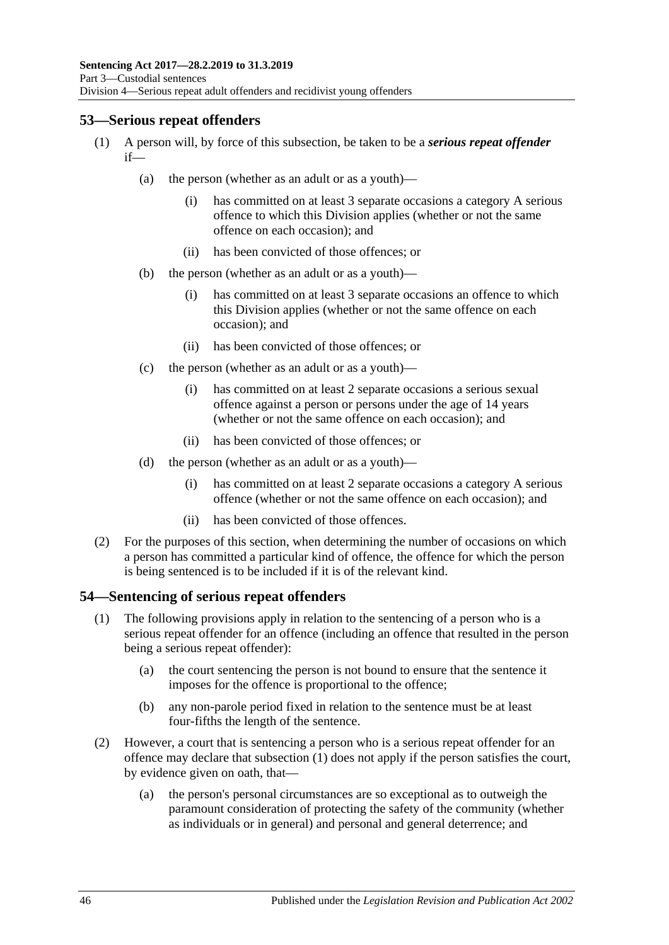# <span id="page-45-0"></span>**53—Serious repeat offenders**

- (1) A person will, by force of this subsection, be taken to be a *serious repeat offender* if—
	- (a) the person (whether as an adult or as a youth)—
		- (i) has committed on at least 3 separate occasions a category A serious offence to which this Division applies (whether or not the same offence on each occasion); and
		- (ii) has been convicted of those offences; or
	- (b) the person (whether as an adult or as a youth)—
		- (i) has committed on at least 3 separate occasions an offence to which this Division applies (whether or not the same offence on each occasion); and
		- (ii) has been convicted of those offences; or
	- (c) the person (whether as an adult or as a youth)—
		- (i) has committed on at least 2 separate occasions a serious sexual offence against a person or persons under the age of 14 years (whether or not the same offence on each occasion); and
		- (ii) has been convicted of those offences; or
	- (d) the person (whether as an adult or as a youth)—
		- (i) has committed on at least 2 separate occasions a category A serious offence (whether or not the same offence on each occasion); and
		- (ii) has been convicted of those offences.
- (2) For the purposes of this section, when determining the number of occasions on which a person has committed a particular kind of offence, the offence for which the person is being sentenced is to be included if it is of the relevant kind.

# <span id="page-45-1"></span>**54—Sentencing of serious repeat offenders**

- (1) The following provisions apply in relation to the sentencing of a person who is a serious repeat offender for an offence (including an offence that resulted in the person being a serious repeat offender):
	- (a) the court sentencing the person is not bound to ensure that the sentence it imposes for the offence is proportional to the offence;
	- (b) any non-parole period fixed in relation to the sentence must be at least four-fifths the length of the sentence.
- (2) However, a court that is sentencing a person who is a serious repeat offender for an offence may declare that [subsection](#page-45-1) (1) does not apply if the person satisfies the court, by evidence given on oath, that—
	- (a) the person's personal circumstances are so exceptional as to outweigh the paramount consideration of protecting the safety of the community (whether as individuals or in general) and personal and general deterrence; and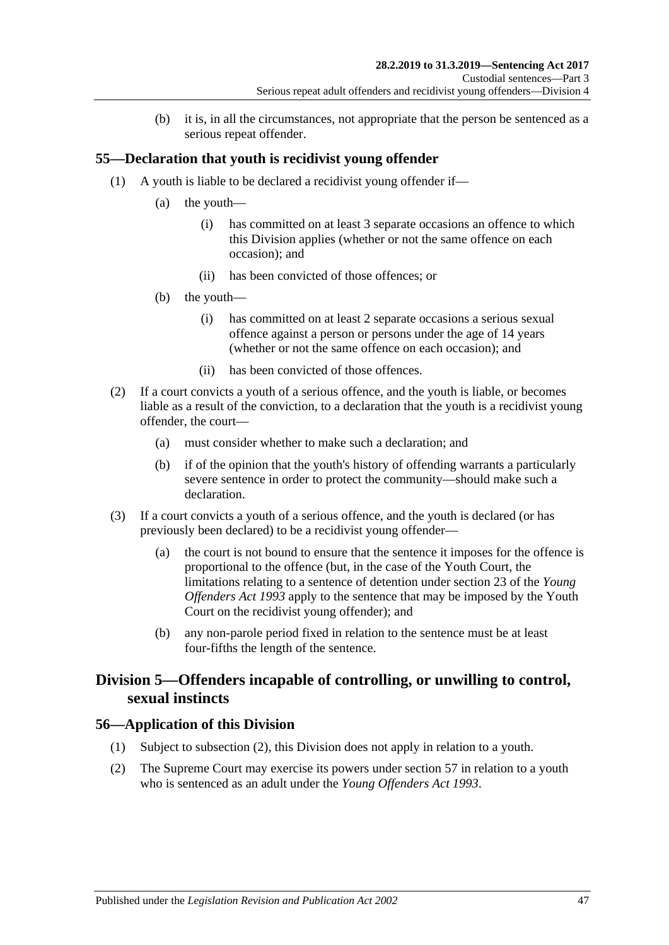(b) it is, in all the circumstances, not appropriate that the person be sentenced as a serious repeat offender.

# **55—Declaration that youth is recidivist young offender**

- (1) A youth is liable to be declared a recidivist young offender if—
	- (a) the youth—
		- (i) has committed on at least 3 separate occasions an offence to which this Division applies (whether or not the same offence on each occasion); and
		- (ii) has been convicted of those offences; or
	- (b) the youth—
		- (i) has committed on at least 2 separate occasions a serious sexual offence against a person or persons under the age of 14 years (whether or not the same offence on each occasion); and
		- (ii) has been convicted of those offences.
- (2) If a court convicts a youth of a serious offence, and the youth is liable, or becomes liable as a result of the conviction, to a declaration that the youth is a recidivist young offender, the court—
	- (a) must consider whether to make such a declaration; and
	- (b) if of the opinion that the youth's history of offending warrants a particularly severe sentence in order to protect the community—should make such a declaration.
- (3) If a court convicts a youth of a serious offence, and the youth is declared (or has previously been declared) to be a recidivist young offender—
	- (a) the court is not bound to ensure that the sentence it imposes for the offence is proportional to the offence (but, in the case of the Youth Court, the limitations relating to a sentence of detention under section 23 of the *[Young](http://www.legislation.sa.gov.au/index.aspx?action=legref&type=act&legtitle=Young%20Offenders%20Act%201993)  [Offenders Act](http://www.legislation.sa.gov.au/index.aspx?action=legref&type=act&legtitle=Young%20Offenders%20Act%201993) 1993* apply to the sentence that may be imposed by the Youth Court on the recidivist young offender); and
	- (b) any non-parole period fixed in relation to the sentence must be at least four-fifths the length of the sentence.

# **Division 5—Offenders incapable of controlling, or unwilling to control, sexual instincts**

# **56—Application of this Division**

- (1) Subject to [subsection](#page-46-0) (2), this Division does not apply in relation to a youth.
- <span id="page-46-0"></span>(2) The Supreme Court may exercise its powers under [section](#page-47-0) 57 in relation to a youth who is sentenced as an adult under the *[Young Offenders Act](http://www.legislation.sa.gov.au/index.aspx?action=legref&type=act&legtitle=Young%20Offenders%20Act%201993) 1993*.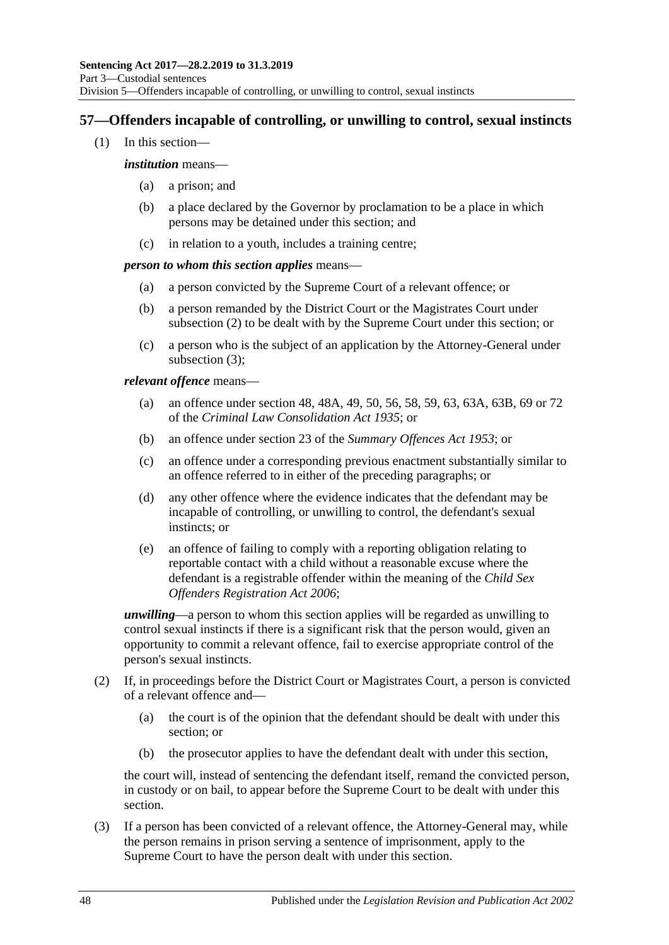# <span id="page-47-0"></span>**57—Offenders incapable of controlling, or unwilling to control, sexual instincts**

(1) In this section—

#### *institution* means—

- (a) a prison; and
- (b) a place declared by the Governor by proclamation to be a place in which persons may be detained under this section; and
- (c) in relation to a youth, includes a training centre;

### *person to whom this section applies* means—

- (a) a person convicted by the Supreme Court of a relevant offence; or
- (b) a person remanded by the District Court or the Magistrates Court under [subsection](#page-47-1) (2) to be dealt with by the Supreme Court under this section; or
- (c) a person who is the subject of an application by the Attorney-General under [subsection](#page-47-2) (3);

### *relevant offence* means—

- (a) an offence under section 48, 48A, 49, 50, 56, 58, 59, 63, 63A, 63B, 69 or 72 of the *[Criminal Law Consolidation Act](http://www.legislation.sa.gov.au/index.aspx?action=legref&type=act&legtitle=Criminal%20Law%20Consolidation%20Act%201935) 1935*; or
- (b) an offence under section 23 of the *[Summary Offences Act](http://www.legislation.sa.gov.au/index.aspx?action=legref&type=act&legtitle=Summary%20Offences%20Act%201953) 1953*; or
- (c) an offence under a corresponding previous enactment substantially similar to an offence referred to in either of the preceding paragraphs; or
- (d) any other offence where the evidence indicates that the defendant may be incapable of controlling, or unwilling to control, the defendant's sexual instincts; or
- (e) an offence of failing to comply with a reporting obligation relating to reportable contact with a child without a reasonable excuse where the defendant is a registrable offender within the meaning of the *[Child Sex](http://www.legislation.sa.gov.au/index.aspx?action=legref&type=act&legtitle=Child%20Sex%20Offenders%20Registration%20Act%202006)  [Offenders Registration Act](http://www.legislation.sa.gov.au/index.aspx?action=legref&type=act&legtitle=Child%20Sex%20Offenders%20Registration%20Act%202006) 2006*;

*unwilling*—a person to whom this section applies will be regarded as unwilling to control sexual instincts if there is a significant risk that the person would, given an opportunity to commit a relevant offence, fail to exercise appropriate control of the person's sexual instincts.

- <span id="page-47-1"></span>(2) If, in proceedings before the District Court or Magistrates Court, a person is convicted of a relevant offence and—
	- (a) the court is of the opinion that the defendant should be dealt with under this section; or
	- (b) the prosecutor applies to have the defendant dealt with under this section,

the court will, instead of sentencing the defendant itself, remand the convicted person, in custody or on bail, to appear before the Supreme Court to be dealt with under this section.

<span id="page-47-2"></span>(3) If a person has been convicted of a relevant offence, the Attorney-General may, while the person remains in prison serving a sentence of imprisonment, apply to the Supreme Court to have the person dealt with under this section.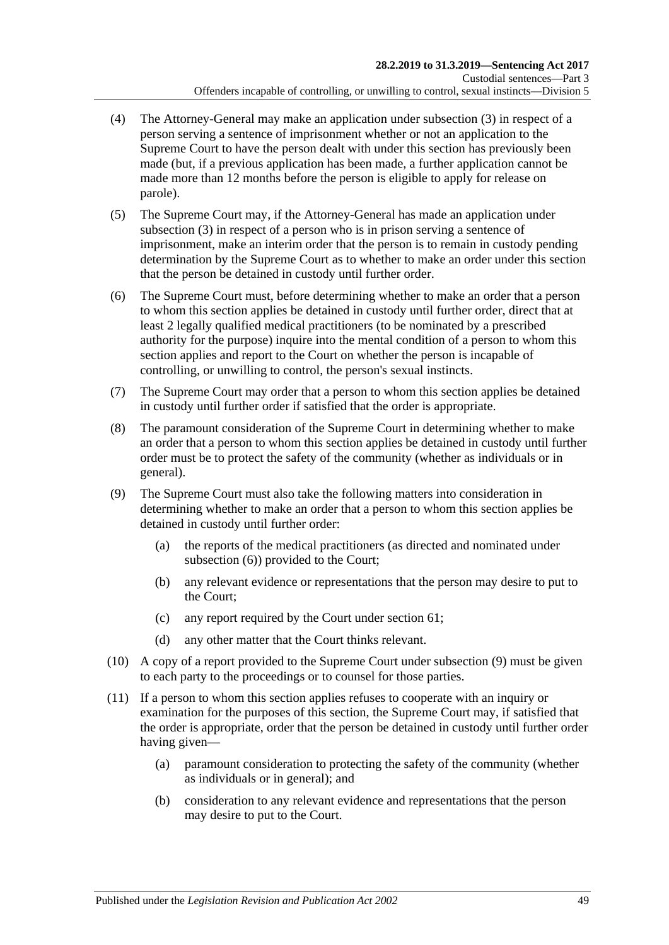- (4) The Attorney-General may make an application under [subsection](#page-47-2) (3) in respect of a person serving a sentence of imprisonment whether or not an application to the Supreme Court to have the person dealt with under this section has previously been made (but, if a previous application has been made, a further application cannot be made more than 12 months before the person is eligible to apply for release on parole).
- (5) The Supreme Court may, if the Attorney-General has made an application under [subsection](#page-47-2) (3) in respect of a person who is in prison serving a sentence of imprisonment, make an interim order that the person is to remain in custody pending determination by the Supreme Court as to whether to make an order under this section that the person be detained in custody until further order.
- <span id="page-48-0"></span>(6) The Supreme Court must, before determining whether to make an order that a person to whom this section applies be detained in custody until further order, direct that at least 2 legally qualified medical practitioners (to be nominated by a prescribed authority for the purpose) inquire into the mental condition of a person to whom this section applies and report to the Court on whether the person is incapable of controlling, or unwilling to control, the person's sexual instincts.
- (7) The Supreme Court may order that a person to whom this section applies be detained in custody until further order if satisfied that the order is appropriate.
- (8) The paramount consideration of the Supreme Court in determining whether to make an order that a person to whom this section applies be detained in custody until further order must be to protect the safety of the community (whether as individuals or in general).
- <span id="page-48-1"></span>(9) The Supreme Court must also take the following matters into consideration in determining whether to make an order that a person to whom this section applies be detained in custody until further order:
	- (a) the reports of the medical practitioners (as directed and nominated under [subsection](#page-48-0) (6)) provided to the Court;
	- (b) any relevant evidence or representations that the person may desire to put to the Court;
	- (c) any report required by the Court under [section](#page-54-0) 61;
	- (d) any other matter that the Court thinks relevant.
- (10) A copy of a report provided to the Supreme Court under [subsection](#page-48-1) (9) must be given to each party to the proceedings or to counsel for those parties.
- (11) If a person to whom this section applies refuses to cooperate with an inquiry or examination for the purposes of this section, the Supreme Court may, if satisfied that the order is appropriate, order that the person be detained in custody until further order having given—
	- (a) paramount consideration to protecting the safety of the community (whether as individuals or in general); and
	- (b) consideration to any relevant evidence and representations that the person may desire to put to the Court.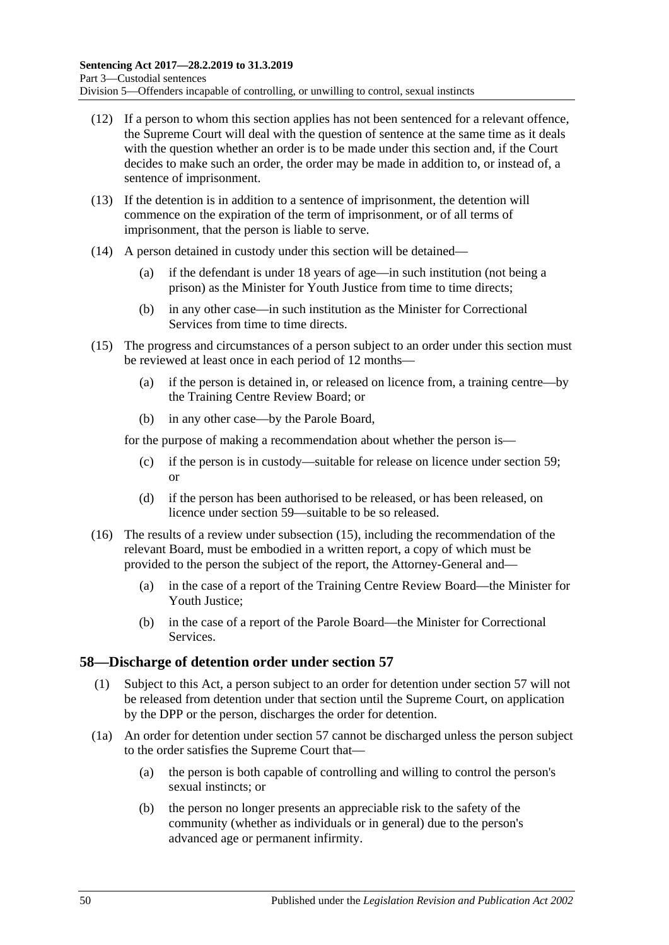- (12) If a person to whom this section applies has not been sentenced for a relevant offence, the Supreme Court will deal with the question of sentence at the same time as it deals with the question whether an order is to be made under this section and, if the Court decides to make such an order, the order may be made in addition to, or instead of, a sentence of imprisonment.
- (13) If the detention is in addition to a sentence of imprisonment, the detention will commence on the expiration of the term of imprisonment, or of all terms of imprisonment, that the person is liable to serve.
- (14) A person detained in custody under this section will be detained—
	- (a) if the defendant is under 18 years of age—in such institution (not being a prison) as the Minister for Youth Justice from time to time directs;
	- (b) in any other case—in such institution as the Minister for Correctional Services from time to time directs.
- <span id="page-49-0"></span>(15) The progress and circumstances of a person subject to an order under this section must be reviewed at least once in each period of 12 months—
	- (a) if the person is detained in, or released on licence from, a training centre—by the Training Centre Review Board; or
	- (b) in any other case—by the Parole Board,

for the purpose of making a recommendation about whether the person is—

- (c) if the person is in custody—suitable for release on licence under [section](#page-50-0) 59; or
- (d) if the person has been authorised to be released, or has been released, on licence under [section](#page-50-0) 59—suitable to be so released.
- (16) The results of a review under [subsection](#page-49-0) (15), including the recommendation of the relevant Board, must be embodied in a written report, a copy of which must be provided to the person the subject of the report, the Attorney-General and—
	- (a) in the case of a report of the Training Centre Review Board—the Minister for Youth Justice;
	- (b) in the case of a report of the Parole Board—the Minister for Correctional Services.

# **58—Discharge of detention order under [section](#page-47-0) 57**

- (1) Subject to this Act, a person subject to an order for detention under [section](#page-47-0) 57 will not be released from detention under that section until the Supreme Court, on application by the DPP or the person, discharges the order for detention.
- (1a) An order for detention under [section](#page-47-0) 57 cannot be discharged unless the person subject to the order satisfies the Supreme Court that—
	- (a) the person is both capable of controlling and willing to control the person's sexual instincts; or
	- (b) the person no longer presents an appreciable risk to the safety of the community (whether as individuals or in general) due to the person's advanced age or permanent infirmity.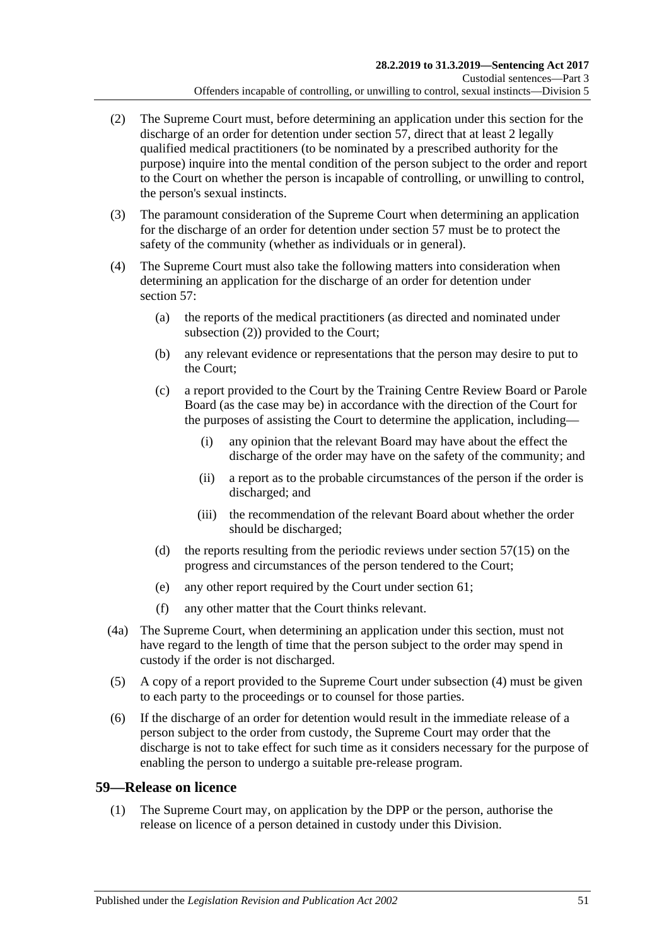- <span id="page-50-1"></span>(2) The Supreme Court must, before determining an application under this section for the discharge of an order for detention under [section](#page-47-0) 57, direct that at least 2 legally qualified medical practitioners (to be nominated by a prescribed authority for the purpose) inquire into the mental condition of the person subject to the order and report to the Court on whether the person is incapable of controlling, or unwilling to control, the person's sexual instincts.
- (3) The paramount consideration of the Supreme Court when determining an application for the discharge of an order for detention under [section](#page-47-0) 57 must be to protect the safety of the community (whether as individuals or in general).
- <span id="page-50-2"></span>(4) The Supreme Court must also take the following matters into consideration when determining an application for the discharge of an order for detention under [section](#page-47-0) 57:
	- (a) the reports of the medical practitioners (as directed and nominated under [subsection](#page-50-1) (2)) provided to the Court;
	- (b) any relevant evidence or representations that the person may desire to put to the Court;
	- (c) a report provided to the Court by the Training Centre Review Board or Parole Board (as the case may be) in accordance with the direction of the Court for the purposes of assisting the Court to determine the application, including—
		- (i) any opinion that the relevant Board may have about the effect the discharge of the order may have on the safety of the community; and
		- (ii) a report as to the probable circumstances of the person if the order is discharged; and
		- (iii) the recommendation of the relevant Board about whether the order should be discharged;
	- (d) the reports resulting from the periodic reviews under [section](#page-49-0)  $57(15)$  on the progress and circumstances of the person tendered to the Court;
	- (e) any other report required by the Court under [section](#page-54-0) 61;
	- (f) any other matter that the Court thinks relevant.
- (4a) The Supreme Court, when determining an application under this section, must not have regard to the length of time that the person subject to the order may spend in custody if the order is not discharged.
- (5) A copy of a report provided to the Supreme Court under [subsection](#page-50-2) (4) must be given to each party to the proceedings or to counsel for those parties.
- (6) If the discharge of an order for detention would result in the immediate release of a person subject to the order from custody, the Supreme Court may order that the discharge is not to take effect for such time as it considers necessary for the purpose of enabling the person to undergo a suitable pre-release program.

# <span id="page-50-3"></span><span id="page-50-0"></span>**59—Release on licence**

(1) The Supreme Court may, on application by the DPP or the person, authorise the release on licence of a person detained in custody under this Division.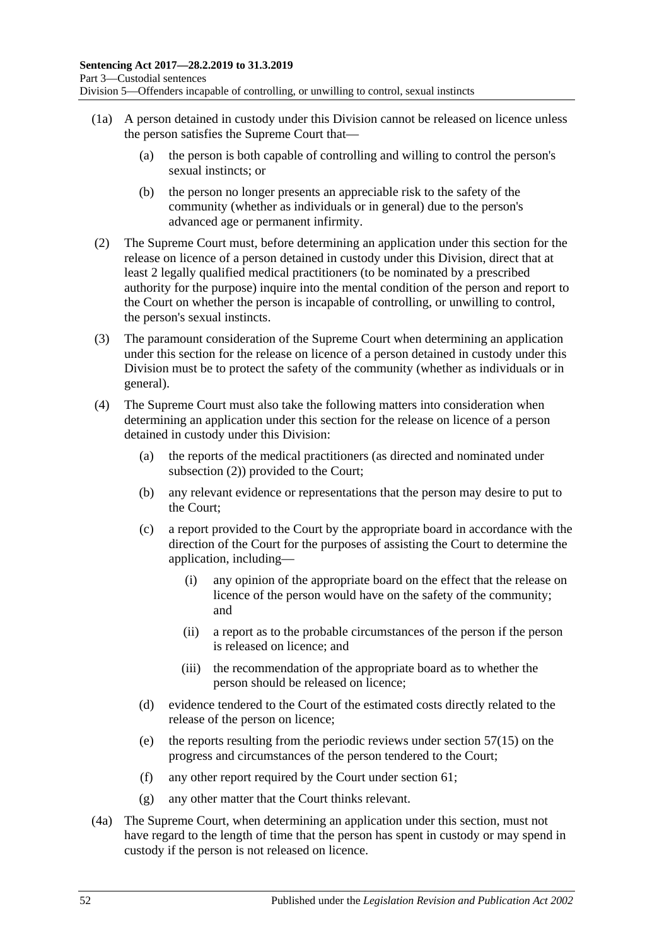- (1a) A person detained in custody under this Division cannot be released on licence unless the person satisfies the Supreme Court that—
	- (a) the person is both capable of controlling and willing to control the person's sexual instincts; or
	- (b) the person no longer presents an appreciable risk to the safety of the community (whether as individuals or in general) due to the person's advanced age or permanent infirmity.
- <span id="page-51-2"></span><span id="page-51-0"></span>(2) The Supreme Court must, before determining an application under this section for the release on licence of a person detained in custody under this Division, direct that at least 2 legally qualified medical practitioners (to be nominated by a prescribed authority for the purpose) inquire into the mental condition of the person and report to the Court on whether the person is incapable of controlling, or unwilling to control, the person's sexual instincts.
- (3) The paramount consideration of the Supreme Court when determining an application under this section for the release on licence of a person detained in custody under this Division must be to protect the safety of the community (whether as individuals or in general).
- <span id="page-51-1"></span>(4) The Supreme Court must also take the following matters into consideration when determining an application under this section for the release on licence of a person detained in custody under this Division:
	- (a) the reports of the medical practitioners (as directed and nominated under [subsection](#page-51-0) (2)) provided to the Court;
	- (b) any relevant evidence or representations that the person may desire to put to the Court;
	- (c) a report provided to the Court by the appropriate board in accordance with the direction of the Court for the purposes of assisting the Court to determine the application, including—
		- (i) any opinion of the appropriate board on the effect that the release on licence of the person would have on the safety of the community; and
		- (ii) a report as to the probable circumstances of the person if the person is released on licence; and
		- (iii) the recommendation of the appropriate board as to whether the person should be released on licence;
	- (d) evidence tendered to the Court of the estimated costs directly related to the release of the person on licence;
	- (e) the reports resulting from the periodic reviews under [section](#page-49-0)  $57(15)$  on the progress and circumstances of the person tendered to the Court;
	- (f) any other report required by the Court under [section](#page-54-0) 61;
	- (g) any other matter that the Court thinks relevant.
- (4a) The Supreme Court, when determining an application under this section, must not have regard to the length of time that the person has spent in custody or may spend in custody if the person is not released on licence.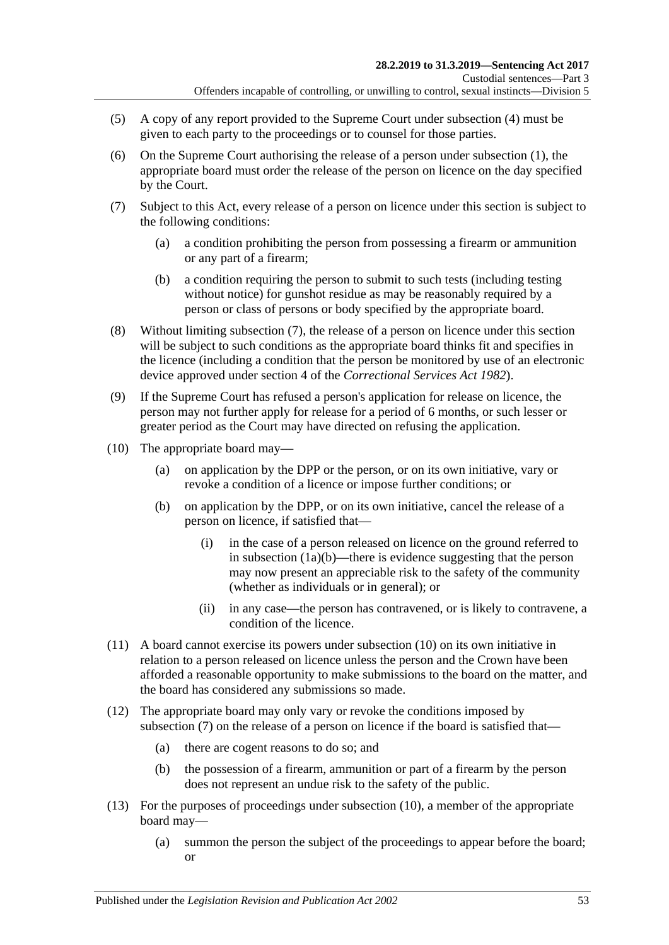- (5) A copy of any report provided to the Supreme Court under [subsection](#page-51-1) (4) must be given to each party to the proceedings or to counsel for those parties.
- (6) On the Supreme Court authorising the release of a person under [subsection](#page-50-3) (1), the appropriate board must order the release of the person on licence on the day specified by the Court.
- <span id="page-52-2"></span><span id="page-52-0"></span>(7) Subject to this Act, every release of a person on licence under this section is subject to the following conditions:
	- (a) a condition prohibiting the person from possessing a firearm or ammunition or any part of a firearm;
	- (b) a condition requiring the person to submit to such tests (including testing without notice) for gunshot residue as may be reasonably required by a person or class of persons or body specified by the appropriate board.
- (8) Without limiting [subsection](#page-52-0) (7), the release of a person on licence under this section will be subject to such conditions as the appropriate board thinks fit and specifies in the licence (including a condition that the person be monitored by use of an electronic device approved under section 4 of the *[Correctional Services Act](http://www.legislation.sa.gov.au/index.aspx?action=legref&type=act&legtitle=Correctional%20Services%20Act%201982) 1982*).
- (9) If the Supreme Court has refused a person's application for release on licence, the person may not further apply for release for a period of 6 months, or such lesser or greater period as the Court may have directed on refusing the application.
- <span id="page-52-1"></span>(10) The appropriate board may—
	- (a) on application by the DPP or the person, or on its own initiative, vary or revoke a condition of a licence or impose further conditions; or
	- (b) on application by the DPP, or on its own initiative, cancel the release of a person on licence, if satisfied that—
		- (i) in the case of a person released on licence on the ground referred to in [subsection](#page-51-2) (1a)(b)—there is evidence suggesting that the person may now present an appreciable risk to the safety of the community (whether as individuals or in general); or
		- (ii) in any case—the person has contravened, or is likely to contravene, a condition of the licence.
- (11) A board cannot exercise its powers under [subsection](#page-52-1) (10) on its own initiative in relation to a person released on licence unless the person and the Crown have been afforded a reasonable opportunity to make submissions to the board on the matter, and the board has considered any submissions so made.
- (12) The appropriate board may only vary or revoke the conditions imposed by [subsection](#page-52-0) (7) on the release of a person on licence if the board is satisfied that—
	- (a) there are cogent reasons to do so; and
	- (b) the possession of a firearm, ammunition or part of a firearm by the person does not represent an undue risk to the safety of the public.
- (13) For the purposes of proceedings under [subsection](#page-52-1) (10), a member of the appropriate board may—
	- (a) summon the person the subject of the proceedings to appear before the board; or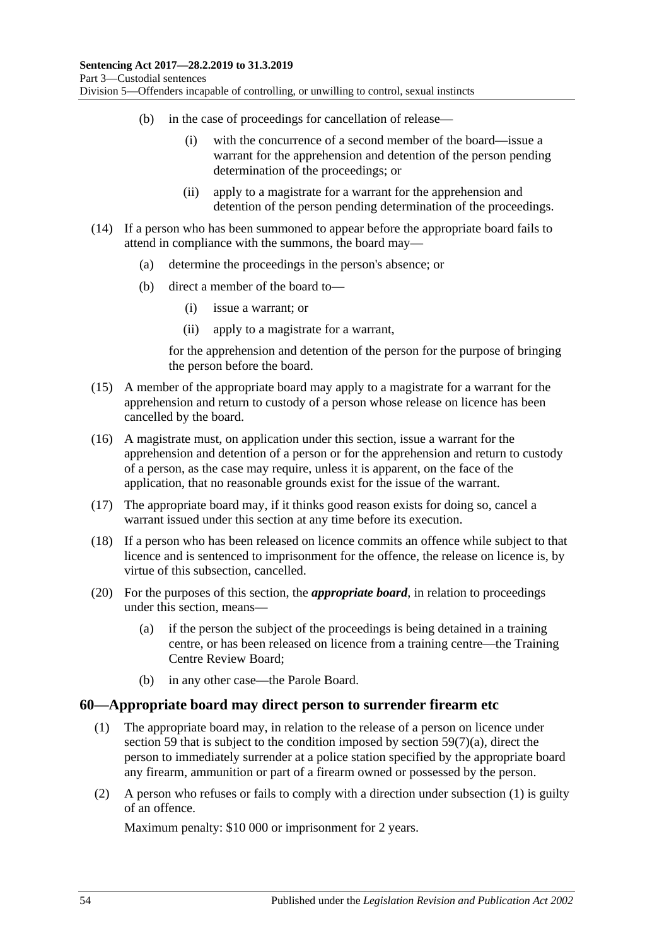- (b) in the case of proceedings for cancellation of release—
	- (i) with the concurrence of a second member of the board—issue a warrant for the apprehension and detention of the person pending determination of the proceedings; or
	- (ii) apply to a magistrate for a warrant for the apprehension and detention of the person pending determination of the proceedings.
- (14) If a person who has been summoned to appear before the appropriate board fails to attend in compliance with the summons, the board may—
	- (a) determine the proceedings in the person's absence; or
	- (b) direct a member of the board to—
		- (i) issue a warrant; or
		- (ii) apply to a magistrate for a warrant,

for the apprehension and detention of the person for the purpose of bringing the person before the board.

- (15) A member of the appropriate board may apply to a magistrate for a warrant for the apprehension and return to custody of a person whose release on licence has been cancelled by the board.
- (16) A magistrate must, on application under this section, issue a warrant for the apprehension and detention of a person or for the apprehension and return to custody of a person, as the case may require, unless it is apparent, on the face of the application, that no reasonable grounds exist for the issue of the warrant.
- (17) The appropriate board may, if it thinks good reason exists for doing so, cancel a warrant issued under this section at any time before its execution.
- (18) If a person who has been released on licence commits an offence while subject to that licence and is sentenced to imprisonment for the offence, the release on licence is, by virtue of this subsection, cancelled.
- (20) For the purposes of this section, the *appropriate board*, in relation to proceedings under this section, means—
	- (a) if the person the subject of the proceedings is being detained in a training centre, or has been released on licence from a training centre—the Training Centre Review Board;
	- (b) in any other case—the Parole Board.

### <span id="page-53-0"></span>**60—Appropriate board may direct person to surrender firearm etc**

- (1) The appropriate board may, in relation to the release of a person on licence under [section](#page-50-0) 59 that is subject to the condition imposed by section  $59(7)(a)$ , direct the person to immediately surrender at a police station specified by the appropriate board any firearm, ammunition or part of a firearm owned or possessed by the person.
- (2) A person who refuses or fails to comply with a direction under [subsection](#page-53-0) (1) is guilty of an offence.

Maximum penalty: \$10 000 or imprisonment for 2 years.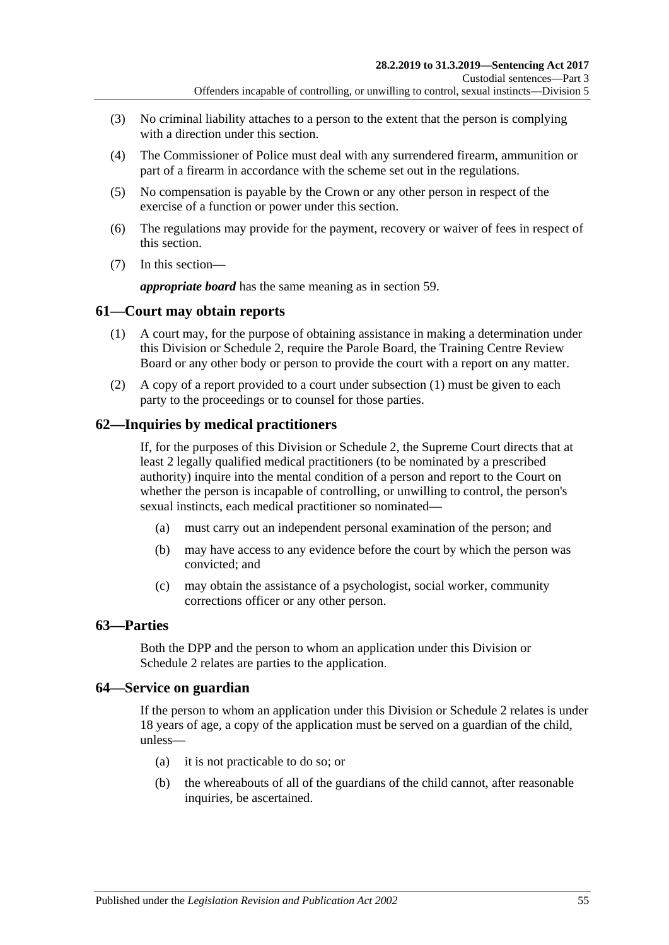- (3) No criminal liability attaches to a person to the extent that the person is complying with a direction under this section.
- (4) The Commissioner of Police must deal with any surrendered firearm, ammunition or part of a firearm in accordance with the scheme set out in the regulations.
- (5) No compensation is payable by the Crown or any other person in respect of the exercise of a function or power under this section.
- (6) The regulations may provide for the payment, recovery or waiver of fees in respect of this section.
- (7) In this section—

*appropriate board* has the same meaning as in [section](#page-50-0) 59.

# <span id="page-54-1"></span><span id="page-54-0"></span>**61—Court may obtain reports**

- (1) A court may, for the purpose of obtaining assistance in making a determination under this Division or [Schedule 2,](#page-97-0) require the Parole Board, the Training Centre Review Board or any other body or person to provide the court with a report on any matter.
- (2) A copy of a report provided to a court under [subsection](#page-54-1) (1) must be given to each party to the proceedings or to counsel for those parties.

# **62—Inquiries by medical practitioners**

If, for the purposes of this Division or [Schedule 2,](#page-97-0) the Supreme Court directs that at least 2 legally qualified medical practitioners (to be nominated by a prescribed authority) inquire into the mental condition of a person and report to the Court on whether the person is incapable of controlling, or unwilling to control, the person's sexual instincts, each medical practitioner so nominated—

- (a) must carry out an independent personal examination of the person; and
- (b) may have access to any evidence before the court by which the person was convicted; and
- (c) may obtain the assistance of a psychologist, social worker, community corrections officer or any other person.

# **63—Parties**

Both the DPP and the person to whom an application under this Division or [Schedule](#page-97-0) 2 relates are parties to the application.

# **64—Service on guardian**

If the person to whom an application under this Division or [Schedule 2](#page-97-0) relates is under 18 years of age, a copy of the application must be served on a guardian of the child, unless—

- (a) it is not practicable to do so; or
- (b) the whereabouts of all of the guardians of the child cannot, after reasonable inquiries, be ascertained.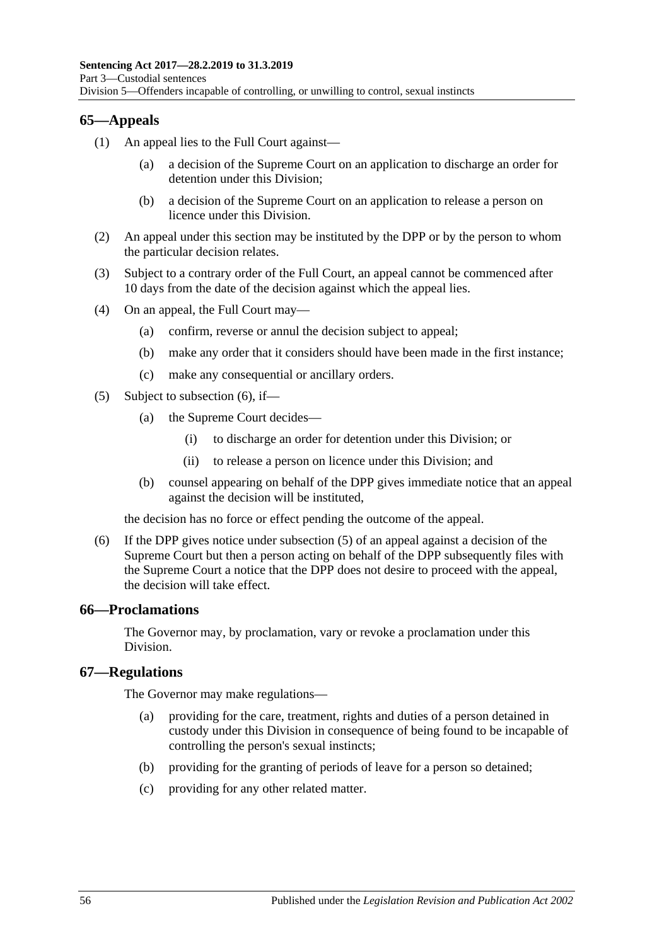# **65—Appeals**

- (1) An appeal lies to the Full Court against—
	- (a) a decision of the Supreme Court on an application to discharge an order for detention under this Division;
	- (b) a decision of the Supreme Court on an application to release a person on licence under this Division.
- (2) An appeal under this section may be instituted by the DPP or by the person to whom the particular decision relates.
- (3) Subject to a contrary order of the Full Court, an appeal cannot be commenced after 10 days from the date of the decision against which the appeal lies.
- (4) On an appeal, the Full Court may—
	- (a) confirm, reverse or annul the decision subject to appeal;
	- (b) make any order that it considers should have been made in the first instance;
	- (c) make any consequential or ancillary orders.
- <span id="page-55-1"></span>(5) Subject to [subsection](#page-55-0) (6), if—
	- (a) the Supreme Court decides—
		- (i) to discharge an order for detention under this Division; or
		- (ii) to release a person on licence under this Division; and
	- (b) counsel appearing on behalf of the DPP gives immediate notice that an appeal against the decision will be instituted,

the decision has no force or effect pending the outcome of the appeal.

<span id="page-55-0"></span>(6) If the DPP gives notice under [subsection](#page-55-1) (5) of an appeal against a decision of the Supreme Court but then a person acting on behalf of the DPP subsequently files with the Supreme Court a notice that the DPP does not desire to proceed with the appeal, the decision will take effect.

### **66—Proclamations**

The Governor may, by proclamation, vary or revoke a proclamation under this Division.

### **67—Regulations**

The Governor may make regulations—

- (a) providing for the care, treatment, rights and duties of a person detained in custody under this Division in consequence of being found to be incapable of controlling the person's sexual instincts;
- (b) providing for the granting of periods of leave for a person so detained;
- (c) providing for any other related matter.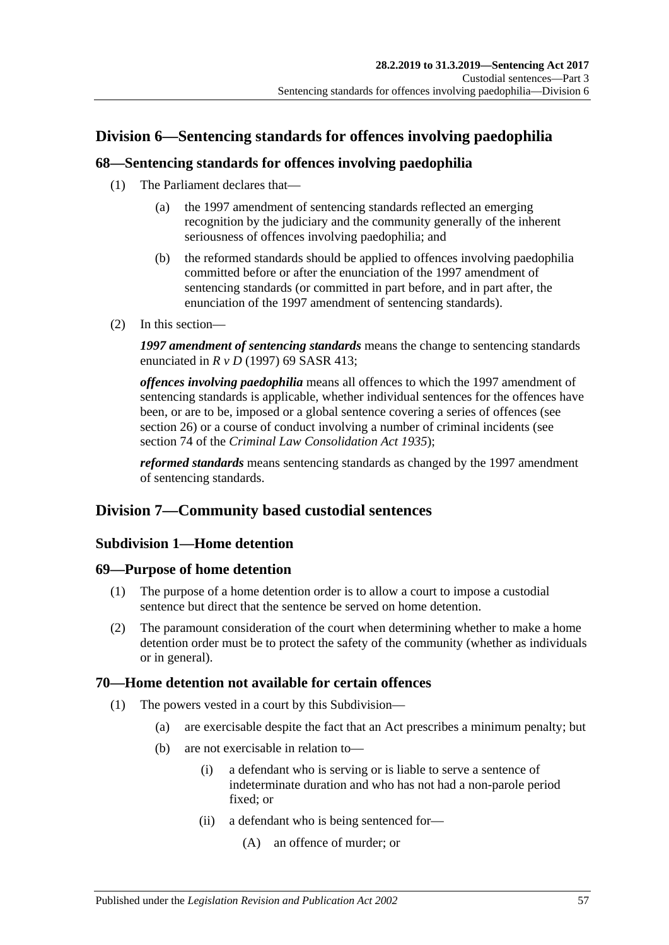# **Division 6—Sentencing standards for offences involving paedophilia**

# **68—Sentencing standards for offences involving paedophilia**

- (1) The Parliament declares that—
	- (a) the 1997 amendment of sentencing standards reflected an emerging recognition by the judiciary and the community generally of the inherent seriousness of offences involving paedophilia; and
	- (b) the reformed standards should be applied to offences involving paedophilia committed before or after the enunciation of the 1997 amendment of sentencing standards (or committed in part before, and in part after, the enunciation of the 1997 amendment of sentencing standards).
- (2) In this section—

*1997 amendment of sentencing standards* means the change to sentencing standards enunciated in *R v D* (1997) 69 SASR 413;

*offences involving paedophilia* means all offences to which the 1997 amendment of sentencing standards is applicable, whether individual sentences for the offences have been, or are to be, imposed or a global sentence covering a series of offences (see [section](#page-20-0) 26) or a course of conduct involving a number of criminal incidents (see section 74 of the *[Criminal Law Consolidation Act](http://www.legislation.sa.gov.au/index.aspx?action=legref&type=act&legtitle=Criminal%20Law%20Consolidation%20Act%201935) 1935*);

*reformed standards* means sentencing standards as changed by the 1997 amendment of sentencing standards.

# **Division 7—Community based custodial sentences**

# **Subdivision 1—Home detention**

### **69—Purpose of home detention**

- (1) The purpose of a home detention order is to allow a court to impose a custodial sentence but direct that the sentence be served on home detention.
- (2) The paramount consideration of the court when determining whether to make a home detention order must be to protect the safety of the community (whether as individuals or in general).

# **70—Home detention not available for certain offences**

- (1) The powers vested in a court by this Subdivision—
	- (a) are exercisable despite the fact that an Act prescribes a minimum penalty; but
	- (b) are not exercisable in relation to—
		- (i) a defendant who is serving or is liable to serve a sentence of indeterminate duration and who has not had a non-parole period fixed; or
		- (ii) a defendant who is being sentenced for—
			- (A) an offence of murder; or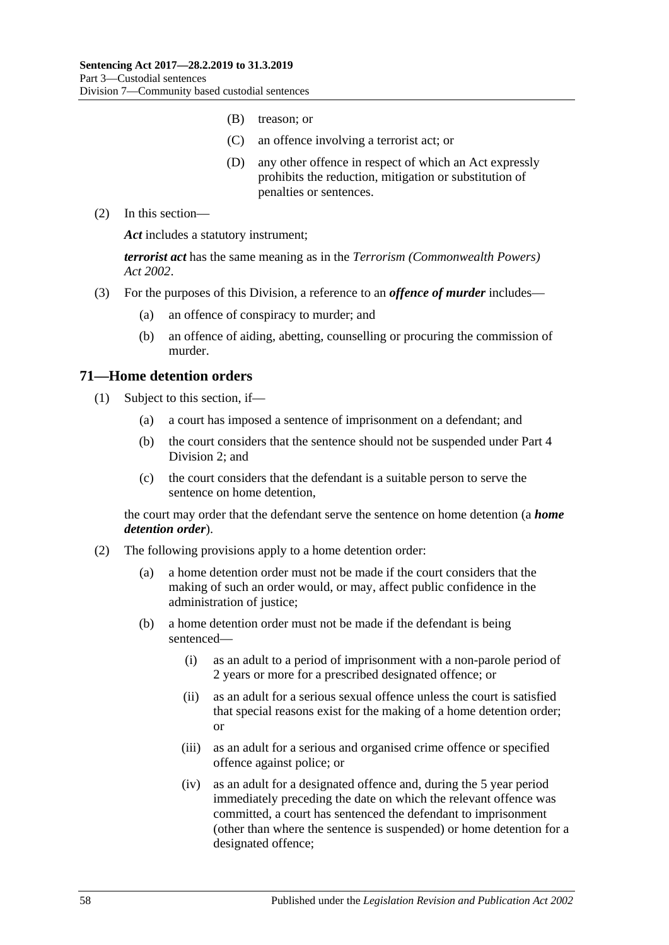- (B) treason; or
- (C) an offence involving a terrorist act; or
- (D) any other offence in respect of which an Act expressly prohibits the reduction, mitigation or substitution of penalties or sentences.
- (2) In this section—

*Act* includes a statutory instrument;

*terrorist act* has the same meaning as in the *[Terrorism \(Commonwealth Powers\)](http://www.legislation.sa.gov.au/index.aspx?action=legref&type=act&legtitle=Terrorism%20(Commonwealth%20Powers)%20Act%202002)  Act [2002](http://www.legislation.sa.gov.au/index.aspx?action=legref&type=act&legtitle=Terrorism%20(Commonwealth%20Powers)%20Act%202002)*.

- (3) For the purposes of this Division, a reference to an *offence of murder* includes—
	- (a) an offence of conspiracy to murder; and
	- (b) an offence of aiding, abetting, counselling or procuring the commission of murder.

### **71—Home detention orders**

- (1) Subject to this section, if—
	- (a) a court has imposed a sentence of imprisonment on a defendant; and
	- (b) the court considers that the sentence should not be suspended under [Part](#page-74-1) 4 [Division](#page-74-1) 2; and
	- (c) the court considers that the defendant is a suitable person to serve the sentence on home detention,

the court may order that the defendant serve the sentence on home detention (a *home detention order*).

- <span id="page-57-0"></span>(2) The following provisions apply to a home detention order:
	- (a) a home detention order must not be made if the court considers that the making of such an order would, or may, affect public confidence in the administration of justice;
	- (b) a home detention order must not be made if the defendant is being sentenced—
		- (i) as an adult to a period of imprisonment with a non-parole period of 2 years or more for a prescribed designated offence; or
		- (ii) as an adult for a serious sexual offence unless the court is satisfied that special reasons exist for the making of a home detention order; or
		- (iii) as an adult for a serious and organised crime offence or specified offence against police; or
		- (iv) as an adult for a designated offence and, during the 5 year period immediately preceding the date on which the relevant offence was committed, a court has sentenced the defendant to imprisonment (other than where the sentence is suspended) or home detention for a designated offence;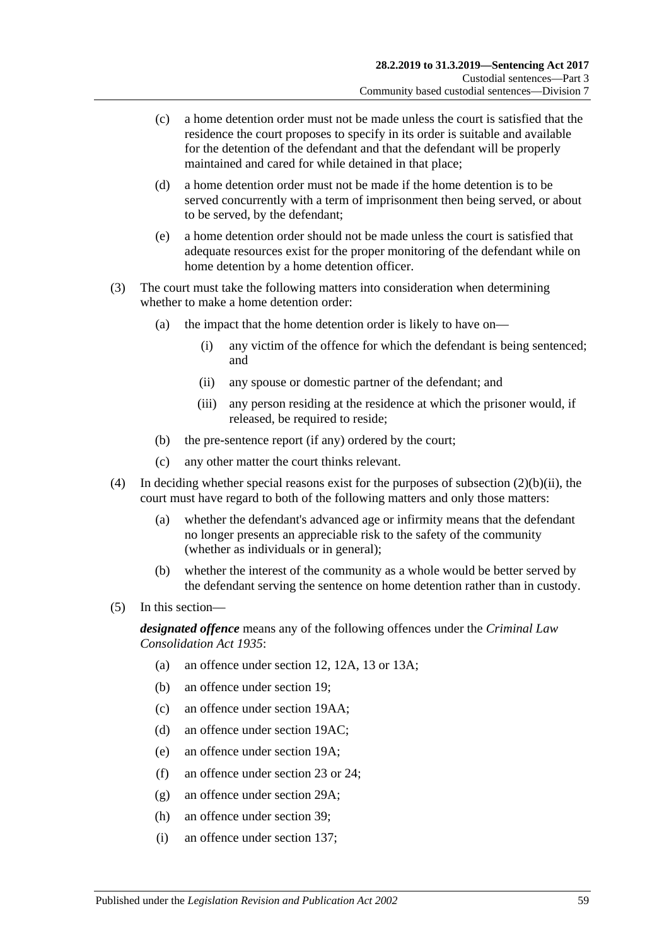- (c) a home detention order must not be made unless the court is satisfied that the residence the court proposes to specify in its order is suitable and available for the detention of the defendant and that the defendant will be properly maintained and cared for while detained in that place;
- (d) a home detention order must not be made if the home detention is to be served concurrently with a term of imprisonment then being served, or about to be served, by the defendant;
- (e) a home detention order should not be made unless the court is satisfied that adequate resources exist for the proper monitoring of the defendant while on home detention by a home detention officer.
- (3) The court must take the following matters into consideration when determining whether to make a home detention order:
	- (a) the impact that the home detention order is likely to have on—
		- (i) any victim of the offence for which the defendant is being sentenced; and
		- (ii) any spouse or domestic partner of the defendant; and
		- (iii) any person residing at the residence at which the prisoner would, if released, be required to reside;
	- (b) the pre-sentence report (if any) ordered by the court;
	- (c) any other matter the court thinks relevant.
- (4) In deciding whether special reasons exist for the purposes of [subsection](#page-57-0)  $(2)(b)(ii)$ , the court must have regard to both of the following matters and only those matters:
	- (a) whether the defendant's advanced age or infirmity means that the defendant no longer presents an appreciable risk to the safety of the community (whether as individuals or in general);
	- (b) whether the interest of the community as a whole would be better served by the defendant serving the sentence on home detention rather than in custody.
- (5) In this section—

*designated offence* means any of the following offences under the *[Criminal Law](http://www.legislation.sa.gov.au/index.aspx?action=legref&type=act&legtitle=Criminal%20Law%20Consolidation%20Act%201935)  [Consolidation Act](http://www.legislation.sa.gov.au/index.aspx?action=legref&type=act&legtitle=Criminal%20Law%20Consolidation%20Act%201935) 1935*:

- (a) an offence under section 12, 12A, 13 or 13A;
- (b) an offence under section 19;
- (c) an offence under section 19AA;
- (d) an offence under section 19AC;
- (e) an offence under section 19A;
- (f) an offence under section 23 or 24;
- (g) an offence under section 29A;
- (h) an offence under section 39;
- (i) an offence under section 137;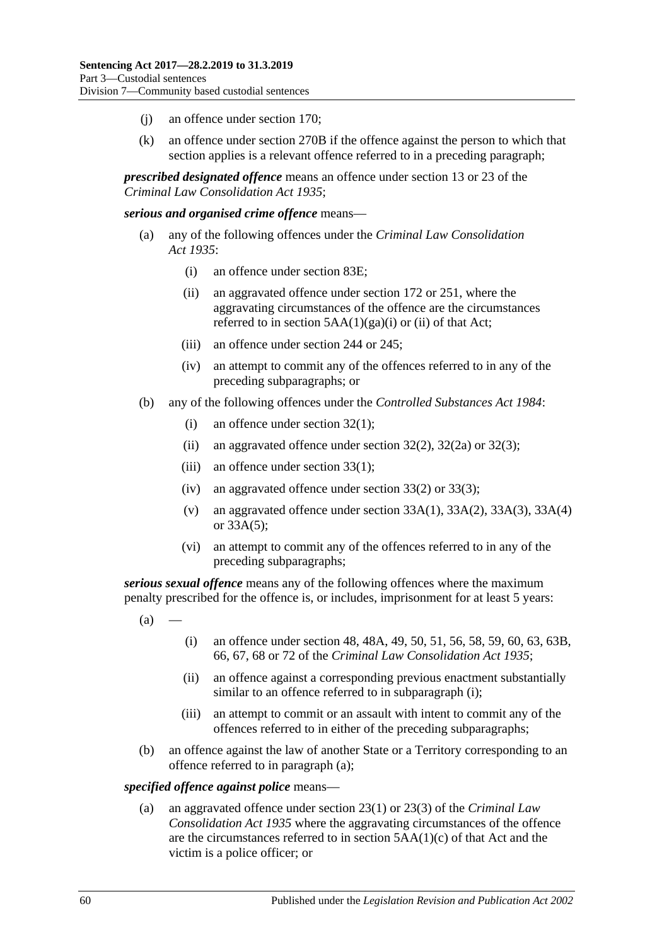- (j) an offence under section 170;
- (k) an offence under section 270B if the offence against the person to which that section applies is a relevant offence referred to in a preceding paragraph;

*prescribed designated offence* means an offence under section 13 or 23 of the *[Criminal Law Consolidation Act](http://www.legislation.sa.gov.au/index.aspx?action=legref&type=act&legtitle=Criminal%20Law%20Consolidation%20Act%201935) 1935*;

#### *serious and organised crime offence* means—

- (a) any of the following offences under the *[Criminal Law Consolidation](http://www.legislation.sa.gov.au/index.aspx?action=legref&type=act&legtitle=Criminal%20Law%20Consolidation%20Act%201935)  Act [1935](http://www.legislation.sa.gov.au/index.aspx?action=legref&type=act&legtitle=Criminal%20Law%20Consolidation%20Act%201935)*:
	- (i) an offence under section 83E;
	- (ii) an aggravated offence under section 172 or 251, where the aggravating circumstances of the offence are the circumstances referred to in section  $5AA(1)(ga)(i)$  or (ii) of that Act;
	- (iii) an offence under section 244 or 245;
	- (iv) an attempt to commit any of the offences referred to in any of the preceding subparagraphs; or
- (b) any of the following offences under the *[Controlled Substances Act](http://www.legislation.sa.gov.au/index.aspx?action=legref&type=act&legtitle=Controlled%20Substances%20Act%201984) 1984*:
	- (i) an offence under section 32(1);
	- (ii) an aggravated offence under section  $32(2)$ ,  $32(2a)$  or  $32(3)$ ;
	- (iii) an offence under section  $33(1)$ ;
	- (iv) an aggravated offence under section 33(2) or 33(3);
	- (v) an aggravated offence under section  $33A(1)$ ,  $33A(2)$ ,  $33A(3)$ ,  $33A(4)$ or 33A(5);
	- (vi) an attempt to commit any of the offences referred to in any of the preceding subparagraphs;

<span id="page-59-1"></span>*serious sexual offence* means any of the following offences where the maximum penalty prescribed for the offence is, or includes, imprisonment for at least 5 years:

- <span id="page-59-0"></span> $(a)$
- (i) an offence under section 48, 48A, 49, 50, 51, 56, 58, 59, 60, 63, 63B, 66, 67, 68 or 72 of the *[Criminal Law Consolidation Act](http://www.legislation.sa.gov.au/index.aspx?action=legref&type=act&legtitle=Criminal%20Law%20Consolidation%20Act%201935) 1935*;
- (ii) an offence against a corresponding previous enactment substantially similar to an offence referred to in [subparagraph](#page-59-0) (i);
- (iii) an attempt to commit or an assault with intent to commit any of the offences referred to in either of the preceding subparagraphs;
- (b) an offence against the law of another State or a Territory corresponding to an offence referred to in [paragraph](#page-59-1) (a);

#### *specified offence against police* means—

(a) an aggravated offence under section 23(1) or 23(3) of the *[Criminal Law](http://www.legislation.sa.gov.au/index.aspx?action=legref&type=act&legtitle=Criminal%20Law%20Consolidation%20Act%201935)  [Consolidation Act](http://www.legislation.sa.gov.au/index.aspx?action=legref&type=act&legtitle=Criminal%20Law%20Consolidation%20Act%201935) 1935* where the aggravating circumstances of the offence are the circumstances referred to in section 5AA(1)(c) of that Act and the victim is a police officer; or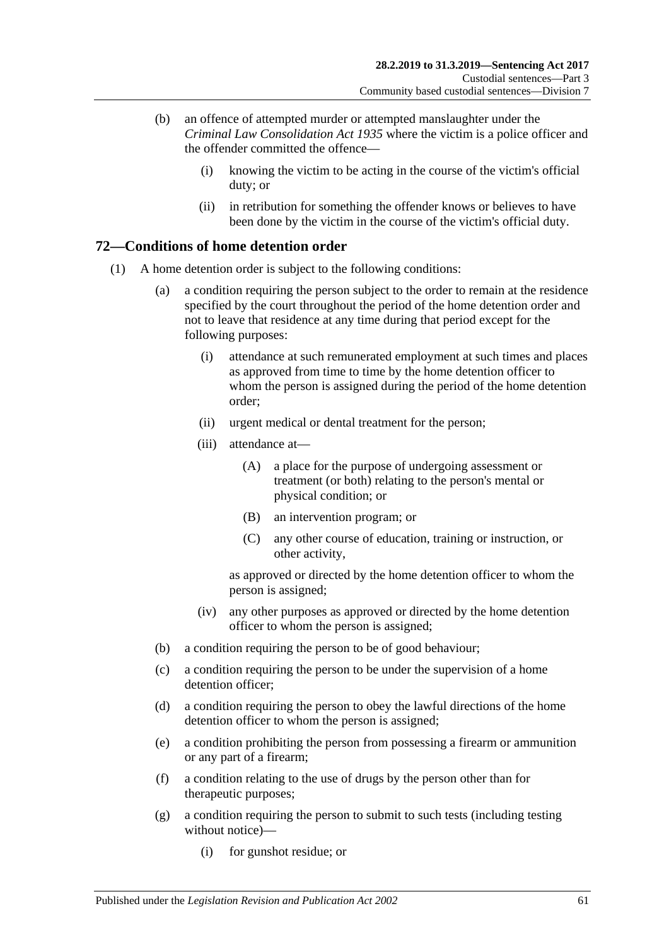- (b) an offence of attempted murder or attempted manslaughter under the *[Criminal Law Consolidation Act](http://www.legislation.sa.gov.au/index.aspx?action=legref&type=act&legtitle=Criminal%20Law%20Consolidation%20Act%201935) 1935* where the victim is a police officer and the offender committed the offence—
	- (i) knowing the victim to be acting in the course of the victim's official duty; or
	- (ii) in retribution for something the offender knows or believes to have been done by the victim in the course of the victim's official duty.

# **72—Conditions of home detention order**

- (1) A home detention order is subject to the following conditions:
	- (a) a condition requiring the person subject to the order to remain at the residence specified by the court throughout the period of the home detention order and not to leave that residence at any time during that period except for the following purposes:
		- (i) attendance at such remunerated employment at such times and places as approved from time to time by the home detention officer to whom the person is assigned during the period of the home detention order;
		- (ii) urgent medical or dental treatment for the person;
		- (iii) attendance at—
			- (A) a place for the purpose of undergoing assessment or treatment (or both) relating to the person's mental or physical condition; or
			- (B) an intervention program; or
			- (C) any other course of education, training or instruction, or other activity,

as approved or directed by the home detention officer to whom the person is assigned;

- (iv) any other purposes as approved or directed by the home detention officer to whom the person is assigned;
- (b) a condition requiring the person to be of good behaviour;
- (c) a condition requiring the person to be under the supervision of a home detention officer:
- (d) a condition requiring the person to obey the lawful directions of the home detention officer to whom the person is assigned;
- <span id="page-60-0"></span>(e) a condition prohibiting the person from possessing a firearm or ammunition or any part of a firearm;
- (f) a condition relating to the use of drugs by the person other than for therapeutic purposes;
- <span id="page-60-1"></span>(g) a condition requiring the person to submit to such tests (including testing without notice)—
	- (i) for gunshot residue; or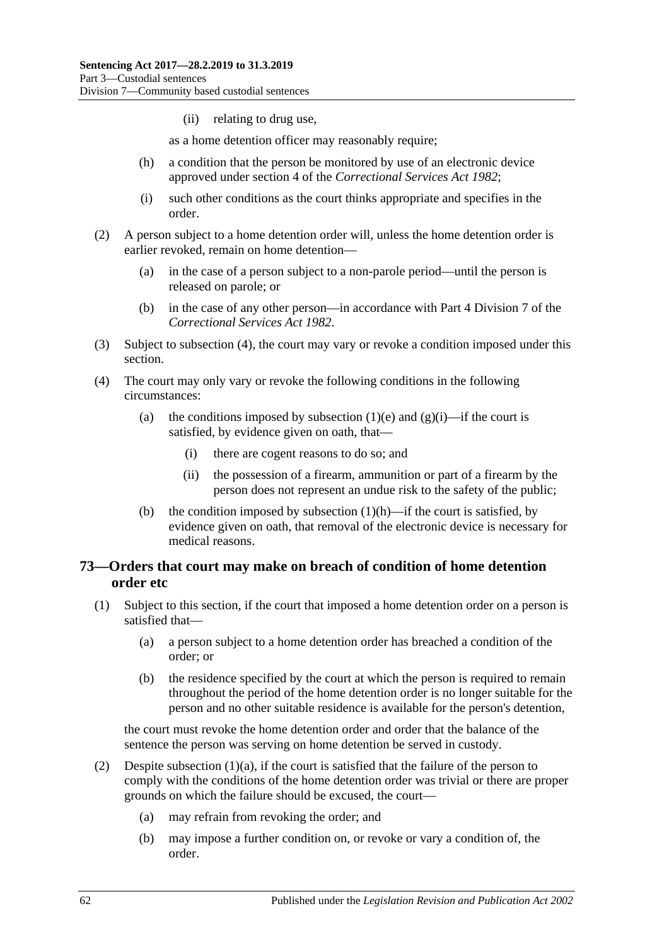(ii) relating to drug use,

as a home detention officer may reasonably require;

- <span id="page-61-1"></span>(h) a condition that the person be monitored by use of an electronic device approved under section 4 of the *[Correctional Services Act](http://www.legislation.sa.gov.au/index.aspx?action=legref&type=act&legtitle=Correctional%20Services%20Act%201982) 1982*;
- (i) such other conditions as the court thinks appropriate and specifies in the order.
- (2) A person subject to a home detention order will, unless the home detention order is earlier revoked, remain on home detention—
	- (a) in the case of a person subject to a non-parole period—until the person is released on parole; or
	- (b) in the case of any other person—in accordance with Part 4 Division 7 of the *[Correctional Services Act](http://www.legislation.sa.gov.au/index.aspx?action=legref&type=act&legtitle=Correctional%20Services%20Act%201982) 1982*.
- (3) Subject to [subsection](#page-61-0) (4), the court may vary or revoke a condition imposed under this section.
- <span id="page-61-0"></span>(4) The court may only vary or revoke the following conditions in the following circumstances:
	- (a) the conditions imposed by [subsection](#page-60-0) (1)(e) and [\(g\)\(i\)—](#page-60-1)if the court is satisfied, by evidence given on oath, that—
		- (i) there are cogent reasons to do so; and
		- (ii) the possession of a firearm, ammunition or part of a firearm by the person does not represent an undue risk to the safety of the public;
	- (b) the condition imposed by [subsection](#page-61-1)  $(1)(h)$ —if the court is satisfied, by evidence given on oath, that removal of the electronic device is necessary for medical reasons.

# <span id="page-61-4"></span>**73—Orders that court may make on breach of condition of home detention order etc**

- <span id="page-61-3"></span><span id="page-61-2"></span>(1) Subject to this section, if the court that imposed a home detention order on a person is satisfied that—
	- (a) a person subject to a home detention order has breached a condition of the order; or
	- (b) the residence specified by the court at which the person is required to remain throughout the period of the home detention order is no longer suitable for the person and no other suitable residence is available for the person's detention,

the court must revoke the home detention order and order that the balance of the sentence the person was serving on home detention be served in custody.

- (2) Despite [subsection](#page-61-2) (1)(a), if the court is satisfied that the failure of the person to comply with the conditions of the home detention order was trivial or there are proper grounds on which the failure should be excused, the court—
	- (a) may refrain from revoking the order; and
	- (b) may impose a further condition on, or revoke or vary a condition of, the order.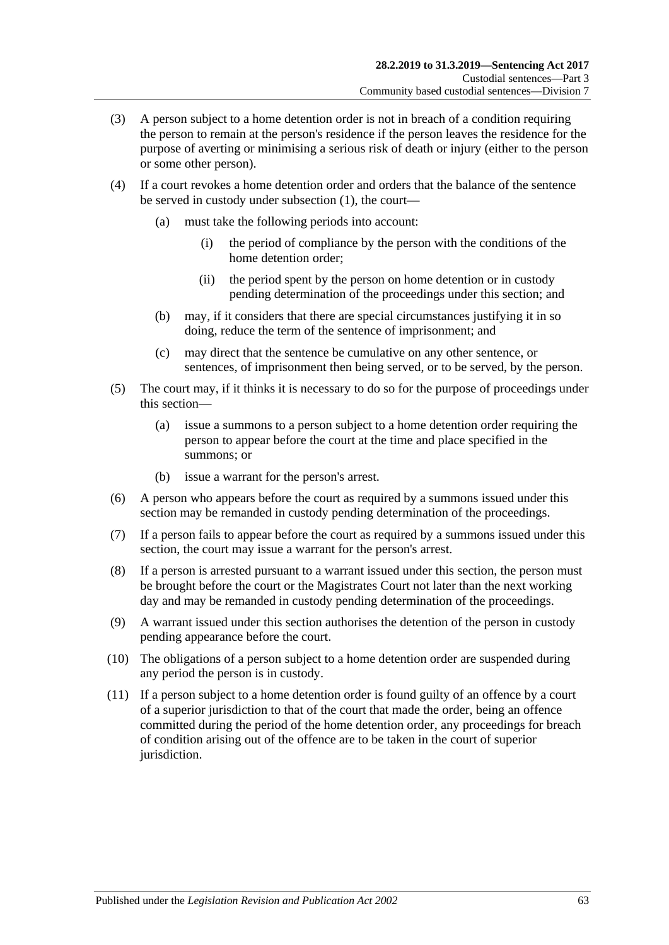- (3) A person subject to a home detention order is not in breach of a condition requiring the person to remain at the person's residence if the person leaves the residence for the purpose of averting or minimising a serious risk of death or injury (either to the person or some other person).
- (4) If a court revokes a home detention order and orders that the balance of the sentence be served in custody under [subsection](#page-61-3) (1), the court—
	- (a) must take the following periods into account:
		- (i) the period of compliance by the person with the conditions of the home detention order;
		- (ii) the period spent by the person on home detention or in custody pending determination of the proceedings under this section; and
	- (b) may, if it considers that there are special circumstances justifying it in so doing, reduce the term of the sentence of imprisonment; and
	- (c) may direct that the sentence be cumulative on any other sentence, or sentences, of imprisonment then being served, or to be served, by the person.
- (5) The court may, if it thinks it is necessary to do so for the purpose of proceedings under this section—
	- (a) issue a summons to a person subject to a home detention order requiring the person to appear before the court at the time and place specified in the summons; or
	- (b) issue a warrant for the person's arrest.
- (6) A person who appears before the court as required by a summons issued under this section may be remanded in custody pending determination of the proceedings.
- (7) If a person fails to appear before the court as required by a summons issued under this section, the court may issue a warrant for the person's arrest.
- <span id="page-62-0"></span>(8) If a person is arrested pursuant to a warrant issued under this section, the person must be brought before the court or the Magistrates Court not later than the next working day and may be remanded in custody pending determination of the proceedings.
- (9) A warrant issued under this section authorises the detention of the person in custody pending appearance before the court.
- <span id="page-62-1"></span>(10) The obligations of a person subject to a home detention order are suspended during any period the person is in custody.
- (11) If a person subject to a home detention order is found guilty of an offence by a court of a superior jurisdiction to that of the court that made the order, being an offence committed during the period of the home detention order, any proceedings for breach of condition arising out of the offence are to be taken in the court of superior jurisdiction.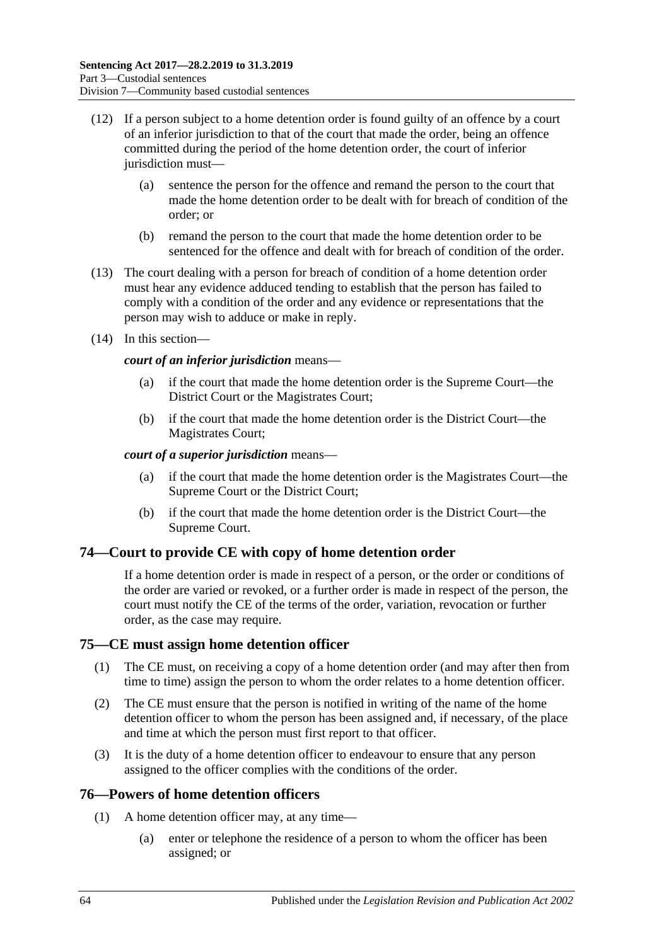- (12) If a person subject to a home detention order is found guilty of an offence by a court of an inferior jurisdiction to that of the court that made the order, being an offence committed during the period of the home detention order, the court of inferior jurisdiction must-
	- (a) sentence the person for the offence and remand the person to the court that made the home detention order to be dealt with for breach of condition of the order; or
	- (b) remand the person to the court that made the home detention order to be sentenced for the offence and dealt with for breach of condition of the order.
- (13) The court dealing with a person for breach of condition of a home detention order must hear any evidence adduced tending to establish that the person has failed to comply with a condition of the order and any evidence or representations that the person may wish to adduce or make in reply.
- (14) In this section—

### *court of an inferior jurisdiction* means—

- (a) if the court that made the home detention order is the Supreme Court—the District Court or the Magistrates Court;
- (b) if the court that made the home detention order is the District Court—the Magistrates Court;

### *court of a superior jurisdiction* means—

- (a) if the court that made the home detention order is the Magistrates Court—the Supreme Court or the District Court;
- (b) if the court that made the home detention order is the District Court—the Supreme Court.

# **74—Court to provide CE with copy of home detention order**

If a home detention order is made in respect of a person, or the order or conditions of the order are varied or revoked, or a further order is made in respect of the person, the court must notify the CE of the terms of the order, variation, revocation or further order, as the case may require.

# **75—CE must assign home detention officer**

- (1) The CE must, on receiving a copy of a home detention order (and may after then from time to time) assign the person to whom the order relates to a home detention officer.
- (2) The CE must ensure that the person is notified in writing of the name of the home detention officer to whom the person has been assigned and, if necessary, of the place and time at which the person must first report to that officer.
- (3) It is the duty of a home detention officer to endeavour to ensure that any person assigned to the officer complies with the conditions of the order.

# **76—Powers of home detention officers**

- (1) A home detention officer may, at any time—
	- (a) enter or telephone the residence of a person to whom the officer has been assigned; or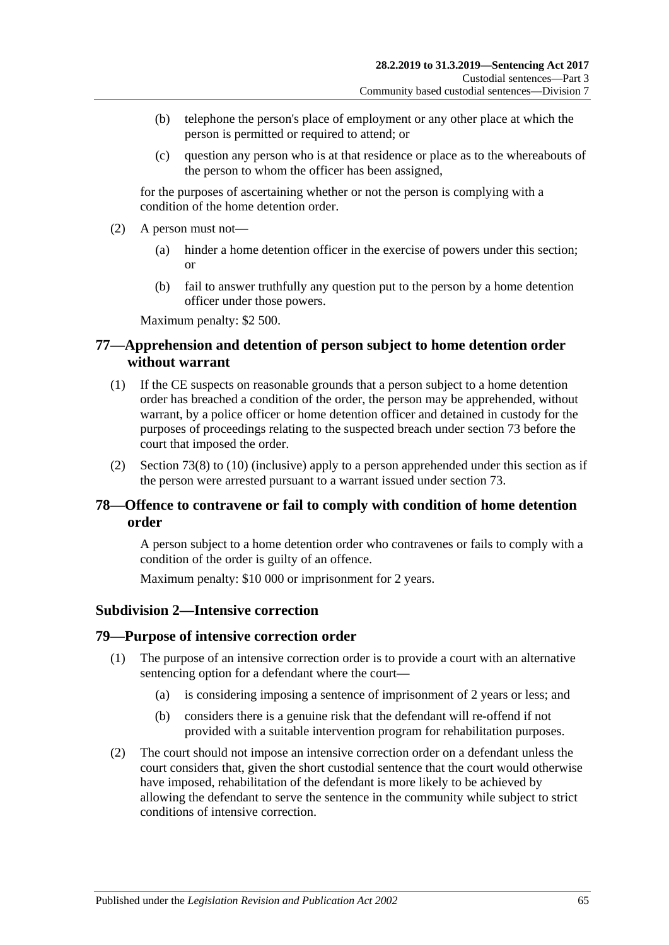- (b) telephone the person's place of employment or any other place at which the person is permitted or required to attend; or
- (c) question any person who is at that residence or place as to the whereabouts of the person to whom the officer has been assigned,

for the purposes of ascertaining whether or not the person is complying with a condition of the home detention order.

- (2) A person must not—
	- (a) hinder a home detention officer in the exercise of powers under this section; or
	- (b) fail to answer truthfully any question put to the person by a home detention officer under those powers.

Maximum penalty: \$2 500.

# **77—Apprehension and detention of person subject to home detention order without warrant**

- (1) If the CE suspects on reasonable grounds that a person subject to a home detention order has breached a condition of the order, the person may be apprehended, without warrant, by a police officer or home detention officer and detained in custody for the purposes of proceedings relating to the suspected breach under [section](#page-61-4) 73 before the court that imposed the order.
- (2) [Section](#page-62-0) 73(8) to [\(10\)](#page-62-1) (inclusive) apply to a person apprehended under this section as if the person were arrested pursuant to a warrant issued under [section](#page-61-4) 73.

# **78—Offence to contravene or fail to comply with condition of home detention order**

A person subject to a home detention order who contravenes or fails to comply with a condition of the order is guilty of an offence.

Maximum penalty: \$10 000 or imprisonment for 2 years.

### **Subdivision 2—Intensive correction**

### **79—Purpose of intensive correction order**

- (1) The purpose of an intensive correction order is to provide a court with an alternative sentencing option for a defendant where the court—
	- (a) is considering imposing a sentence of imprisonment of 2 years or less; and
	- (b) considers there is a genuine risk that the defendant will re-offend if not provided with a suitable intervention program for rehabilitation purposes.
- (2) The court should not impose an intensive correction order on a defendant unless the court considers that, given the short custodial sentence that the court would otherwise have imposed, rehabilitation of the defendant is more likely to be achieved by allowing the defendant to serve the sentence in the community while subject to strict conditions of intensive correction.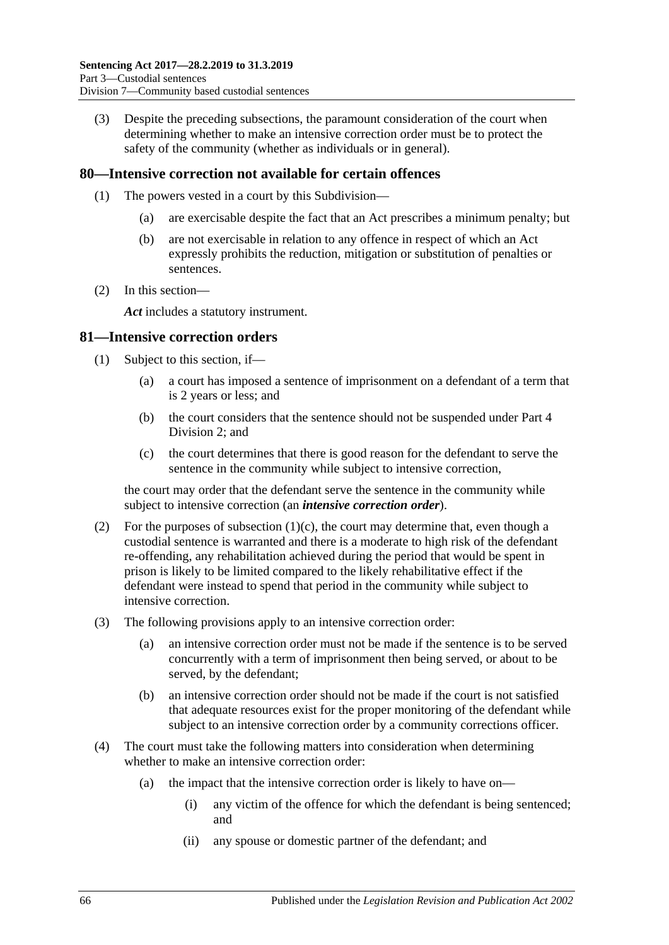(3) Despite the preceding subsections, the paramount consideration of the court when determining whether to make an intensive correction order must be to protect the safety of the community (whether as individuals or in general).

### **80—Intensive correction not available for certain offences**

- (1) The powers vested in a court by this Subdivision—
	- (a) are exercisable despite the fact that an Act prescribes a minimum penalty; but
	- (b) are not exercisable in relation to any offence in respect of which an Act expressly prohibits the reduction, mitigation or substitution of penalties or sentences.
- (2) In this section—

*Act* includes a statutory instrument.

### **81—Intensive correction orders**

- (1) Subject to this section, if—
	- (a) a court has imposed a sentence of imprisonment on a defendant of a term that is 2 years or less; and
	- (b) the court considers that the sentence should not be suspended under [Part](#page-74-1) 4 [Division](#page-74-1) 2; and
	- (c) the court determines that there is good reason for the defendant to serve the sentence in the community while subject to intensive correction,

<span id="page-65-0"></span>the court may order that the defendant serve the sentence in the community while subject to intensive correction (an *intensive correction order*).

- (2) For the purposes of [subsection](#page-65-0) (1)(c), the court may determine that, even though a custodial sentence is warranted and there is a moderate to high risk of the defendant re-offending, any rehabilitation achieved during the period that would be spent in prison is likely to be limited compared to the likely rehabilitative effect if the defendant were instead to spend that period in the community while subject to intensive correction.
- (3) The following provisions apply to an intensive correction order:
	- (a) an intensive correction order must not be made if the sentence is to be served concurrently with a term of imprisonment then being served, or about to be served, by the defendant;
	- (b) an intensive correction order should not be made if the court is not satisfied that adequate resources exist for the proper monitoring of the defendant while subject to an intensive correction order by a community corrections officer.
- (4) The court must take the following matters into consideration when determining whether to make an intensive correction order:
	- (a) the impact that the intensive correction order is likely to have on—
		- (i) any victim of the offence for which the defendant is being sentenced; and
		- (ii) any spouse or domestic partner of the defendant; and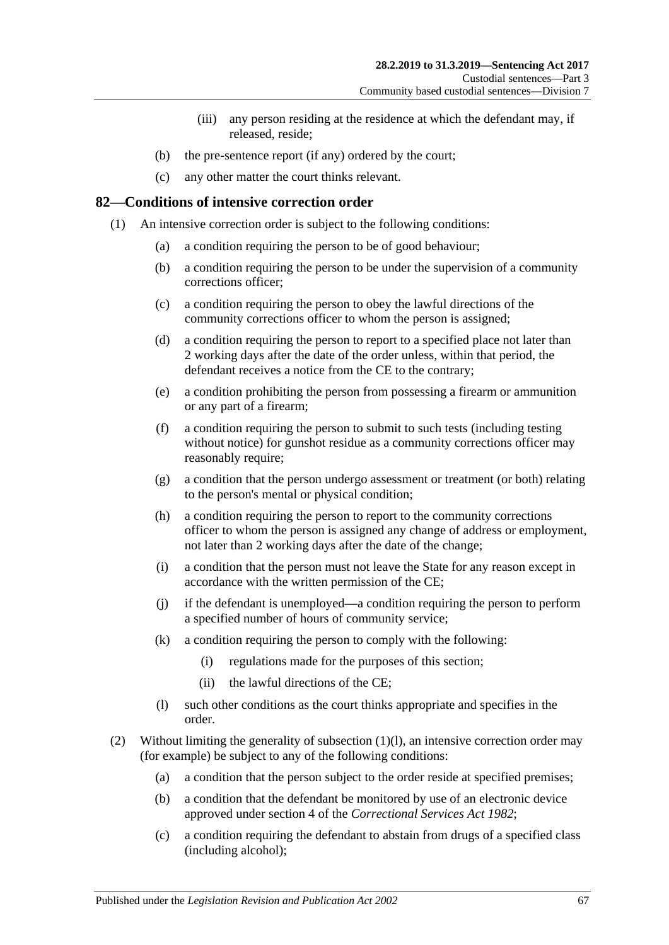- (iii) any person residing at the residence at which the defendant may, if released, reside;
- (b) the pre-sentence report (if any) ordered by the court;
- (c) any other matter the court thinks relevant.

# **82—Conditions of intensive correction order**

- <span id="page-66-3"></span><span id="page-66-2"></span>(1) An intensive correction order is subject to the following conditions:
	- (a) a condition requiring the person to be of good behaviour;
	- (b) a condition requiring the person to be under the supervision of a community corrections officer;
	- (c) a condition requiring the person to obey the lawful directions of the community corrections officer to whom the person is assigned;
	- (d) a condition requiring the person to report to a specified place not later than 2 working days after the date of the order unless, within that period, the defendant receives a notice from the CE to the contrary;
	- (e) a condition prohibiting the person from possessing a firearm or ammunition or any part of a firearm;
	- (f) a condition requiring the person to submit to such tests (including testing without notice) for gunshot residue as a community corrections officer may reasonably require;
	- (g) a condition that the person undergo assessment or treatment (or both) relating to the person's mental or physical condition;
	- (h) a condition requiring the person to report to the community corrections officer to whom the person is assigned any change of address or employment, not later than 2 working days after the date of the change;
	- (i) a condition that the person must not leave the State for any reason except in accordance with the written permission of the CE;
	- (j) if the defendant is unemployed—a condition requiring the person to perform a specified number of hours of community service;
	- (k) a condition requiring the person to comply with the following:
		- (i) regulations made for the purposes of this section;
		- (ii) the lawful directions of the CE;
	- (l) such other conditions as the court thinks appropriate and specifies in the order.
- <span id="page-66-1"></span><span id="page-66-0"></span>(2) Without limiting the generality of [subsection](#page-66-0) (1)(l), an intensive correction order may (for example) be subject to any of the following conditions:
	- (a) a condition that the person subject to the order reside at specified premises;
	- (b) a condition that the defendant be monitored by use of an electronic device approved under section 4 of the *[Correctional Services Act](http://www.legislation.sa.gov.au/index.aspx?action=legref&type=act&legtitle=Correctional%20Services%20Act%201982) 1982*;
	- (c) a condition requiring the defendant to abstain from drugs of a specified class (including alcohol);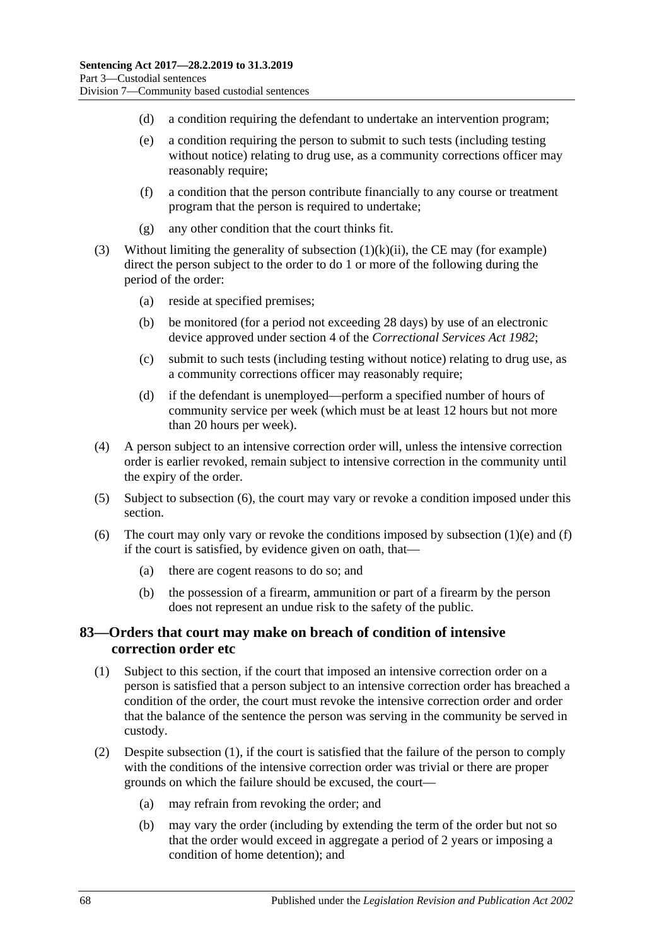- (d) a condition requiring the defendant to undertake an intervention program;
- (e) a condition requiring the person to submit to such tests (including testing without notice) relating to drug use, as a community corrections officer may reasonably require;
- (f) a condition that the person contribute financially to any course or treatment program that the person is required to undertake;
- (g) any other condition that the court thinks fit.
- (3) Without limiting the generality of [subsection](#page-66-1)  $(1)(k)(ii)$ , the CE may (for example) direct the person subject to the order to do 1 or more of the following during the period of the order:
	- (a) reside at specified premises;
	- (b) be monitored (for a period not exceeding 28 days) by use of an electronic device approved under section 4 of the *[Correctional Services Act](http://www.legislation.sa.gov.au/index.aspx?action=legref&type=act&legtitle=Correctional%20Services%20Act%201982) 1982*;
	- (c) submit to such tests (including testing without notice) relating to drug use, as a community corrections officer may reasonably require;
	- (d) if the defendant is unemployed—perform a specified number of hours of community service per week (which must be at least 12 hours but not more than 20 hours per week).
- (4) A person subject to an intensive correction order will, unless the intensive correction order is earlier revoked, remain subject to intensive correction in the community until the expiry of the order.
- (5) Subject to [subsection](#page-67-0) (6), the court may vary or revoke a condition imposed under this section.
- <span id="page-67-0"></span>(6) The court may only vary or revoke the conditions imposed by [subsection](#page-66-2)  $(1)(e)$  and  $(f)$ if the court is satisfied, by evidence given on oath, that—
	- (a) there are cogent reasons to do so; and
	- (b) the possession of a firearm, ammunition or part of a firearm by the person does not represent an undue risk to the safety of the public.

# **83—Orders that court may make on breach of condition of intensive correction order etc**

- <span id="page-67-1"></span>(1) Subject to this section, if the court that imposed an intensive correction order on a person is satisfied that a person subject to an intensive correction order has breached a condition of the order, the court must revoke the intensive correction order and order that the balance of the sentence the person was serving in the community be served in custody.
- (2) Despite [subsection](#page-67-1) (1), if the court is satisfied that the failure of the person to comply with the conditions of the intensive correction order was trivial or there are proper grounds on which the failure should be excused, the court—
	- (a) may refrain from revoking the order; and
	- (b) may vary the order (including by extending the term of the order but not so that the order would exceed in aggregate a period of 2 years or imposing a condition of home detention); and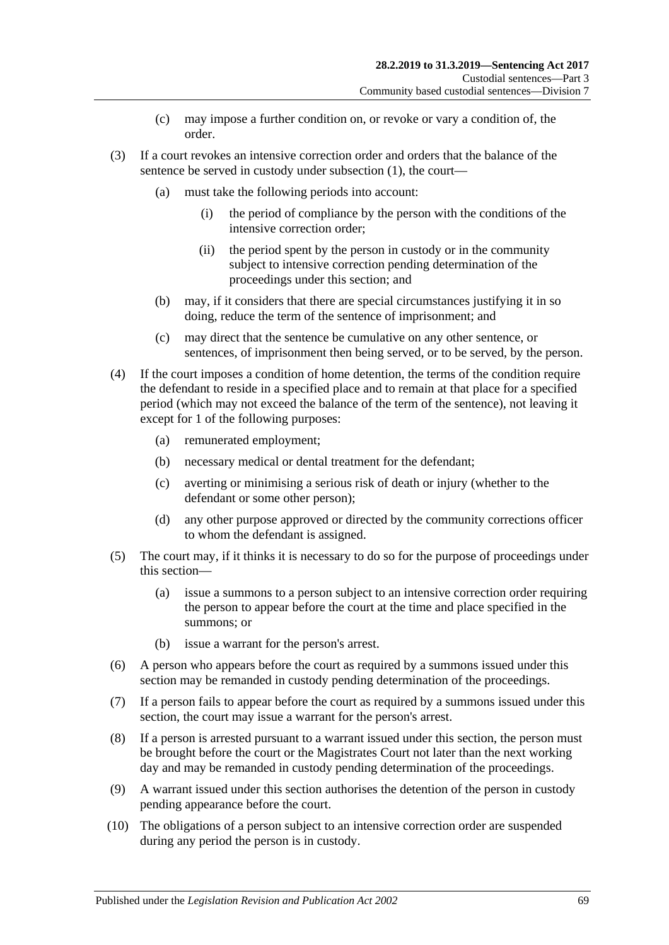- (c) may impose a further condition on, or revoke or vary a condition of, the order.
- (3) If a court revokes an intensive correction order and orders that the balance of the sentence be served in custody under [subsection](#page-67-1) (1), the court—
	- (a) must take the following periods into account:
		- (i) the period of compliance by the person with the conditions of the intensive correction order;
		- (ii) the period spent by the person in custody or in the community subject to intensive correction pending determination of the proceedings under this section; and
	- (b) may, if it considers that there are special circumstances justifying it in so doing, reduce the term of the sentence of imprisonment; and
	- (c) may direct that the sentence be cumulative on any other sentence, or sentences, of imprisonment then being served, or to be served, by the person.
- (4) If the court imposes a condition of home detention, the terms of the condition require the defendant to reside in a specified place and to remain at that place for a specified period (which may not exceed the balance of the term of the sentence), not leaving it except for 1 of the following purposes:
	- (a) remunerated employment;
	- (b) necessary medical or dental treatment for the defendant;
	- (c) averting or minimising a serious risk of death or injury (whether to the defendant or some other person);
	- (d) any other purpose approved or directed by the community corrections officer to whom the defendant is assigned.
- (5) The court may, if it thinks it is necessary to do so for the purpose of proceedings under this section—
	- (a) issue a summons to a person subject to an intensive correction order requiring the person to appear before the court at the time and place specified in the summons; or
	- (b) issue a warrant for the person's arrest.
- (6) A person who appears before the court as required by a summons issued under this section may be remanded in custody pending determination of the proceedings.
- (7) If a person fails to appear before the court as required by a summons issued under this section, the court may issue a warrant for the person's arrest.
- (8) If a person is arrested pursuant to a warrant issued under this section, the person must be brought before the court or the Magistrates Court not later than the next working day and may be remanded in custody pending determination of the proceedings.
- (9) A warrant issued under this section authorises the detention of the person in custody pending appearance before the court.
- (10) The obligations of a person subject to an intensive correction order are suspended during any period the person is in custody.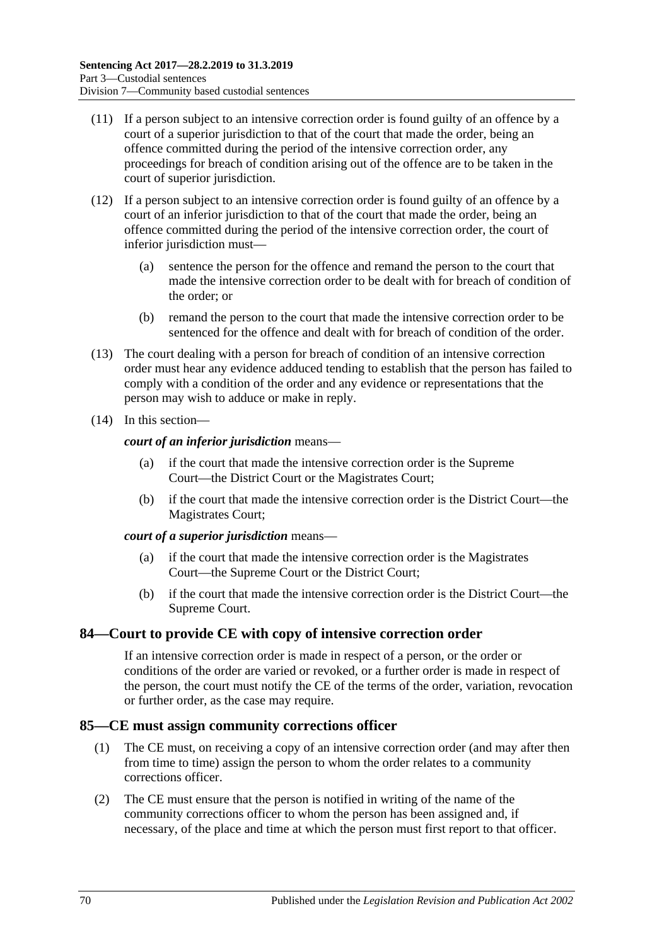- (11) If a person subject to an intensive correction order is found guilty of an offence by a court of a superior jurisdiction to that of the court that made the order, being an offence committed during the period of the intensive correction order, any proceedings for breach of condition arising out of the offence are to be taken in the court of superior jurisdiction.
- (12) If a person subject to an intensive correction order is found guilty of an offence by a court of an inferior jurisdiction to that of the court that made the order, being an offence committed during the period of the intensive correction order, the court of inferior jurisdiction must—
	- (a) sentence the person for the offence and remand the person to the court that made the intensive correction order to be dealt with for breach of condition of the order; or
	- (b) remand the person to the court that made the intensive correction order to be sentenced for the offence and dealt with for breach of condition of the order.
- (13) The court dealing with a person for breach of condition of an intensive correction order must hear any evidence adduced tending to establish that the person has failed to comply with a condition of the order and any evidence or representations that the person may wish to adduce or make in reply.
- (14) In this section—

*court of an inferior jurisdiction* means—

- (a) if the court that made the intensive correction order is the Supreme Court—the District Court or the Magistrates Court;
- (b) if the court that made the intensive correction order is the District Court—the Magistrates Court;

### *court of a superior jurisdiction* means—

- (a) if the court that made the intensive correction order is the Magistrates Court—the Supreme Court or the District Court;
- (b) if the court that made the intensive correction order is the District Court—the Supreme Court.

# **84—Court to provide CE with copy of intensive correction order**

If an intensive correction order is made in respect of a person, or the order or conditions of the order are varied or revoked, or a further order is made in respect of the person, the court must notify the CE of the terms of the order, variation, revocation or further order, as the case may require.

# **85—CE must assign community corrections officer**

- (1) The CE must, on receiving a copy of an intensive correction order (and may after then from time to time) assign the person to whom the order relates to a community corrections officer.
- (2) The CE must ensure that the person is notified in writing of the name of the community corrections officer to whom the person has been assigned and, if necessary, of the place and time at which the person must first report to that officer.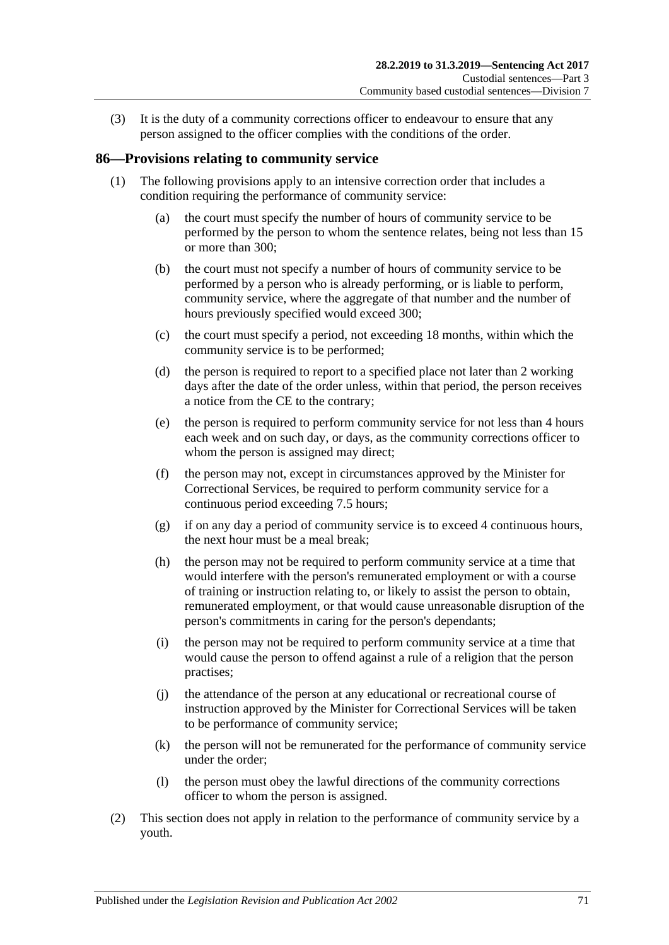(3) It is the duty of a community corrections officer to endeavour to ensure that any person assigned to the officer complies with the conditions of the order.

# **86—Provisions relating to community service**

- (1) The following provisions apply to an intensive correction order that includes a condition requiring the performance of community service:
	- (a) the court must specify the number of hours of community service to be performed by the person to whom the sentence relates, being not less than 15 or more than 300;
	- (b) the court must not specify a number of hours of community service to be performed by a person who is already performing, or is liable to perform, community service, where the aggregate of that number and the number of hours previously specified would exceed 300;
	- (c) the court must specify a period, not exceeding 18 months, within which the community service is to be performed;
	- (d) the person is required to report to a specified place not later than 2 working days after the date of the order unless, within that period, the person receives a notice from the CE to the contrary;
	- (e) the person is required to perform community service for not less than 4 hours each week and on such day, or days, as the community corrections officer to whom the person is assigned may direct;
	- (f) the person may not, except in circumstances approved by the Minister for Correctional Services, be required to perform community service for a continuous period exceeding 7.5 hours;
	- (g) if on any day a period of community service is to exceed 4 continuous hours, the next hour must be a meal break;
	- (h) the person may not be required to perform community service at a time that would interfere with the person's remunerated employment or with a course of training or instruction relating to, or likely to assist the person to obtain, remunerated employment, or that would cause unreasonable disruption of the person's commitments in caring for the person's dependants;
	- (i) the person may not be required to perform community service at a time that would cause the person to offend against a rule of a religion that the person practises;
	- (j) the attendance of the person at any educational or recreational course of instruction approved by the Minister for Correctional Services will be taken to be performance of community service;
	- (k) the person will not be remunerated for the performance of community service under the order;
	- (l) the person must obey the lawful directions of the community corrections officer to whom the person is assigned.
- (2) This section does not apply in relation to the performance of community service by a youth.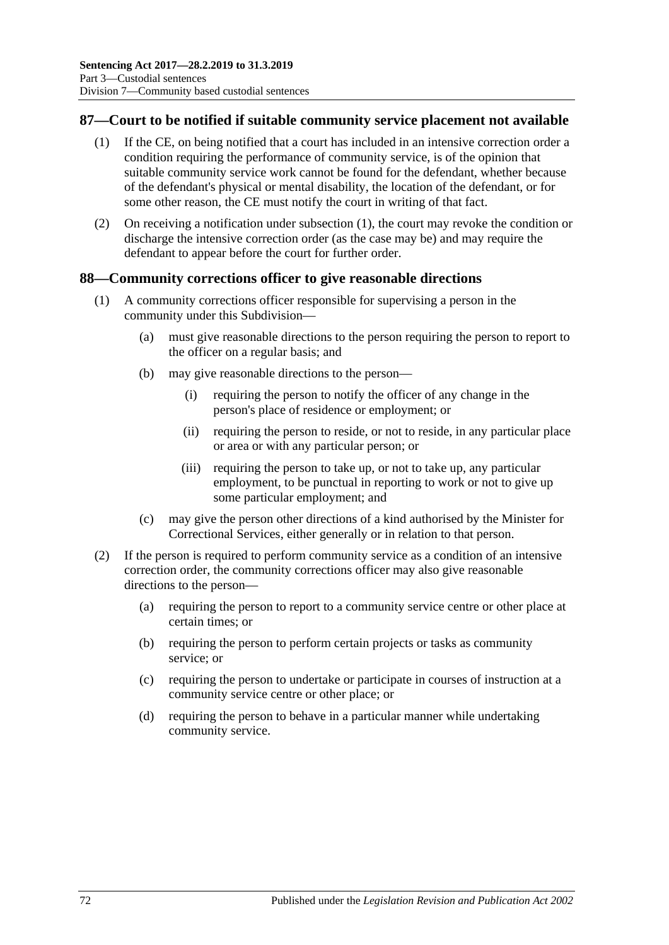# <span id="page-71-0"></span>**87—Court to be notified if suitable community service placement not available**

- (1) If the CE, on being notified that a court has included in an intensive correction order a condition requiring the performance of community service, is of the opinion that suitable community service work cannot be found for the defendant, whether because of the defendant's physical or mental disability, the location of the defendant, or for some other reason, the CE must notify the court in writing of that fact.
- (2) On receiving a notification under [subsection](#page-71-0) (1), the court may revoke the condition or discharge the intensive correction order (as the case may be) and may require the defendant to appear before the court for further order.

### **88—Community corrections officer to give reasonable directions**

- (1) A community corrections officer responsible for supervising a person in the community under this Subdivision—
	- (a) must give reasonable directions to the person requiring the person to report to the officer on a regular basis; and
	- (b) may give reasonable directions to the person—
		- (i) requiring the person to notify the officer of any change in the person's place of residence or employment; or
		- (ii) requiring the person to reside, or not to reside, in any particular place or area or with any particular person; or
		- (iii) requiring the person to take up, or not to take up, any particular employment, to be punctual in reporting to work or not to give up some particular employment; and
	- (c) may give the person other directions of a kind authorised by the Minister for Correctional Services, either generally or in relation to that person.
- (2) If the person is required to perform community service as a condition of an intensive correction order, the community corrections officer may also give reasonable directions to the person—
	- (a) requiring the person to report to a community service centre or other place at certain times; or
	- (b) requiring the person to perform certain projects or tasks as community service; or
	- (c) requiring the person to undertake or participate in courses of instruction at a community service centre or other place; or
	- (d) requiring the person to behave in a particular manner while undertaking community service.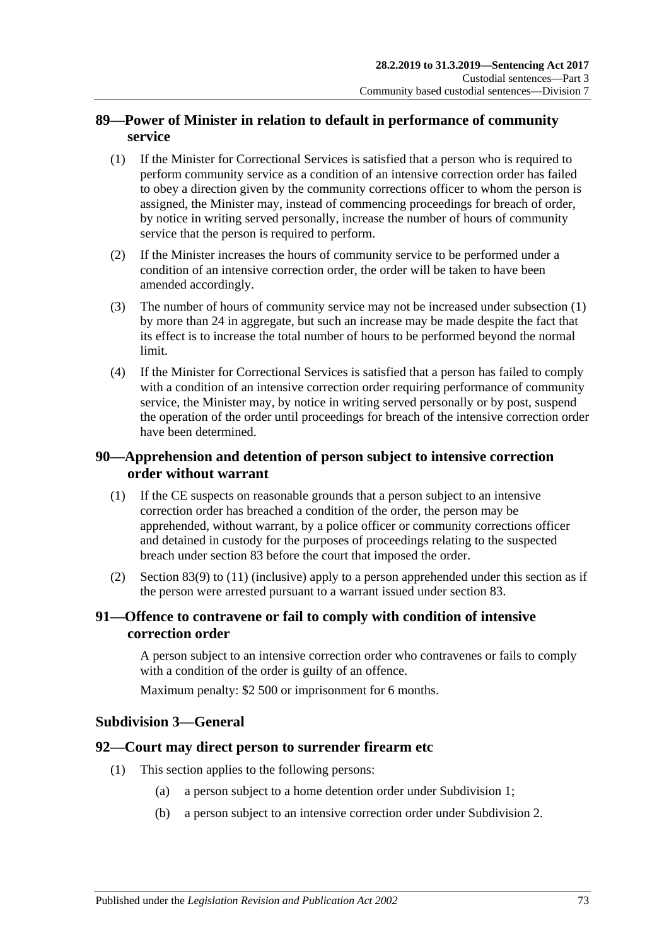### **89—Power of Minister in relation to default in performance of community service**

- <span id="page-72-0"></span>(1) If the Minister for Correctional Services is satisfied that a person who is required to perform community service as a condition of an intensive correction order has failed to obey a direction given by the community corrections officer to whom the person is assigned, the Minister may, instead of commencing proceedings for breach of order, by notice in writing served personally, increase the number of hours of community service that the person is required to perform.
- (2) If the Minister increases the hours of community service to be performed under a condition of an intensive correction order, the order will be taken to have been amended accordingly.
- (3) The number of hours of community service may not be increased under [subsection](#page-72-0) (1) by more than 24 in aggregate, but such an increase may be made despite the fact that its effect is to increase the total number of hours to be performed beyond the normal limit.
- (4) If the Minister for Correctional Services is satisfied that a person has failed to comply with a condition of an intensive correction order requiring performance of community service, the Minister may, by notice in writing served personally or by post, suspend the operation of the order until proceedings for breach of the intensive correction order have been determined.

### **90—Apprehension and detention of person subject to intensive correction order without warrant**

- (1) If the CE suspects on reasonable grounds that a person subject to an intensive correction order has breached a condition of the order, the person may be apprehended, without warrant, by a police officer or community corrections officer and detained in custody for the purposes of proceedings relating to the suspected breach under [section](#page-67-0) 83 before the court that imposed the order.
- (2) [Section](#page-68-0) 83(9) to [\(11\)](#page-69-0) (inclusive) apply to a person apprehended under this section as if the person were arrested pursuant to a warrant issued under [section](#page-67-0) 83.

#### **91—Offence to contravene or fail to comply with condition of intensive correction order**

A person subject to an intensive correction order who contravenes or fails to comply with a condition of the order is guilty of an offence.

Maximum penalty: \$2 500 or imprisonment for 6 months.

#### **Subdivision 3—General**

#### **92—Court may direct person to surrender firearm etc**

- (1) This section applies to the following persons:
	- (a) a person subject to a home detention order under [Subdivision](#page-56-0) 1;
	- (b) a person subject to an intensive correction order under [Subdivision](#page-64-0) 2.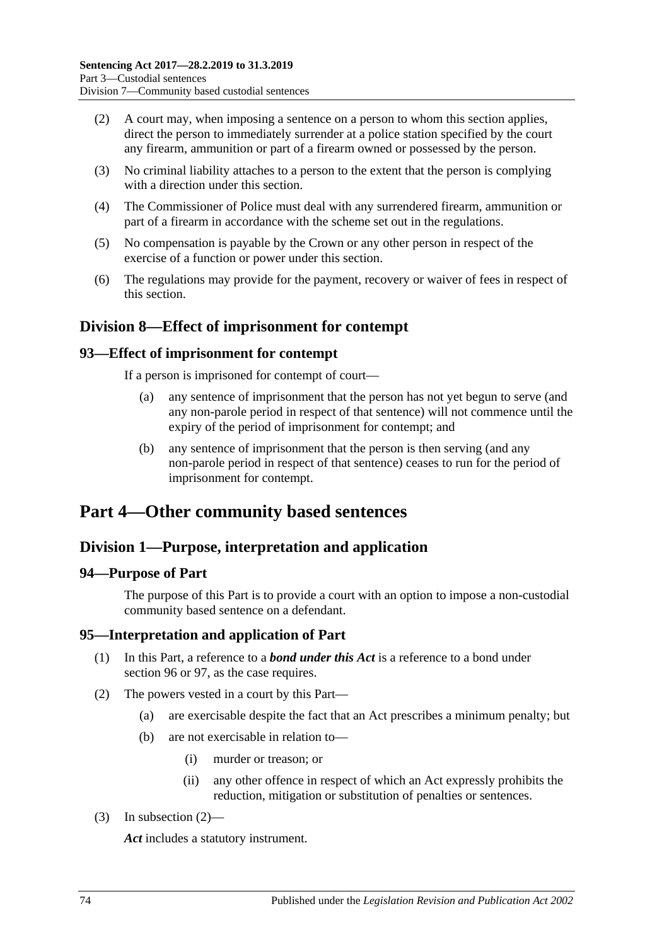- (2) A court may, when imposing a sentence on a person to whom this section applies, direct the person to immediately surrender at a police station specified by the court any firearm, ammunition or part of a firearm owned or possessed by the person.
- (3) No criminal liability attaches to a person to the extent that the person is complying with a direction under this section.
- (4) The Commissioner of Police must deal with any surrendered firearm, ammunition or part of a firearm in accordance with the scheme set out in the regulations.
- (5) No compensation is payable by the Crown or any other person in respect of the exercise of a function or power under this section.
- (6) The regulations may provide for the payment, recovery or waiver of fees in respect of this section.

### **Division 8—Effect of imprisonment for contempt**

#### **93—Effect of imprisonment for contempt**

If a person is imprisoned for contempt of court—

- (a) any sentence of imprisonment that the person has not yet begun to serve (and any non-parole period in respect of that sentence) will not commence until the expiry of the period of imprisonment for contempt; and
- (b) any sentence of imprisonment that the person is then serving (and any non-parole period in respect of that sentence) ceases to run for the period of imprisonment for contempt.

## **Part 4—Other community based sentences**

### **Division 1—Purpose, interpretation and application**

#### **94—Purpose of Part**

The purpose of this Part is to provide a court with an option to impose a non-custodial community based sentence on a defendant.

#### **95—Interpretation and application of Part**

- (1) In this Part, a reference to a *bond under this Act* is a reference to a bond under [section](#page-74-0) 96 or [97,](#page-77-0) as the case requires.
- <span id="page-73-0"></span>(2) The powers vested in a court by this Part—
	- (a) are exercisable despite the fact that an Act prescribes a minimum penalty; but
	- (b) are not exercisable in relation to—
		- (i) murder or treason; or
		- (ii) any other offence in respect of which an Act expressly prohibits the reduction, mitigation or substitution of penalties or sentences.
- (3) In [subsection](#page-73-0) (2)—

*Act* includes a statutory instrument.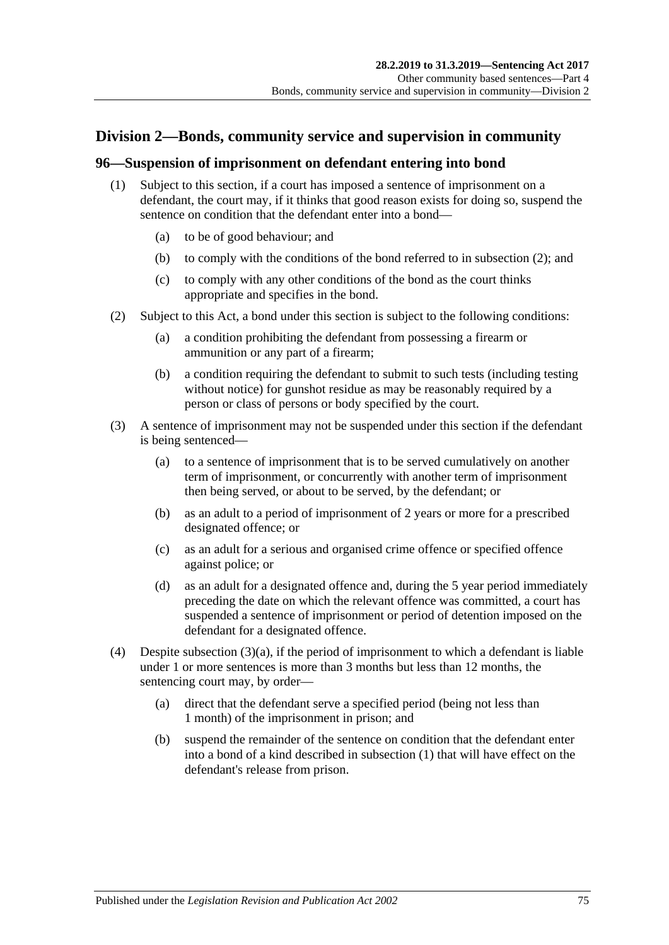### **Division 2—Bonds, community service and supervision in community**

#### <span id="page-74-3"></span><span id="page-74-0"></span>**96—Suspension of imprisonment on defendant entering into bond**

- (1) Subject to this section, if a court has imposed a sentence of imprisonment on a defendant, the court may, if it thinks that good reason exists for doing so, suspend the sentence on condition that the defendant enter into a bond—
	- (a) to be of good behaviour; and
	- (b) to comply with the conditions of the bond referred to in [subsection](#page-74-1) (2); and
	- (c) to comply with any other conditions of the bond as the court thinks appropriate and specifies in the bond.
- <span id="page-74-8"></span><span id="page-74-1"></span>(2) Subject to this Act, a bond under this section is subject to the following conditions:
	- (a) a condition prohibiting the defendant from possessing a firearm or ammunition or any part of a firearm;
	- (b) a condition requiring the defendant to submit to such tests (including testing without notice) for gunshot residue as may be reasonably required by a person or class of persons or body specified by the court.
- <span id="page-74-4"></span><span id="page-74-2"></span>(3) A sentence of imprisonment may not be suspended under this section if the defendant is being sentenced—
	- (a) to a sentence of imprisonment that is to be served cumulatively on another term of imprisonment, or concurrently with another term of imprisonment then being served, or about to be served, by the defendant; or
	- (b) as an adult to a period of imprisonment of 2 years or more for a prescribed designated offence; or
	- (c) as an adult for a serious and organised crime offence or specified offence against police; or
	- (d) as an adult for a designated offence and, during the 5 year period immediately preceding the date on which the relevant offence was committed, a court has suspended a sentence of imprisonment or period of detention imposed on the defendant for a designated offence.
- <span id="page-74-7"></span><span id="page-74-6"></span><span id="page-74-5"></span>(4) Despite [subsection](#page-74-2)  $(3)(a)$ , if the period of imprisonment to which a defendant is liable under 1 or more sentences is more than 3 months but less than 12 months, the sentencing court may, by order—
	- (a) direct that the defendant serve a specified period (being not less than 1 month) of the imprisonment in prison; and
	- (b) suspend the remainder of the sentence on condition that the defendant enter into a bond of a kind described in [subsection](#page-74-3) (1) that will have effect on the defendant's release from prison.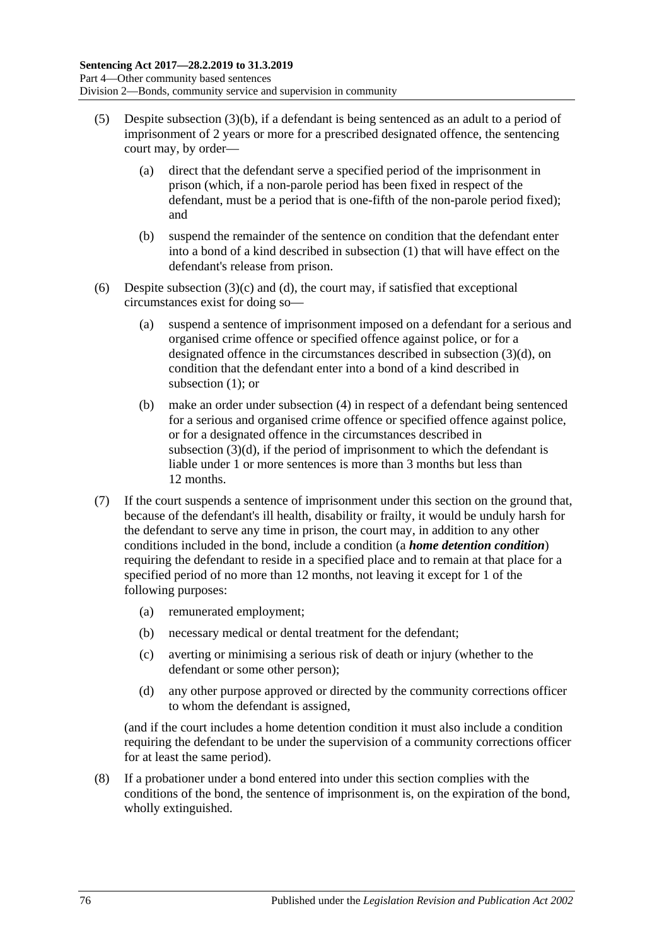- <span id="page-75-0"></span>(5) Despite [subsection](#page-74-4) (3)(b), if a defendant is being sentenced as an adult to a period of imprisonment of 2 years or more for a prescribed designated offence, the sentencing court may, by order—
	- (a) direct that the defendant serve a specified period of the imprisonment in prison (which, if a non-parole period has been fixed in respect of the defendant, must be a period that is one-fifth of the non-parole period fixed); and
	- (b) suspend the remainder of the sentence on condition that the defendant enter into a bond of a kind described in [subsection](#page-74-3) (1) that will have effect on the defendant's release from prison.
- (6) Despite [subsection](#page-74-5)  $(3)(c)$  and  $(d)$ , the court may, if satisfied that exceptional circumstances exist for doing so—
	- (a) suspend a sentence of imprisonment imposed on a defendant for a serious and organised crime offence or specified offence against police, or for a designated offence in the circumstances described in [subsection](#page-74-6) (3)(d), on condition that the defendant enter into a bond of a kind described in [subsection](#page-74-3) (1); or
	- (b) make an order under [subsection](#page-74-7) (4) in respect of a defendant being sentenced for a serious and organised crime offence or specified offence against police, or for a designated offence in the circumstances described in [subsection](#page-74-6)  $(3)(d)$ , if the period of imprisonment to which the defendant is liable under 1 or more sentences is more than 3 months but less than 12 months.
- (7) If the court suspends a sentence of imprisonment under this section on the ground that, because of the defendant's ill health, disability or frailty, it would be unduly harsh for the defendant to serve any time in prison, the court may, in addition to any other conditions included in the bond, include a condition (a *home detention condition*) requiring the defendant to reside in a specified place and to remain at that place for a specified period of no more than 12 months, not leaving it except for 1 of the following purposes:
	- (a) remunerated employment;
	- (b) necessary medical or dental treatment for the defendant;
	- (c) averting or minimising a serious risk of death or injury (whether to the defendant or some other person);
	- (d) any other purpose approved or directed by the community corrections officer to whom the defendant is assigned,

(and if the court includes a home detention condition it must also include a condition requiring the defendant to be under the supervision of a community corrections officer for at least the same period).

(8) If a probationer under a bond entered into under this section complies with the conditions of the bond, the sentence of imprisonment is, on the expiration of the bond, wholly extinguished.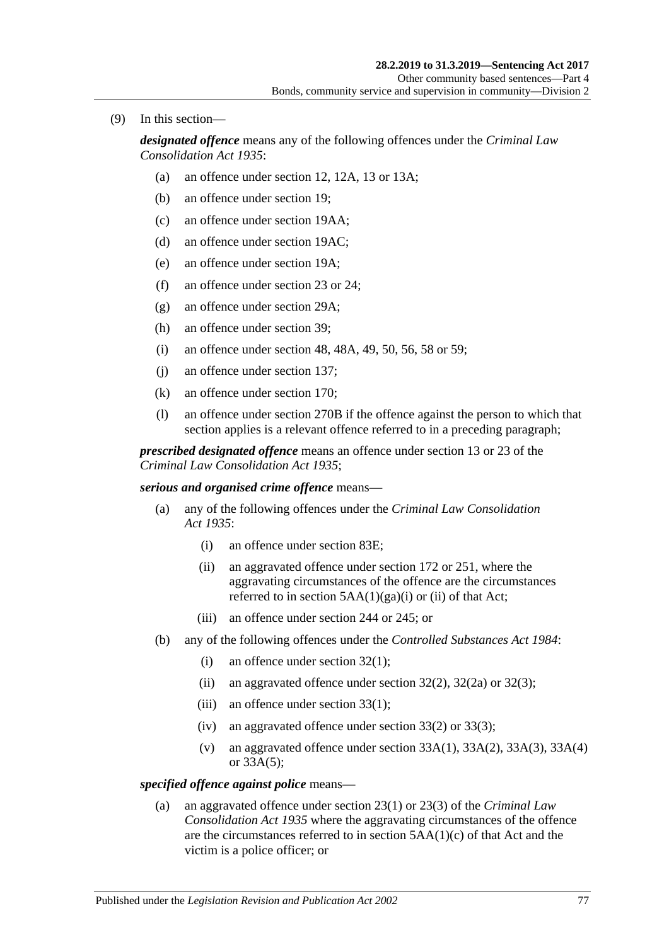(9) In this section—

*designated offence* means any of the following offences under the *[Criminal Law](http://www.legislation.sa.gov.au/index.aspx?action=legref&type=act&legtitle=Criminal%20Law%20Consolidation%20Act%201935)  [Consolidation Act](http://www.legislation.sa.gov.au/index.aspx?action=legref&type=act&legtitle=Criminal%20Law%20Consolidation%20Act%201935) 1935*:

- (a) an offence under section 12, 12A, 13 or 13A;
- (b) an offence under section 19;
- (c) an offence under section 19AA;
- (d) an offence under section 19AC;
- (e) an offence under section 19A;
- (f) an offence under section 23 or 24;
- (g) an offence under section 29A;
- (h) an offence under section 39;
- (i) an offence under section 48, 48A, 49, 50, 56, 58 or 59;
- (j) an offence under section 137;
- (k) an offence under section 170;
- (l) an offence under section 270B if the offence against the person to which that section applies is a relevant offence referred to in a preceding paragraph;

*prescribed designated offence* means an offence under section 13 or 23 of the *[Criminal Law Consolidation Act](http://www.legislation.sa.gov.au/index.aspx?action=legref&type=act&legtitle=Criminal%20Law%20Consolidation%20Act%201935) 1935*;

*serious and organised crime offence* means—

- (a) any of the following offences under the *[Criminal Law Consolidation](http://www.legislation.sa.gov.au/index.aspx?action=legref&type=act&legtitle=Criminal%20Law%20Consolidation%20Act%201935)  Act [1935](http://www.legislation.sa.gov.au/index.aspx?action=legref&type=act&legtitle=Criminal%20Law%20Consolidation%20Act%201935)*:
	- (i) an offence under section 83E;
	- (ii) an aggravated offence under section 172 or 251, where the aggravating circumstances of the offence are the circumstances referred to in section  $5AA(1)(ga)(i)$  or (ii) of that Act;
	- (iii) an offence under section 244 or 245; or
- (b) any of the following offences under the *[Controlled Substances Act](http://www.legislation.sa.gov.au/index.aspx?action=legref&type=act&legtitle=Controlled%20Substances%20Act%201984) 1984*:
	- (i) an offence under section 32(1);
	- (ii) an aggravated offence under section  $32(2)$ ,  $32(2a)$  or  $32(3)$ ;
	- (iii) an offence under section  $33(1)$ ;
	- (iv) an aggravated offence under section  $33(2)$  or  $33(3)$ ;
	- (v) an aggravated offence under section  $33A(1)$ ,  $33A(2)$ ,  $33A(3)$ ,  $33A(4)$ or 33A(5);

#### *specified offence against police* means—

(a) an aggravated offence under section 23(1) or 23(3) of the *[Criminal Law](http://www.legislation.sa.gov.au/index.aspx?action=legref&type=act&legtitle=Criminal%20Law%20Consolidation%20Act%201935)  [Consolidation Act](http://www.legislation.sa.gov.au/index.aspx?action=legref&type=act&legtitle=Criminal%20Law%20Consolidation%20Act%201935) 1935* where the aggravating circumstances of the offence are the circumstances referred to in section  $5AA(1)(c)$  of that Act and the victim is a police officer; or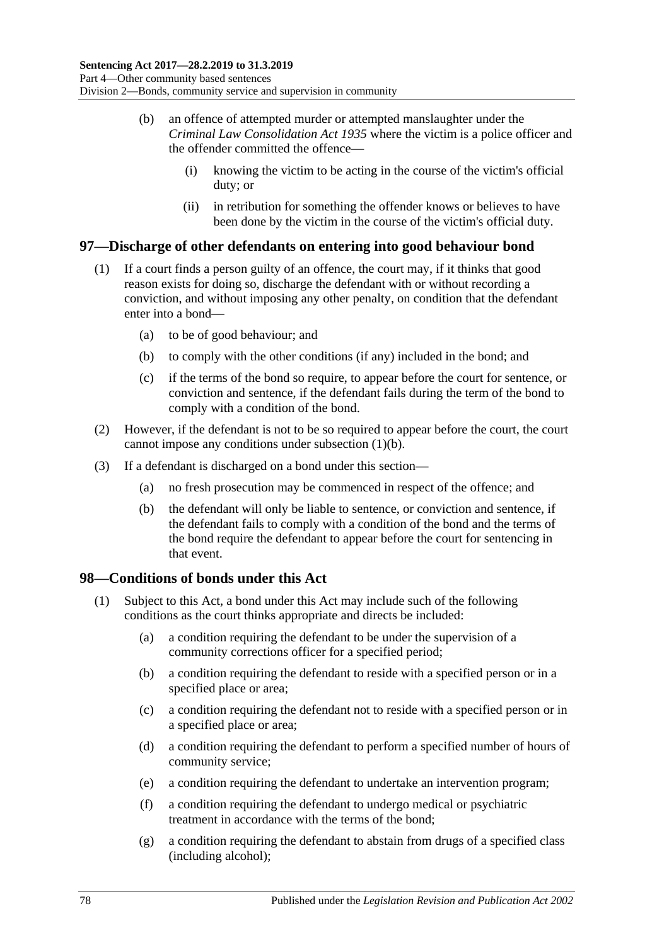- (b) an offence of attempted murder or attempted manslaughter under the *[Criminal Law Consolidation Act](http://www.legislation.sa.gov.au/index.aspx?action=legref&type=act&legtitle=Criminal%20Law%20Consolidation%20Act%201935) 1935* where the victim is a police officer and the offender committed the offence—
	- (i) knowing the victim to be acting in the course of the victim's official duty; or
	- (ii) in retribution for something the offender knows or believes to have been done by the victim in the course of the victim's official duty.

#### <span id="page-77-0"></span>**97—Discharge of other defendants on entering into good behaviour bond**

- <span id="page-77-1"></span>(1) If a court finds a person guilty of an offence, the court may, if it thinks that good reason exists for doing so, discharge the defendant with or without recording a conviction, and without imposing any other penalty, on condition that the defendant enter into a bond—
	- (a) to be of good behaviour; and
	- (b) to comply with the other conditions (if any) included in the bond; and
	- (c) if the terms of the bond so require, to appear before the court for sentence, or conviction and sentence, if the defendant fails during the term of the bond to comply with a condition of the bond.
- (2) However, if the defendant is not to be so required to appear before the court, the court cannot impose any conditions under [subsection](#page-77-1) (1)(b).
- (3) If a defendant is discharged on a bond under this section—
	- (a) no fresh prosecution may be commenced in respect of the offence; and
	- (b) the defendant will only be liable to sentence, or conviction and sentence, if the defendant fails to comply with a condition of the bond and the terms of the bond require the defendant to appear before the court for sentencing in that event.

#### **98—Conditions of bonds under this Act**

- (1) Subject to this Act, a bond under this Act may include such of the following conditions as the court thinks appropriate and directs be included:
	- (a) a condition requiring the defendant to be under the supervision of a community corrections officer for a specified period;
	- (b) a condition requiring the defendant to reside with a specified person or in a specified place or area;
	- (c) a condition requiring the defendant not to reside with a specified person or in a specified place or area;
	- (d) a condition requiring the defendant to perform a specified number of hours of community service;
	- (e) a condition requiring the defendant to undertake an intervention program;
	- (f) a condition requiring the defendant to undergo medical or psychiatric treatment in accordance with the terms of the bond;
	- (g) a condition requiring the defendant to abstain from drugs of a specified class (including alcohol);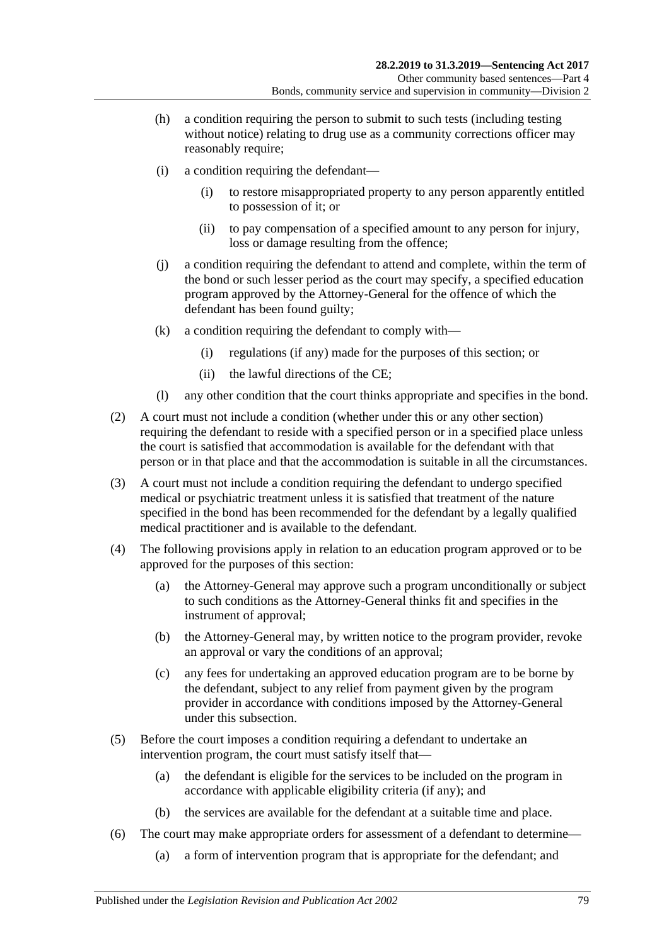- (h) a condition requiring the person to submit to such tests (including testing without notice) relating to drug use as a community corrections officer may reasonably require;
- (i) a condition requiring the defendant—
	- (i) to restore misappropriated property to any person apparently entitled to possession of it; or
	- (ii) to pay compensation of a specified amount to any person for injury, loss or damage resulting from the offence;
- (j) a condition requiring the defendant to attend and complete, within the term of the bond or such lesser period as the court may specify, a specified education program approved by the Attorney-General for the offence of which the defendant has been found guilty;
- (k) a condition requiring the defendant to comply with—
	- (i) regulations (if any) made for the purposes of this section; or
	- (ii) the lawful directions of the CE;
- (l) any other condition that the court thinks appropriate and specifies in the bond.
- (2) A court must not include a condition (whether under this or any other section) requiring the defendant to reside with a specified person or in a specified place unless the court is satisfied that accommodation is available for the defendant with that person or in that place and that the accommodation is suitable in all the circumstances.
- (3) A court must not include a condition requiring the defendant to undergo specified medical or psychiatric treatment unless it is satisfied that treatment of the nature specified in the bond has been recommended for the defendant by a legally qualified medical practitioner and is available to the defendant.
- (4) The following provisions apply in relation to an education program approved or to be approved for the purposes of this section:
	- (a) the Attorney-General may approve such a program unconditionally or subject to such conditions as the Attorney-General thinks fit and specifies in the instrument of approval;
	- (b) the Attorney-General may, by written notice to the program provider, revoke an approval or vary the conditions of an approval;
	- (c) any fees for undertaking an approved education program are to be borne by the defendant, subject to any relief from payment given by the program provider in accordance with conditions imposed by the Attorney-General under this subsection.
- (5) Before the court imposes a condition requiring a defendant to undertake an intervention program, the court must satisfy itself that—
	- (a) the defendant is eligible for the services to be included on the program in accordance with applicable eligibility criteria (if any); and
	- (b) the services are available for the defendant at a suitable time and place.
- (6) The court may make appropriate orders for assessment of a defendant to determine—
	- (a) a form of intervention program that is appropriate for the defendant; and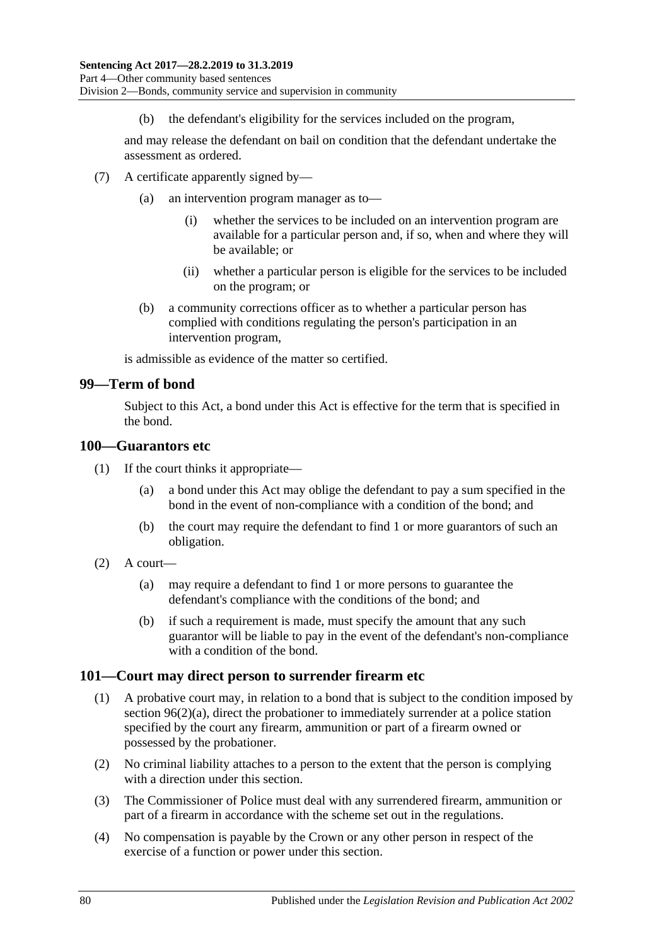(b) the defendant's eligibility for the services included on the program,

and may release the defendant on bail on condition that the defendant undertake the assessment as ordered.

- (7) A certificate apparently signed by—
	- (a) an intervention program manager as to—
		- (i) whether the services to be included on an intervention program are available for a particular person and, if so, when and where they will be available; or
		- (ii) whether a particular person is eligible for the services to be included on the program; or
	- (b) a community corrections officer as to whether a particular person has complied with conditions regulating the person's participation in an intervention program,

is admissible as evidence of the matter so certified.

#### **99—Term of bond**

Subject to this Act, a bond under this Act is effective for the term that is specified in the bond.

#### **100—Guarantors etc**

- (1) If the court thinks it appropriate—
	- (a) a bond under this Act may oblige the defendant to pay a sum specified in the bond in the event of non-compliance with a condition of the bond; and
	- (b) the court may require the defendant to find 1 or more guarantors of such an obligation.
- $(2)$  A court—
	- (a) may require a defendant to find 1 or more persons to guarantee the defendant's compliance with the conditions of the bond; and
	- (b) if such a requirement is made, must specify the amount that any such guarantor will be liable to pay in the event of the defendant's non-compliance with a condition of the bond.

#### **101—Court may direct person to surrender firearm etc**

- (1) A probative court may, in relation to a bond that is subject to the condition imposed by section [96\(2\)\(a\),](#page-74-8) direct the probationer to immediately surrender at a police station specified by the court any firearm, ammunition or part of a firearm owned or possessed by the probationer.
- (2) No criminal liability attaches to a person to the extent that the person is complying with a direction under this section.
- (3) The Commissioner of Police must deal with any surrendered firearm, ammunition or part of a firearm in accordance with the scheme set out in the regulations.
- (4) No compensation is payable by the Crown or any other person in respect of the exercise of a function or power under this section.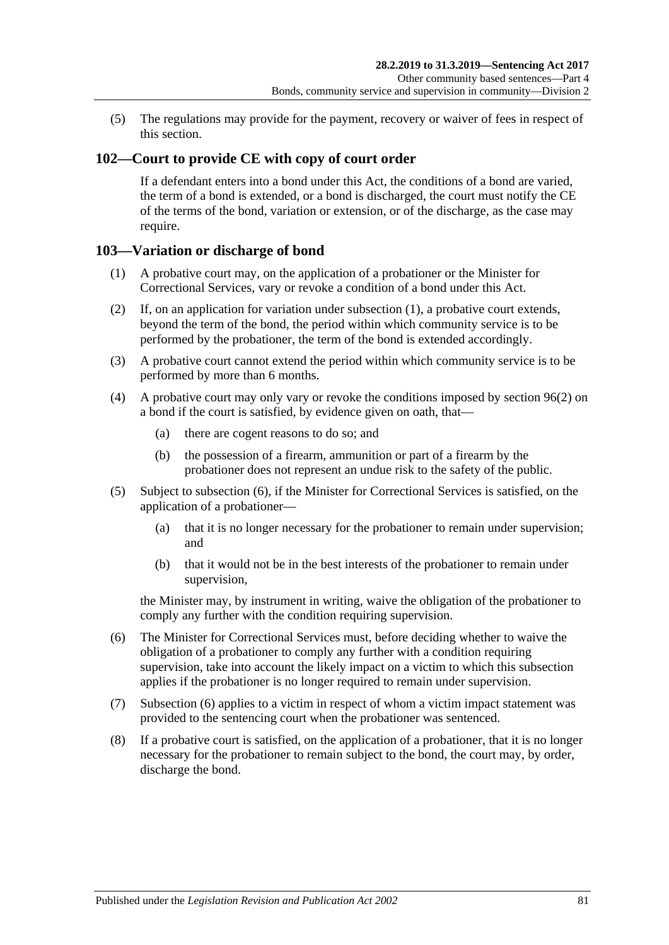(5) The regulations may provide for the payment, recovery or waiver of fees in respect of this section.

#### **102—Court to provide CE with copy of court order**

If a defendant enters into a bond under this Act, the conditions of a bond are varied, the term of a bond is extended, or a bond is discharged, the court must notify the CE of the terms of the bond, variation or extension, or of the discharge, as the case may require.

#### <span id="page-80-0"></span>**103—Variation or discharge of bond**

- (1) A probative court may, on the application of a probationer or the Minister for Correctional Services, vary or revoke a condition of a bond under this Act.
- (2) If, on an application for variation under [subsection](#page-80-0) (1), a probative court extends, beyond the term of the bond, the period within which community service is to be performed by the probationer, the term of the bond is extended accordingly.
- (3) A probative court cannot extend the period within which community service is to be performed by more than 6 months.
- (4) A probative court may only vary or revoke the conditions imposed by [section](#page-74-1) 96(2) on a bond if the court is satisfied, by evidence given on oath, that—
	- (a) there are cogent reasons to do so; and
	- (b) the possession of a firearm, ammunition or part of a firearm by the probationer does not represent an undue risk to the safety of the public.
- (5) Subject to [subsection](#page-80-1) (6), if the Minister for Correctional Services is satisfied, on the application of a probationer—
	- (a) that it is no longer necessary for the probationer to remain under supervision; and
	- (b) that it would not be in the best interests of the probationer to remain under supervision,

the Minister may, by instrument in writing, waive the obligation of the probationer to comply any further with the condition requiring supervision.

- <span id="page-80-1"></span>(6) The Minister for Correctional Services must, before deciding whether to waive the obligation of a probationer to comply any further with a condition requiring supervision, take into account the likely impact on a victim to which this subsection applies if the probationer is no longer required to remain under supervision.
- (7) [Subsection](#page-80-1) (6) applies to a victim in respect of whom a victim impact statement was provided to the sentencing court when the probationer was sentenced.
- (8) If a probative court is satisfied, on the application of a probationer, that it is no longer necessary for the probationer to remain subject to the bond, the court may, by order, discharge the bond.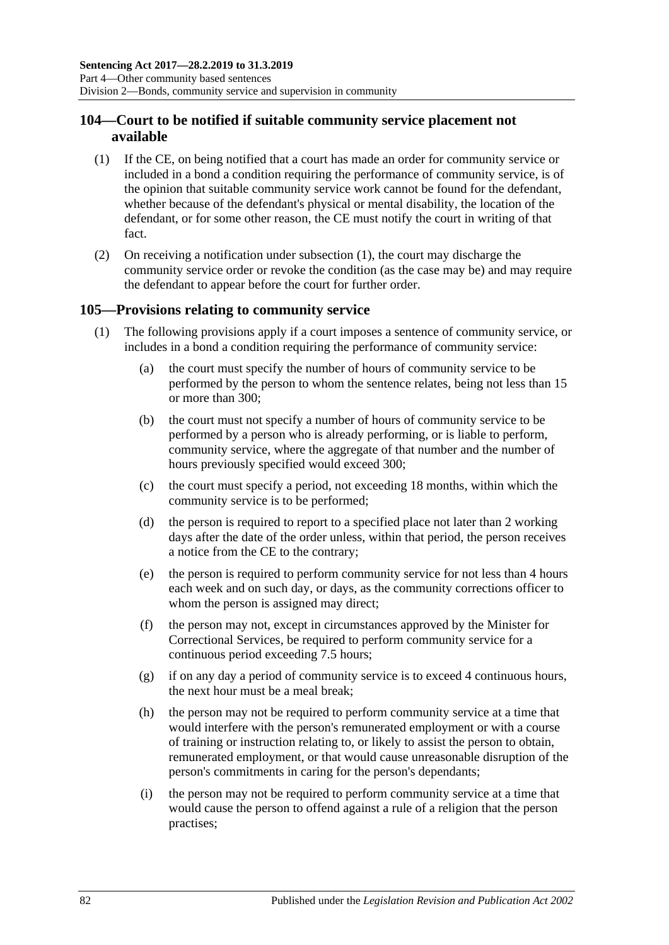#### **104—Court to be notified if suitable community service placement not available**

- <span id="page-81-0"></span>(1) If the CE, on being notified that a court has made an order for community service or included in a bond a condition requiring the performance of community service, is of the opinion that suitable community service work cannot be found for the defendant, whether because of the defendant's physical or mental disability, the location of the defendant, or for some other reason, the CE must notify the court in writing of that fact.
- (2) On receiving a notification under [subsection](#page-81-0) (1), the court may discharge the community service order or revoke the condition (as the case may be) and may require the defendant to appear before the court for further order.

#### <span id="page-81-1"></span>**105—Provisions relating to community service**

- (1) The following provisions apply if a court imposes a sentence of community service, or includes in a bond a condition requiring the performance of community service:
	- (a) the court must specify the number of hours of community service to be performed by the person to whom the sentence relates, being not less than 15 or more than 300;
	- (b) the court must not specify a number of hours of community service to be performed by a person who is already performing, or is liable to perform, community service, where the aggregate of that number and the number of hours previously specified would exceed 300;
	- (c) the court must specify a period, not exceeding 18 months, within which the community service is to be performed;
	- (d) the person is required to report to a specified place not later than 2 working days after the date of the order unless, within that period, the person receives a notice from the CE to the contrary;
	- (e) the person is required to perform community service for not less than 4 hours each week and on such day, or days, as the community corrections officer to whom the person is assigned may direct;
	- (f) the person may not, except in circumstances approved by the Minister for Correctional Services, be required to perform community service for a continuous period exceeding 7.5 hours;
	- (g) if on any day a period of community service is to exceed 4 continuous hours, the next hour must be a meal break;
	- (h) the person may not be required to perform community service at a time that would interfere with the person's remunerated employment or with a course of training or instruction relating to, or likely to assist the person to obtain, remunerated employment, or that would cause unreasonable disruption of the person's commitments in caring for the person's dependants;
	- (i) the person may not be required to perform community service at a time that would cause the person to offend against a rule of a religion that the person practises;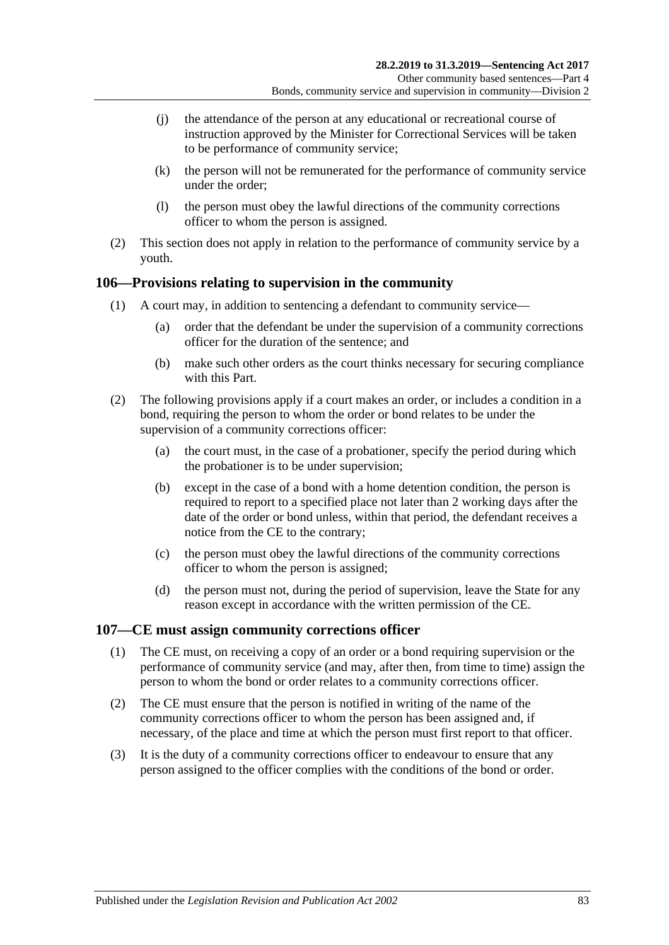- (j) the attendance of the person at any educational or recreational course of instruction approved by the Minister for Correctional Services will be taken to be performance of community service;
- (k) the person will not be remunerated for the performance of community service under the order;
- (l) the person must obey the lawful directions of the community corrections officer to whom the person is assigned.
- (2) This section does not apply in relation to the performance of community service by a youth.

#### **106—Provisions relating to supervision in the community**

- (1) A court may, in addition to sentencing a defendant to community service—
	- (a) order that the defendant be under the supervision of a community corrections officer for the duration of the sentence; and
	- (b) make such other orders as the court thinks necessary for securing compliance with this Part.
- (2) The following provisions apply if a court makes an order, or includes a condition in a bond, requiring the person to whom the order or bond relates to be under the supervision of a community corrections officer:
	- (a) the court must, in the case of a probationer, specify the period during which the probationer is to be under supervision;
	- (b) except in the case of a bond with a home detention condition, the person is required to report to a specified place not later than 2 working days after the date of the order or bond unless, within that period, the defendant receives a notice from the CE to the contrary;
	- (c) the person must obey the lawful directions of the community corrections officer to whom the person is assigned;
	- (d) the person must not, during the period of supervision, leave the State for any reason except in accordance with the written permission of the CE.

#### **107—CE must assign community corrections officer**

- (1) The CE must, on receiving a copy of an order or a bond requiring supervision or the performance of community service (and may, after then, from time to time) assign the person to whom the bond or order relates to a community corrections officer.
- (2) The CE must ensure that the person is notified in writing of the name of the community corrections officer to whom the person has been assigned and, if necessary, of the place and time at which the person must first report to that officer.
- (3) It is the duty of a community corrections officer to endeavour to ensure that any person assigned to the officer complies with the conditions of the bond or order.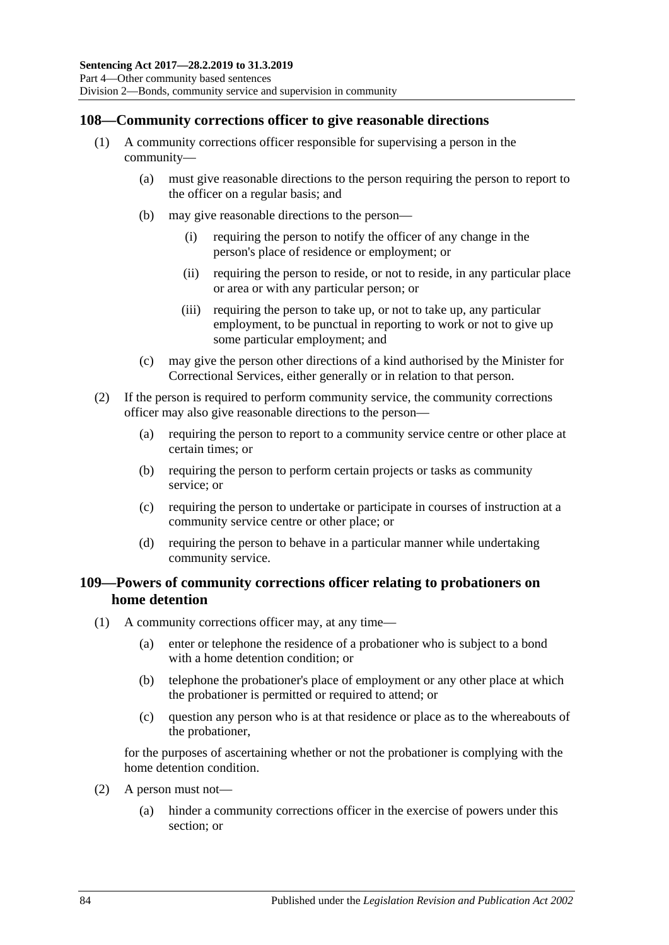#### **108—Community corrections officer to give reasonable directions**

- (1) A community corrections officer responsible for supervising a person in the community—
	- (a) must give reasonable directions to the person requiring the person to report to the officer on a regular basis; and
	- (b) may give reasonable directions to the person—
		- (i) requiring the person to notify the officer of any change in the person's place of residence or employment; or
		- (ii) requiring the person to reside, or not to reside, in any particular place or area or with any particular person; or
		- (iii) requiring the person to take up, or not to take up, any particular employment, to be punctual in reporting to work or not to give up some particular employment; and
	- (c) may give the person other directions of a kind authorised by the Minister for Correctional Services, either generally or in relation to that person.
- (2) If the person is required to perform community service, the community corrections officer may also give reasonable directions to the person—
	- (a) requiring the person to report to a community service centre or other place at certain times; or
	- (b) requiring the person to perform certain projects or tasks as community service; or
	- (c) requiring the person to undertake or participate in courses of instruction at a community service centre or other place; or
	- (d) requiring the person to behave in a particular manner while undertaking community service.

#### **109—Powers of community corrections officer relating to probationers on home detention**

- (1) A community corrections officer may, at any time—
	- (a) enter or telephone the residence of a probationer who is subject to a bond with a home detention condition; or
	- (b) telephone the probationer's place of employment or any other place at which the probationer is permitted or required to attend; or
	- (c) question any person who is at that residence or place as to the whereabouts of the probationer,

for the purposes of ascertaining whether or not the probationer is complying with the home detention condition.

- (2) A person must not—
	- (a) hinder a community corrections officer in the exercise of powers under this section; or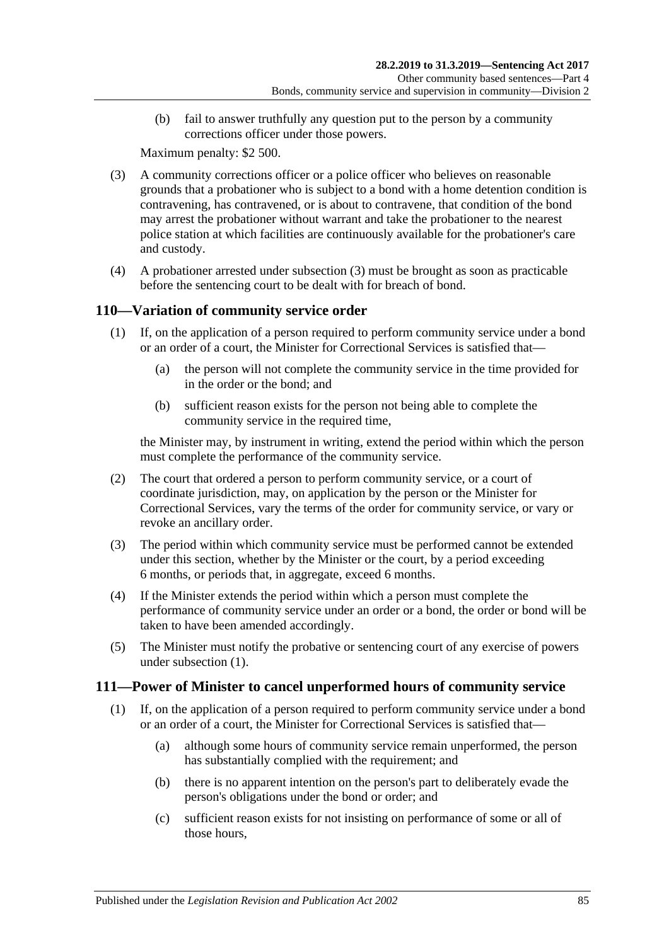(b) fail to answer truthfully any question put to the person by a community corrections officer under those powers.

Maximum penalty: \$2 500.

- <span id="page-84-0"></span>(3) A community corrections officer or a police officer who believes on reasonable grounds that a probationer who is subject to a bond with a home detention condition is contravening, has contravened, or is about to contravene, that condition of the bond may arrest the probationer without warrant and take the probationer to the nearest police station at which facilities are continuously available for the probationer's care and custody.
- (4) A probationer arrested under [subsection](#page-84-0) (3) must be brought as soon as practicable before the sentencing court to be dealt with for breach of bond.

### <span id="page-84-1"></span>**110—Variation of community service order**

- (1) If, on the application of a person required to perform community service under a bond or an order of a court, the Minister for Correctional Services is satisfied that—
	- (a) the person will not complete the community service in the time provided for in the order or the bond; and
	- (b) sufficient reason exists for the person not being able to complete the community service in the required time,

the Minister may, by instrument in writing, extend the period within which the person must complete the performance of the community service.

- (2) The court that ordered a person to perform community service, or a court of coordinate jurisdiction, may, on application by the person or the Minister for Correctional Services, vary the terms of the order for community service, or vary or revoke an ancillary order.
- (3) The period within which community service must be performed cannot be extended under this section, whether by the Minister or the court, by a period exceeding 6 months, or periods that, in aggregate, exceed 6 months.
- (4) If the Minister extends the period within which a person must complete the performance of community service under an order or a bond, the order or bond will be taken to have been amended accordingly.
- (5) The Minister must notify the probative or sentencing court of any exercise of powers under [subsection](#page-84-1) (1).

#### <span id="page-84-2"></span>**111—Power of Minister to cancel unperformed hours of community service**

- (1) If, on the application of a person required to perform community service under a bond or an order of a court, the Minister for Correctional Services is satisfied that—
	- (a) although some hours of community service remain unperformed, the person has substantially complied with the requirement; and
	- (b) there is no apparent intention on the person's part to deliberately evade the person's obligations under the bond or order; and
	- (c) sufficient reason exists for not insisting on performance of some or all of those hours,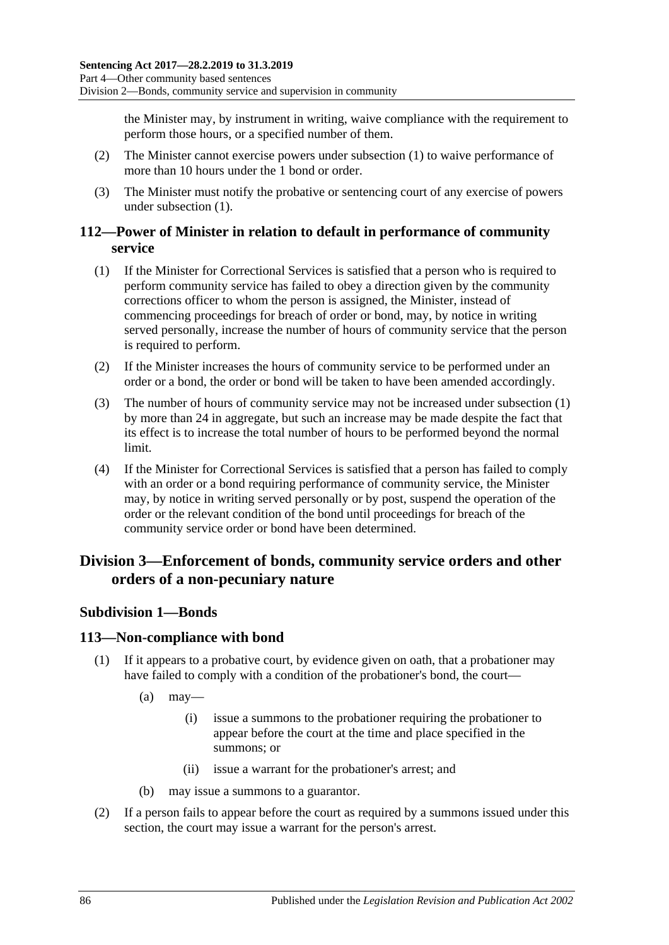the Minister may, by instrument in writing, waive compliance with the requirement to perform those hours, or a specified number of them.

- (2) The Minister cannot exercise powers under [subsection](#page-84-2) (1) to waive performance of more than 10 hours under the 1 bond or order.
- (3) The Minister must notify the probative or sentencing court of any exercise of powers under [subsection](#page-84-2) (1).

#### **112—Power of Minister in relation to default in performance of community service**

- <span id="page-85-0"></span>(1) If the Minister for Correctional Services is satisfied that a person who is required to perform community service has failed to obey a direction given by the community corrections officer to whom the person is assigned, the Minister, instead of commencing proceedings for breach of order or bond, may, by notice in writing served personally, increase the number of hours of community service that the person is required to perform.
- (2) If the Minister increases the hours of community service to be performed under an order or a bond, the order or bond will be taken to have been amended accordingly.
- (3) The number of hours of community service may not be increased under [subsection](#page-85-0) (1) by more than 24 in aggregate, but such an increase may be made despite the fact that its effect is to increase the total number of hours to be performed beyond the normal limit.
- (4) If the Minister for Correctional Services is satisfied that a person has failed to comply with an order or a bond requiring performance of community service, the Minister may, by notice in writing served personally or by post, suspend the operation of the order or the relevant condition of the bond until proceedings for breach of the community service order or bond have been determined.

## **Division 3—Enforcement of bonds, community service orders and other orders of a non-pecuniary nature**

### **Subdivision 1—Bonds**

#### **113—Non-compliance with bond**

- (1) If it appears to a probative court, by evidence given on oath, that a probationer may have failed to comply with a condition of the probationer's bond, the court—
	- $(a)$  may—
		- (i) issue a summons to the probationer requiring the probationer to appear before the court at the time and place specified in the summons; or
		- (ii) issue a warrant for the probationer's arrest; and
	- (b) may issue a summons to a guarantor.
- (2) If a person fails to appear before the court as required by a summons issued under this section, the court may issue a warrant for the person's arrest.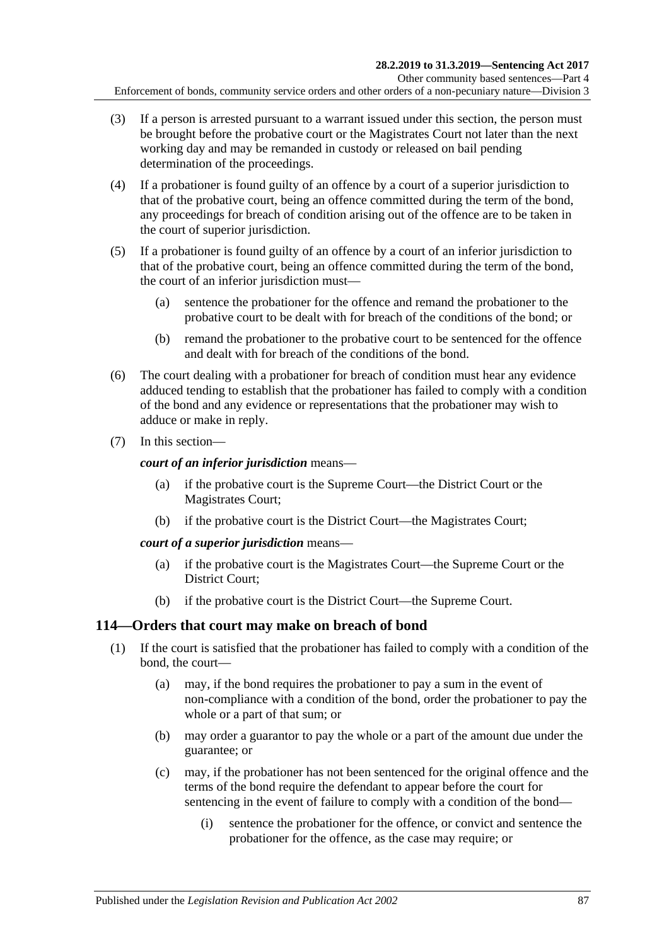- (3) If a person is arrested pursuant to a warrant issued under this section, the person must be brought before the probative court or the Magistrates Court not later than the next working day and may be remanded in custody or released on bail pending determination of the proceedings.
- (4) If a probationer is found guilty of an offence by a court of a superior jurisdiction to that of the probative court, being an offence committed during the term of the bond, any proceedings for breach of condition arising out of the offence are to be taken in the court of superior jurisdiction.
- (5) If a probationer is found guilty of an offence by a court of an inferior jurisdiction to that of the probative court, being an offence committed during the term of the bond, the court of an inferior jurisdiction must—
	- (a) sentence the probationer for the offence and remand the probationer to the probative court to be dealt with for breach of the conditions of the bond; or
	- (b) remand the probationer to the probative court to be sentenced for the offence and dealt with for breach of the conditions of the bond.
- (6) The court dealing with a probationer for breach of condition must hear any evidence adduced tending to establish that the probationer has failed to comply with a condition of the bond and any evidence or representations that the probationer may wish to adduce or make in reply.
- (7) In this section—

#### *court of an inferior jurisdiction* means—

- (a) if the probative court is the Supreme Court—the District Court or the Magistrates Court;
- (b) if the probative court is the District Court—the Magistrates Court;

#### *court of a superior jurisdiction* means—

- (a) if the probative court is the Magistrates Court—the Supreme Court or the District Court;
- (b) if the probative court is the District Court—the Supreme Court.

#### **114—Orders that court may make on breach of bond**

- <span id="page-86-0"></span>(1) If the court is satisfied that the probationer has failed to comply with a condition of the bond, the court—
	- (a) may, if the bond requires the probationer to pay a sum in the event of non-compliance with a condition of the bond, order the probationer to pay the whole or a part of that sum; or
	- (b) may order a guarantor to pay the whole or a part of the amount due under the guarantee; or
	- (c) may, if the probationer has not been sentenced for the original offence and the terms of the bond require the defendant to appear before the court for sentencing in the event of failure to comply with a condition of the bond—
		- (i) sentence the probationer for the offence, or convict and sentence the probationer for the offence, as the case may require; or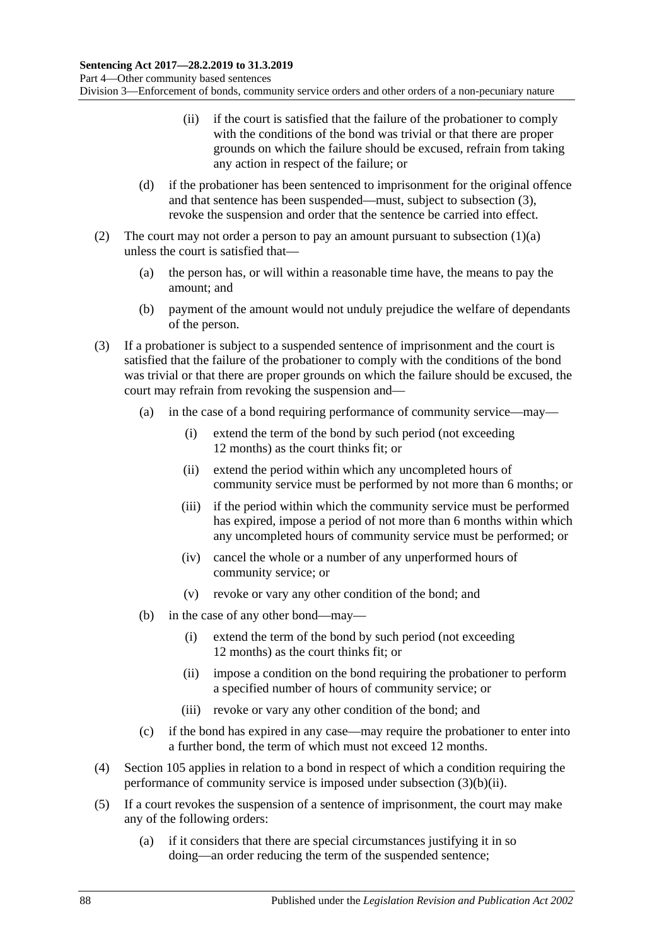- (ii) if the court is satisfied that the failure of the probationer to comply with the conditions of the bond was trivial or that there are proper grounds on which the failure should be excused, refrain from taking any action in respect of the failure; or
- (d) if the probationer has been sentenced to imprisonment for the original offence and that sentence has been suspended—must, subject to [subsection](#page-87-0) (3), revoke the suspension and order that the sentence be carried into effect.
- (2) The court may not order a person to pay an amount pursuant to [subsection](#page-86-0)  $(1)(a)$ unless the court is satisfied that—
	- (a) the person has, or will within a reasonable time have, the means to pay the amount; and
	- (b) payment of the amount would not unduly prejudice the welfare of dependants of the person.
- <span id="page-87-0"></span>(3) If a probationer is subject to a suspended sentence of imprisonment and the court is satisfied that the failure of the probationer to comply with the conditions of the bond was trivial or that there are proper grounds on which the failure should be excused, the court may refrain from revoking the suspension and—
	- (a) in the case of a bond requiring performance of community service—may—
		- (i) extend the term of the bond by such period (not exceeding 12 months) as the court thinks fit; or
		- (ii) extend the period within which any uncompleted hours of community service must be performed by not more than 6 months; or
		- (iii) if the period within which the community service must be performed has expired, impose a period of not more than 6 months within which any uncompleted hours of community service must be performed; or
		- (iv) cancel the whole or a number of any unperformed hours of community service; or
		- (v) revoke or vary any other condition of the bond; and
	- (b) in the case of any other bond—may—
		- (i) extend the term of the bond by such period (not exceeding 12 months) as the court thinks fit; or
		- (ii) impose a condition on the bond requiring the probationer to perform a specified number of hours of community service; or
		- (iii) revoke or vary any other condition of the bond; and
	- (c) if the bond has expired in any case—may require the probationer to enter into a further bond, the term of which must not exceed 12 months.
- <span id="page-87-1"></span>(4) [Section](#page-81-1) 105 applies in relation to a bond in respect of which a condition requiring the performance of community service is imposed under [subsection](#page-87-1) (3)(b)(ii).
- (5) If a court revokes the suspension of a sentence of imprisonment, the court may make any of the following orders:
	- (a) if it considers that there are special circumstances justifying it in so doing—an order reducing the term of the suspended sentence;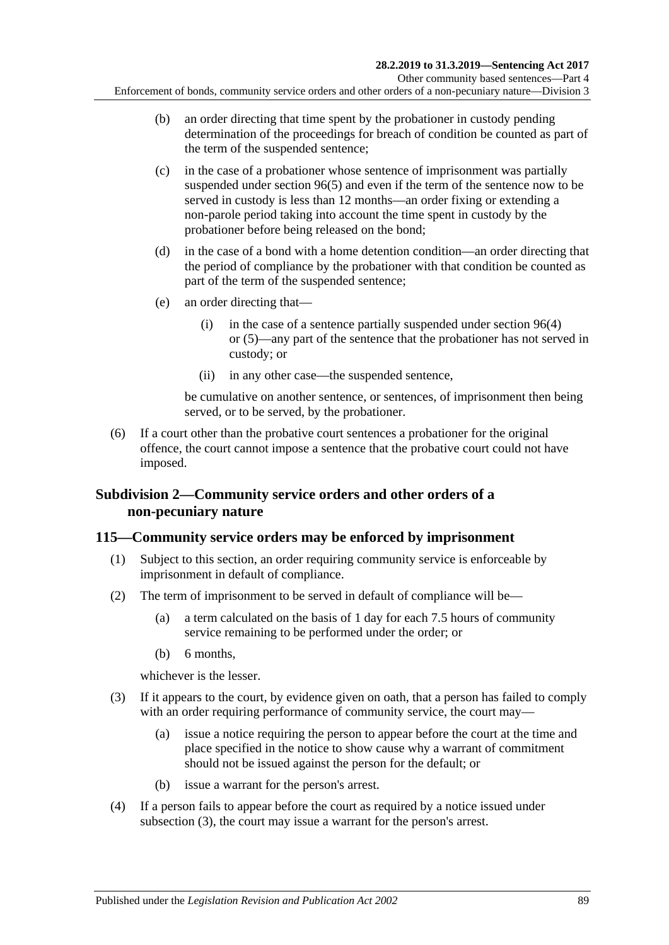- (b) an order directing that time spent by the probationer in custody pending determination of the proceedings for breach of condition be counted as part of the term of the suspended sentence;
- (c) in the case of a probationer whose sentence of imprisonment was partially suspended under [section](#page-75-0) 96(5) and even if the term of the sentence now to be served in custody is less than 12 months—an order fixing or extending a non-parole period taking into account the time spent in custody by the probationer before being released on the bond;
- (d) in the case of a bond with a home detention condition—an order directing that the period of compliance by the probationer with that condition be counted as part of the term of the suspended sentence;
- (e) an order directing that—
	- (i) in the case of a sentence partially suspended under [section](#page-74-7) 96(4) or [\(5\)—](#page-75-0)any part of the sentence that the probationer has not served in custody; or
	- (ii) in any other case—the suspended sentence,

be cumulative on another sentence, or sentences, of imprisonment then being served, or to be served, by the probationer.

(6) If a court other than the probative court sentences a probationer for the original offence, the court cannot impose a sentence that the probative court could not have imposed.

#### **Subdivision 2—Community service orders and other orders of a non-pecuniary nature**

### <span id="page-88-2"></span>**115—Community service orders may be enforced by imprisonment**

- (1) Subject to this section, an order requiring community service is enforceable by imprisonment in default of compliance.
- <span id="page-88-1"></span>(2) The term of imprisonment to be served in default of compliance will be—
	- (a) a term calculated on the basis of 1 day for each 7.5 hours of community service remaining to be performed under the order; or
	- (b) 6 months,

whichever is the lesser.

- <span id="page-88-0"></span>(3) If it appears to the court, by evidence given on oath, that a person has failed to comply with an order requiring performance of community service, the court may—
	- (a) issue a notice requiring the person to appear before the court at the time and place specified in the notice to show cause why a warrant of commitment should not be issued against the person for the default; or
	- (b) issue a warrant for the person's arrest.
- (4) If a person fails to appear before the court as required by a notice issued under [subsection](#page-88-0) (3), the court may issue a warrant for the person's arrest.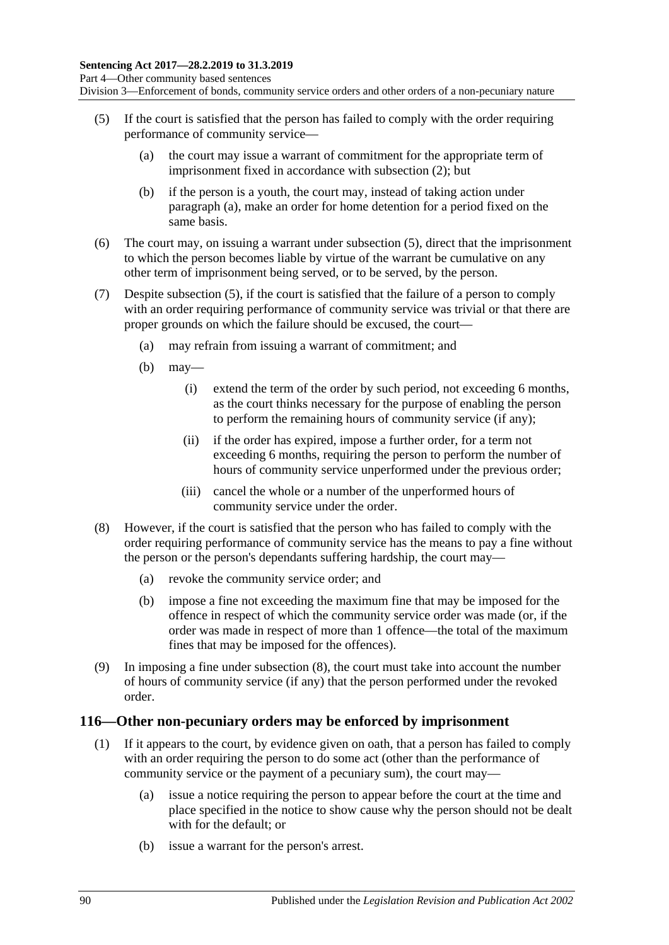Division 3—Enforcement of bonds, community service orders and other orders of a non-pecuniary nature

- <span id="page-89-1"></span><span id="page-89-0"></span>(5) If the court is satisfied that the person has failed to comply with the order requiring performance of community service—
	- (a) the court may issue a warrant of commitment for the appropriate term of imprisonment fixed in accordance with [subsection](#page-88-1) (2); but
	- (b) if the person is a youth, the court may, instead of taking action under [paragraph](#page-89-0) (a), make an order for home detention for a period fixed on the same basis.
- (6) The court may, on issuing a warrant under [subsection](#page-89-1) (5), direct that the imprisonment to which the person becomes liable by virtue of the warrant be cumulative on any other term of imprisonment being served, or to be served, by the person.
- (7) Despite [subsection](#page-89-1) (5), if the court is satisfied that the failure of a person to comply with an order requiring performance of community service was trivial or that there are proper grounds on which the failure should be excused, the court—
	- (a) may refrain from issuing a warrant of commitment; and
	- (b) may—
		- (i) extend the term of the order by such period, not exceeding 6 months, as the court thinks necessary for the purpose of enabling the person to perform the remaining hours of community service (if any);
		- (ii) if the order has expired, impose a further order, for a term not exceeding 6 months, requiring the person to perform the number of hours of community service unperformed under the previous order;
		- (iii) cancel the whole or a number of the unperformed hours of community service under the order.
- <span id="page-89-2"></span>(8) However, if the court is satisfied that the person who has failed to comply with the order requiring performance of community service has the means to pay a fine without the person or the person's dependants suffering hardship, the court may—
	- (a) revoke the community service order; and
	- (b) impose a fine not exceeding the maximum fine that may be imposed for the offence in respect of which the community service order was made (or, if the order was made in respect of more than 1 offence—the total of the maximum fines that may be imposed for the offences).
- (9) In imposing a fine under [subsection](#page-89-2) (8), the court must take into account the number of hours of community service (if any) that the person performed under the revoked order.

#### <span id="page-89-4"></span><span id="page-89-3"></span>**116—Other non-pecuniary orders may be enforced by imprisonment**

- (1) If it appears to the court, by evidence given on oath, that a person has failed to comply with an order requiring the person to do some act (other than the performance of community service or the payment of a pecuniary sum), the court may—
	- (a) issue a notice requiring the person to appear before the court at the time and place specified in the notice to show cause why the person should not be dealt with for the default; or
	- (b) issue a warrant for the person's arrest.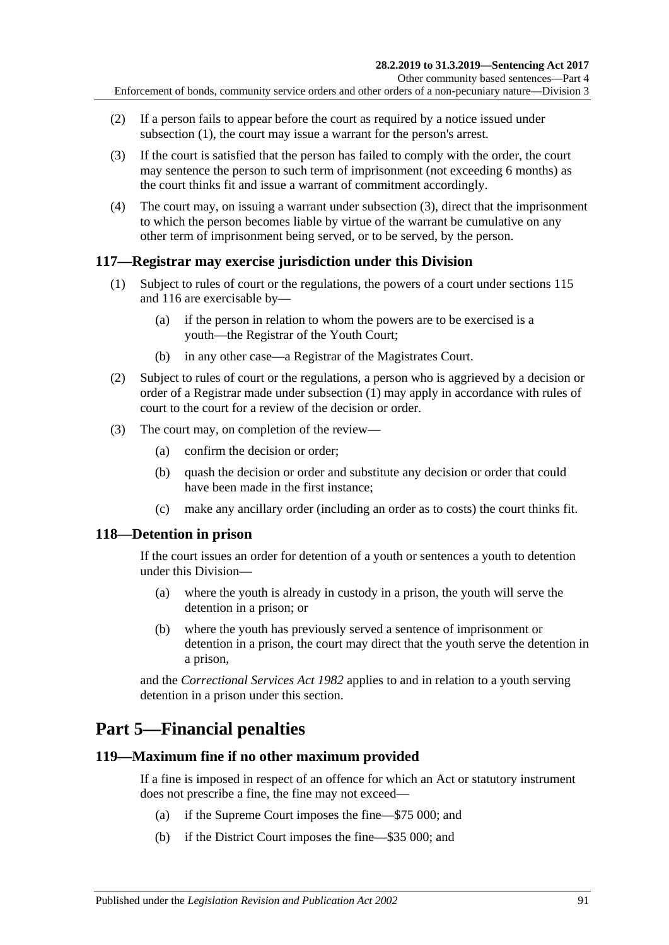- (2) If a person fails to appear before the court as required by a notice issued under [subsection](#page-89-3) (1), the court may issue a warrant for the person's arrest.
- <span id="page-90-0"></span>(3) If the court is satisfied that the person has failed to comply with the order, the court may sentence the person to such term of imprisonment (not exceeding 6 months) as the court thinks fit and issue a warrant of commitment accordingly.
- (4) The court may, on issuing a warrant under [subsection](#page-90-0) (3), direct that the imprisonment to which the person becomes liable by virtue of the warrant be cumulative on any other term of imprisonment being served, or to be served, by the person.

#### <span id="page-90-1"></span>**117—Registrar may exercise jurisdiction under this Division**

- (1) Subject to rules of court or the regulations, the powers of a court under [sections](#page-88-2) 115 and [116](#page-89-4) are exercisable by—
	- (a) if the person in relation to whom the powers are to be exercised is a youth—the Registrar of the Youth Court;
	- (b) in any other case—a Registrar of the Magistrates Court.
- (2) Subject to rules of court or the regulations, a person who is aggrieved by a decision or order of a Registrar made under [subsection](#page-90-1) (1) may apply in accordance with rules of court to the court for a review of the decision or order.
- (3) The court may, on completion of the review—
	- (a) confirm the decision or order;
	- (b) quash the decision or order and substitute any decision or order that could have been made in the first instance;
	- (c) make any ancillary order (including an order as to costs) the court thinks fit.

#### **118—Detention in prison**

If the court issues an order for detention of a youth or sentences a youth to detention under this Division—

- (a) where the youth is already in custody in a prison, the youth will serve the detention in a prison; or
- (b) where the youth has previously served a sentence of imprisonment or detention in a prison, the court may direct that the youth serve the detention in a prison,

and the *[Correctional Services Act](http://www.legislation.sa.gov.au/index.aspx?action=legref&type=act&legtitle=Correctional%20Services%20Act%201982) 1982* applies to and in relation to a youth serving detention in a prison under this section.

## **Part 5—Financial penalties**

#### **119—Maximum fine if no other maximum provided**

If a fine is imposed in respect of an offence for which an Act or statutory instrument does not prescribe a fine, the fine may not exceed—

- (a) if the Supreme Court imposes the fine—\$75 000; and
- (b) if the District Court imposes the fine—\$35 000; and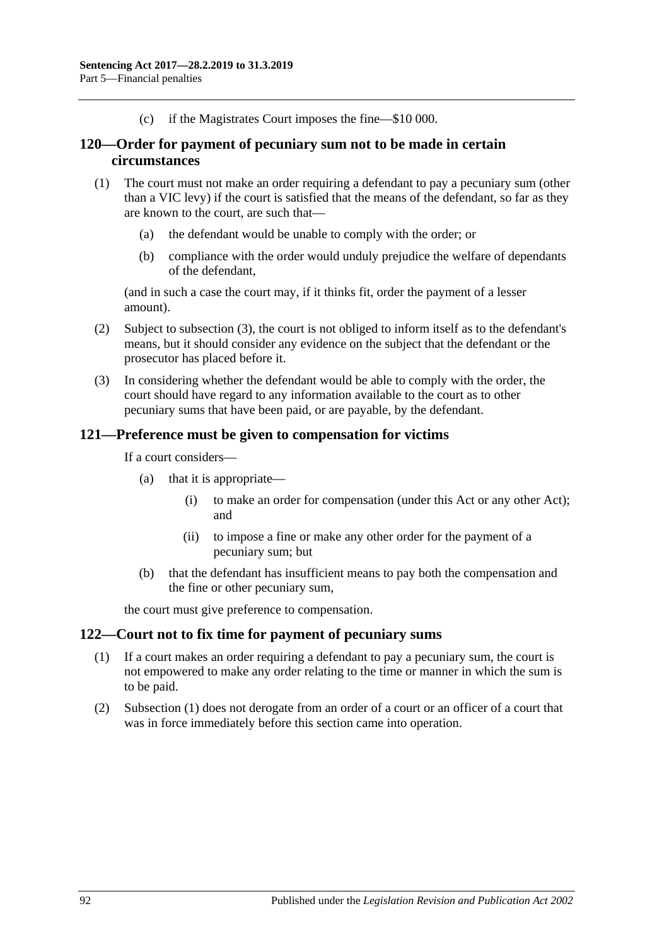(c) if the Magistrates Court imposes the fine—\$10 000.

#### **120—Order for payment of pecuniary sum not to be made in certain circumstances**

- (1) The court must not make an order requiring a defendant to pay a pecuniary sum (other than a VIC levy) if the court is satisfied that the means of the defendant, so far as they are known to the court, are such that—
	- (a) the defendant would be unable to comply with the order; or
	- (b) compliance with the order would unduly prejudice the welfare of dependants of the defendant,

(and in such a case the court may, if it thinks fit, order the payment of a lesser amount).

- (2) Subject to [subsection](#page-91-0) (3), the court is not obliged to inform itself as to the defendant's means, but it should consider any evidence on the subject that the defendant or the prosecutor has placed before it.
- <span id="page-91-0"></span>(3) In considering whether the defendant would be able to comply with the order, the court should have regard to any information available to the court as to other pecuniary sums that have been paid, or are payable, by the defendant.

#### **121—Preference must be given to compensation for victims**

If a court considers—

- (a) that it is appropriate—
	- (i) to make an order for compensation (under this Act or any other Act); and
	- (ii) to impose a fine or make any other order for the payment of a pecuniary sum; but
- (b) that the defendant has insufficient means to pay both the compensation and the fine or other pecuniary sum,

the court must give preference to compensation.

#### <span id="page-91-1"></span>**122—Court not to fix time for payment of pecuniary sums**

- (1) If a court makes an order requiring a defendant to pay a pecuniary sum, the court is not empowered to make any order relating to the time or manner in which the sum is to be paid.
- (2) [Subsection](#page-91-1) (1) does not derogate from an order of a court or an officer of a court that was in force immediately before this section came into operation.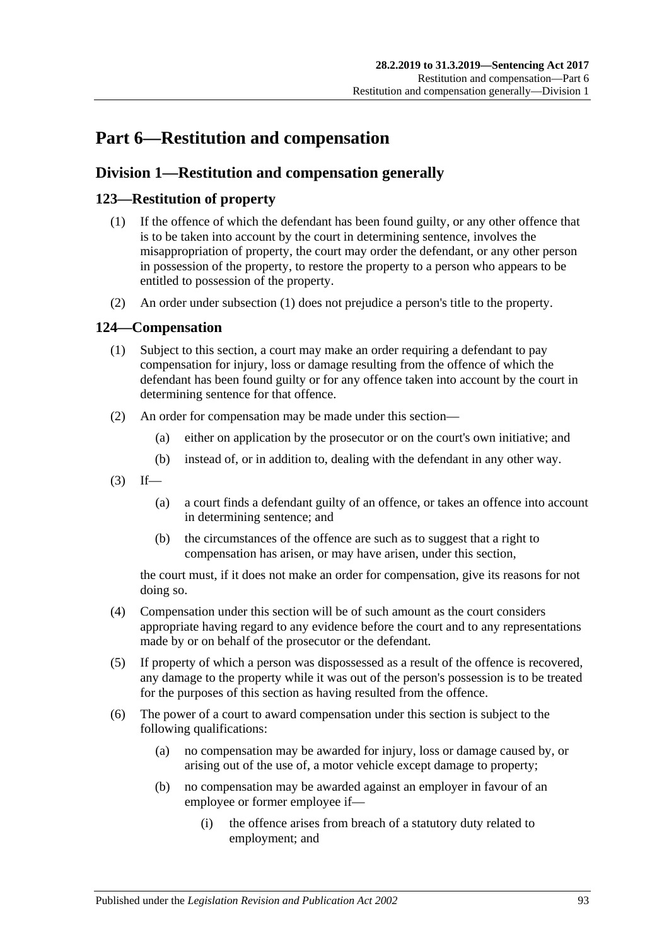# **Part 6—Restitution and compensation**

## **Division 1—Restitution and compensation generally**

### <span id="page-92-1"></span><span id="page-92-0"></span>**123—Restitution of property**

- (1) If the offence of which the defendant has been found guilty, or any other offence that is to be taken into account by the court in determining sentence, involves the misappropriation of property, the court may order the defendant, or any other person in possession of the property, to restore the property to a person who appears to be entitled to possession of the property.
- (2) An order under [subsection](#page-92-0) (1) does not prejudice a person's title to the property.

#### **124—Compensation**

- (1) Subject to this section, a court may make an order requiring a defendant to pay compensation for injury, loss or damage resulting from the offence of which the defendant has been found guilty or for any offence taken into account by the court in determining sentence for that offence.
- (2) An order for compensation may be made under this section—
	- (a) either on application by the prosecutor or on the court's own initiative; and
	- (b) instead of, or in addition to, dealing with the defendant in any other way.
- $(3)$  If—
	- (a) a court finds a defendant guilty of an offence, or takes an offence into account in determining sentence; and
	- (b) the circumstances of the offence are such as to suggest that a right to compensation has arisen, or may have arisen, under this section,

the court must, if it does not make an order for compensation, give its reasons for not doing so.

- (4) Compensation under this section will be of such amount as the court considers appropriate having regard to any evidence before the court and to any representations made by or on behalf of the prosecutor or the defendant.
- (5) If property of which a person was dispossessed as a result of the offence is recovered, any damage to the property while it was out of the person's possession is to be treated for the purposes of this section as having resulted from the offence.
- (6) The power of a court to award compensation under this section is subject to the following qualifications:
	- (a) no compensation may be awarded for injury, loss or damage caused by, or arising out of the use of, a motor vehicle except damage to property;
	- (b) no compensation may be awarded against an employer in favour of an employee or former employee if—
		- (i) the offence arises from breach of a statutory duty related to employment; and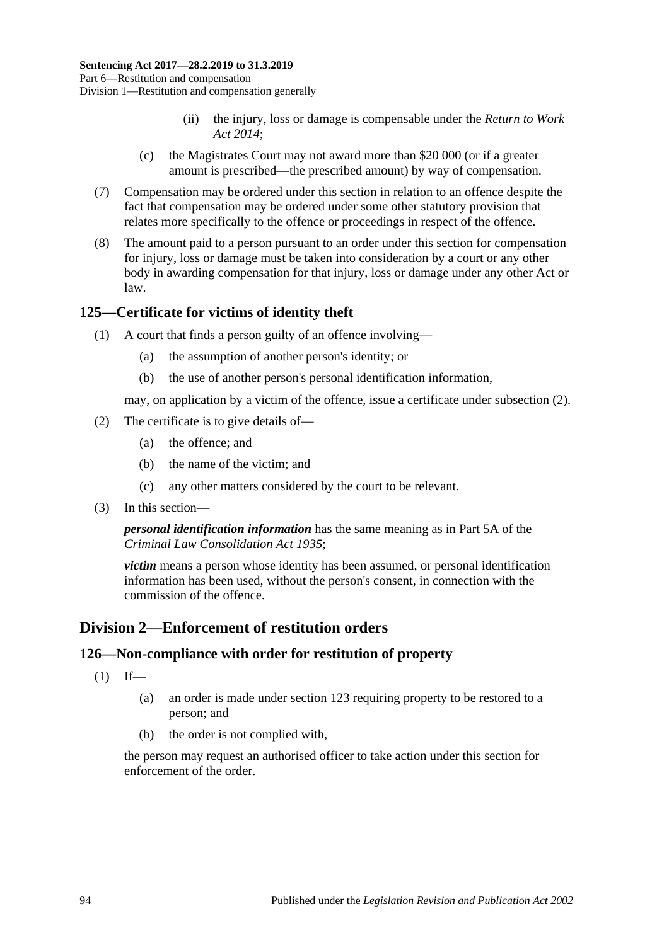- (ii) the injury, loss or damage is compensable under the *[Return to Work](http://www.legislation.sa.gov.au/index.aspx?action=legref&type=act&legtitle=Return%20to%20Work%20Act%202014)  Act [2014](http://www.legislation.sa.gov.au/index.aspx?action=legref&type=act&legtitle=Return%20to%20Work%20Act%202014)*;
- (c) the Magistrates Court may not award more than \$20 000 (or if a greater amount is prescribed—the prescribed amount) by way of compensation.
- (7) Compensation may be ordered under this section in relation to an offence despite the fact that compensation may be ordered under some other statutory provision that relates more specifically to the offence or proceedings in respect of the offence.
- (8) The amount paid to a person pursuant to an order under this section for compensation for injury, loss or damage must be taken into consideration by a court or any other body in awarding compensation for that injury, loss or damage under any other Act or law.

#### **125—Certificate for victims of identity theft**

- (1) A court that finds a person guilty of an offence involving—
	- (a) the assumption of another person's identity; or
	- (b) the use of another person's personal identification information,

may, on application by a victim of the offence, issue a certificate under [subsection](#page-93-0) (2).

- <span id="page-93-0"></span>(2) The certificate is to give details of—
	- (a) the offence; and
	- (b) the name of the victim; and
	- (c) any other matters considered by the court to be relevant.
- (3) In this section—

*personal identification information* has the same meaning as in Part 5A of the *[Criminal Law Consolidation Act](http://www.legislation.sa.gov.au/index.aspx?action=legref&type=act&legtitle=Criminal%20Law%20Consolidation%20Act%201935) 1935*;

*victim* means a person whose identity has been assumed, or personal identification information has been used, without the person's consent, in connection with the commission of the offence.

## **Division 2—Enforcement of restitution orders**

### **126—Non-compliance with order for restitution of property**

- $(1)$  If—
	- (a) an order is made under [section](#page-92-1) 123 requiring property to be restored to a person; and
	- (b) the order is not complied with,

the person may request an authorised officer to take action under this section for enforcement of the order.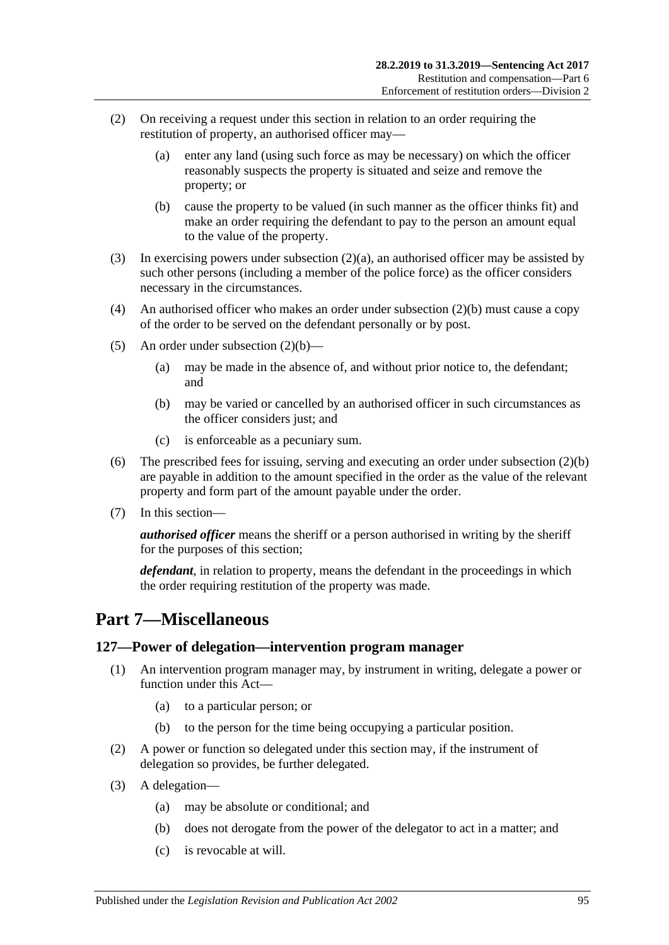- <span id="page-94-0"></span>(2) On receiving a request under this section in relation to an order requiring the restitution of property, an authorised officer may—
	- (a) enter any land (using such force as may be necessary) on which the officer reasonably suspects the property is situated and seize and remove the property; or
	- (b) cause the property to be valued (in such manner as the officer thinks fit) and make an order requiring the defendant to pay to the person an amount equal to the value of the property.
- <span id="page-94-1"></span>(3) In exercising powers under [subsection](#page-94-0) (2)(a), an authorised officer may be assisted by such other persons (including a member of the police force) as the officer considers necessary in the circumstances.
- (4) An authorised officer who makes an order under [subsection](#page-94-1) (2)(b) must cause a copy of the order to be served on the defendant personally or by post.
- (5) An order under [subsection](#page-94-1)  $(2)(b)$ 
	- (a) may be made in the absence of, and without prior notice to, the defendant; and
	- (b) may be varied or cancelled by an authorised officer in such circumstances as the officer considers just; and
	- (c) is enforceable as a pecuniary sum.
- (6) The prescribed fees for issuing, serving and executing an order under [subsection](#page-94-1) (2)(b) are payable in addition to the amount specified in the order as the value of the relevant property and form part of the amount payable under the order.
- (7) In this section—

*authorised officer* means the sheriff or a person authorised in writing by the sheriff for the purposes of this section;

*defendant*, in relation to property, means the defendant in the proceedings in which the order requiring restitution of the property was made.

## **Part 7—Miscellaneous**

#### **127—Power of delegation—intervention program manager**

- (1) An intervention program manager may, by instrument in writing, delegate a power or function under this Act—
	- (a) to a particular person; or
	- (b) to the person for the time being occupying a particular position.
- (2) A power or function so delegated under this section may, if the instrument of delegation so provides, be further delegated.
- (3) A delegation—
	- (a) may be absolute or conditional; and
	- (b) does not derogate from the power of the delegator to act in a matter; and
	- (c) is revocable at will.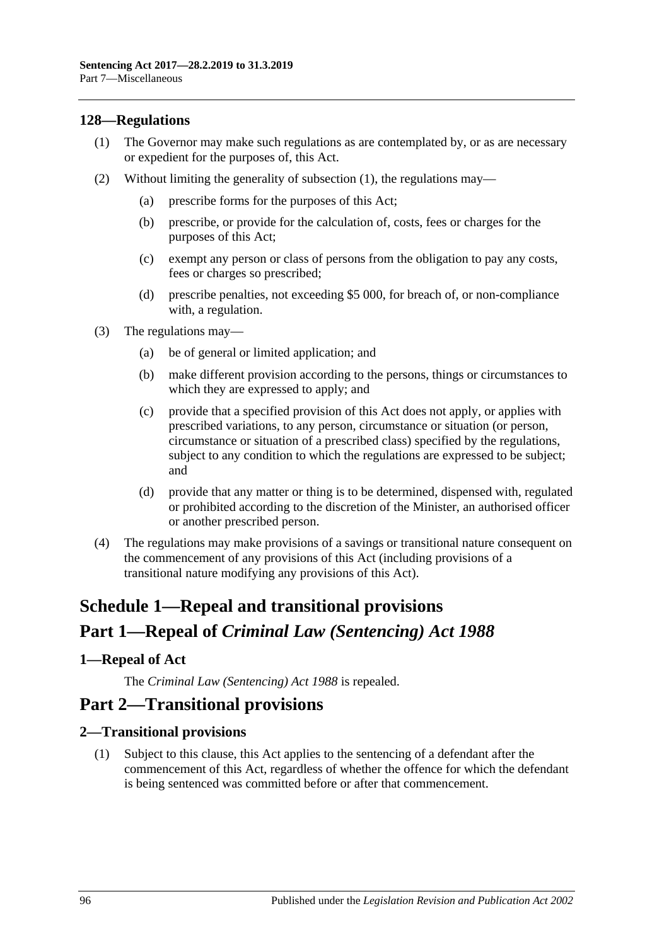#### <span id="page-95-0"></span>**128—Regulations**

- (1) The Governor may make such regulations as are contemplated by, or as are necessary or expedient for the purposes of, this Act.
- (2) Without limiting the generality of [subsection](#page-95-0) (1), the regulations may—
	- (a) prescribe forms for the purposes of this Act;
	- (b) prescribe, or provide for the calculation of, costs, fees or charges for the purposes of this Act;
	- (c) exempt any person or class of persons from the obligation to pay any costs, fees or charges so prescribed;
	- (d) prescribe penalties, not exceeding \$5 000, for breach of, or non-compliance with, a regulation.
- (3) The regulations may—
	- (a) be of general or limited application; and
	- (b) make different provision according to the persons, things or circumstances to which they are expressed to apply; and
	- (c) provide that a specified provision of this Act does not apply, or applies with prescribed variations, to any person, circumstance or situation (or person, circumstance or situation of a prescribed class) specified by the regulations, subject to any condition to which the regulations are expressed to be subject; and
	- (d) provide that any matter or thing is to be determined, dispensed with, regulated or prohibited according to the discretion of the Minister, an authorised officer or another prescribed person.
- (4) The regulations may make provisions of a savings or transitional nature consequent on the commencement of any provisions of this Act (including provisions of a transitional nature modifying any provisions of this Act).

# **Schedule 1—Repeal and transitional provisions Part 1—Repeal of** *Criminal Law (Sentencing) Act 1988*

#### <span id="page-95-1"></span>**1—Repeal of Act**

The *[Criminal Law \(Sentencing\) Act](http://www.legislation.sa.gov.au/index.aspx?action=legref&type=act&legtitle=Criminal%20Law%20(Sentencing)%20Act%201988) 1988* is repealed.

## **Part 2—Transitional provisions**

#### **2—Transitional provisions**

(1) Subject to this clause, this Act applies to the sentencing of a defendant after the commencement of this Act, regardless of whether the offence for which the defendant is being sentenced was committed before or after that commencement.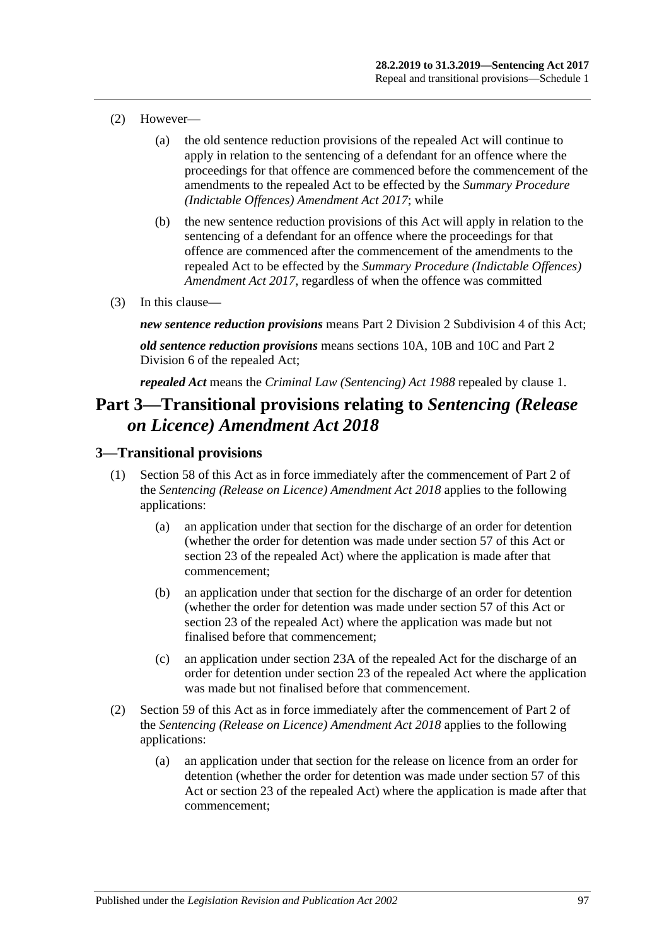- (2) However—
	- (a) the old sentence reduction provisions of the repealed Act will continue to apply in relation to the sentencing of a defendant for an offence where the proceedings for that offence are commenced before the commencement of the amendments to the repealed Act to be effected by the *[Summary Procedure](http://www.legislation.sa.gov.au/index.aspx?action=legref&type=act&legtitle=Summary%20Procedure%20(Indictable%20Offences)%20Amendment%20Act%202017)  [\(Indictable Offences\) Amendment Act 2017](http://www.legislation.sa.gov.au/index.aspx?action=legref&type=act&legtitle=Summary%20Procedure%20(Indictable%20Offences)%20Amendment%20Act%202017)*; while
	- (b) the new sentence reduction provisions of this Act will apply in relation to the sentencing of a defendant for an offence where the proceedings for that offence are commenced after the commencement of the amendments to the repealed Act to be effected by the *[Summary Procedure \(Indictable Offences\)](http://www.legislation.sa.gov.au/index.aspx?action=legref&type=act&legtitle=Summary%20Procedure%20(Indictable%20Offences)%20Amendment%20Act%202017)  [Amendment Act](http://www.legislation.sa.gov.au/index.aspx?action=legref&type=act&legtitle=Summary%20Procedure%20(Indictable%20Offences)%20Amendment%20Act%202017) 2017*, regardless of when the offence was committed
- (3) In this clause—

*new sentence reduction provisions* means Part 2 Division [2 Subdivision](#page-27-0) 4 of this Act;

*old sentence reduction provisions* means sections 10A, 10B and 10C and Part 2 Division 6 of the repealed Act;

*repealed Act* means the *[Criminal Law \(Sentencing\) Act](http://www.legislation.sa.gov.au/index.aspx?action=legref&type=act&legtitle=Criminal%20Law%20(Sentencing)%20Act%201988) 1988* repealed by [clause](#page-95-1) 1.

## **Part 3—Transitional provisions relating to** *Sentencing (Release on Licence) Amendment Act 2018*

#### **3—Transitional provisions**

- (1) [Section 58](#page-49-0) of this Act as in force immediately after the commencement of Part 2 of the *[Sentencing \(Release on Licence\) Amendment Act](http://www.legislation.sa.gov.au/index.aspx?action=legref&type=act&legtitle=Sentencing%20(Release%20on%20Licence)%20Amendment%20Act%202018) 2018* applies to the following applications:
	- (a) an application under that section for the discharge of an order for detention (whether the order for detention was made under [section](#page-47-0) 57 of this Act or section 23 of the repealed Act) where the application is made after that commencement;
	- (b) an application under that section for the discharge of an order for detention (whether the order for detention was made under [section](#page-47-0) 57 of this Act or section 23 of the repealed Act) where the application was made but not finalised before that commencement;
	- (c) an application under section 23A of the repealed Act for the discharge of an order for detention under section 23 of the repealed Act where the application was made but not finalised before that commencement.
- (2) [Section 59](#page-50-0) of this Act as in force immediately after the commencement of Part 2 of the *[Sentencing \(Release on Licence\) Amendment Act](http://www.legislation.sa.gov.au/index.aspx?action=legref&type=act&legtitle=Sentencing%20(Release%20on%20Licence)%20Amendment%20Act%202018) 2018* applies to the following applications:
	- (a) an application under that section for the release on licence from an order for detention (whether the order for detention was made under [section](#page-47-0) 57 of this Act or section 23 of the repealed Act) where the application is made after that commencement;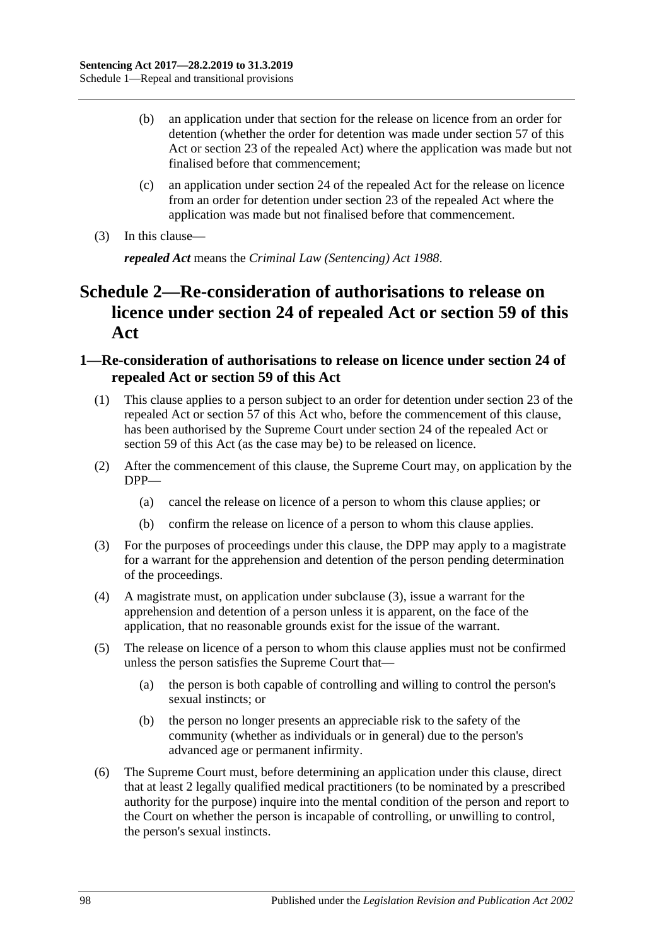- (b) an application under that section for the release on licence from an order for detention (whether the order for detention was made under [section](#page-47-0) 57 of this Act or section 23 of the repealed Act) where the application was made but not finalised before that commencement;
- (c) an application under section 24 of the repealed Act for the release on licence from an order for detention under section 23 of the repealed Act where the application was made but not finalised before that commencement.
- (3) In this clause—

*repealed Act* means the *[Criminal Law \(Sentencing\) Act](http://www.legislation.sa.gov.au/index.aspx?action=legref&type=act&legtitle=Criminal%20Law%20(Sentencing)%20Act%201988) 1988*.

## **Schedule 2—Re-consideration of authorisations to release on licence under section 24 of repealed Act or [section](#page-50-0) 59 of this Act**

#### **1—Re-consideration of authorisations to release on licence under section 24 of repealed Act or [section](#page-50-0) 59 of this Act**

- (1) This clause applies to a person subject to an order for detention under section 23 of the repealed Act or [section](#page-47-0) 57 of this Act who, before the commencement of this clause, has been authorised by the Supreme Court under section 24 of the repealed Act or [section](#page-50-0) 59 of this Act (as the case may be) to be released on licence.
- (2) After the commencement of this clause, the Supreme Court may, on application by the DPP—
	- (a) cancel the release on licence of a person to whom this clause applies; or
	- (b) confirm the release on licence of a person to whom this clause applies.
- <span id="page-97-0"></span>(3) For the purposes of proceedings under this clause, the DPP may apply to a magistrate for a warrant for the apprehension and detention of the person pending determination of the proceedings.
- (4) A magistrate must, on application under [subclause](#page-97-0) (3), issue a warrant for the apprehension and detention of a person unless it is apparent, on the face of the application, that no reasonable grounds exist for the issue of the warrant.
- (5) The release on licence of a person to whom this clause applies must not be confirmed unless the person satisfies the Supreme Court that—
	- (a) the person is both capable of controlling and willing to control the person's sexual instincts; or
	- (b) the person no longer presents an appreciable risk to the safety of the community (whether as individuals or in general) due to the person's advanced age or permanent infirmity.
- <span id="page-97-1"></span>(6) The Supreme Court must, before determining an application under this clause, direct that at least 2 legally qualified medical practitioners (to be nominated by a prescribed authority for the purpose) inquire into the mental condition of the person and report to the Court on whether the person is incapable of controlling, or unwilling to control, the person's sexual instincts.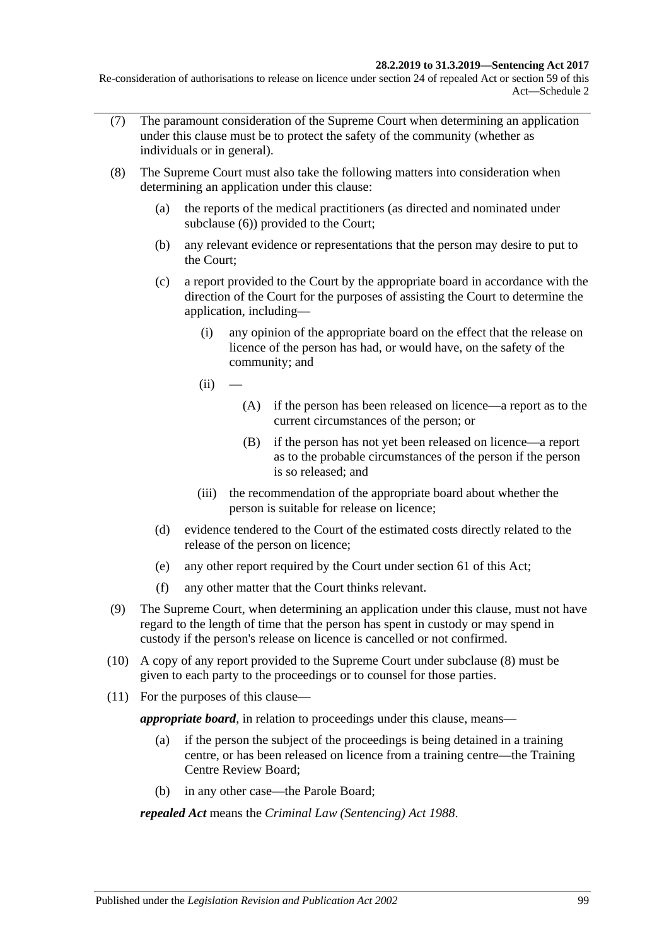#### **28.2.2019 to 31.3.2019—Sentencing Act 2017**

Re-consideration of authorisations to release on licence under section 24 of repealed Act or section 59 of this Act—Schedule 2

- (7) The paramount consideration of the Supreme Court when determining an application under this clause must be to protect the safety of the community (whether as individuals or in general).
- <span id="page-98-0"></span>(8) The Supreme Court must also take the following matters into consideration when determining an application under this clause:
	- (a) the reports of the medical practitioners (as directed and nominated under [subclause](#page-97-1) (6)) provided to the Court;
	- (b) any relevant evidence or representations that the person may desire to put to the Court;
	- (c) a report provided to the Court by the appropriate board in accordance with the direction of the Court for the purposes of assisting the Court to determine the application, including—
		- (i) any opinion of the appropriate board on the effect that the release on licence of the person has had, or would have, on the safety of the community; and
		- $(ii)$
- (A) if the person has been released on licence—a report as to the current circumstances of the person; or
- (B) if the person has not yet been released on licence—a report as to the probable circumstances of the person if the person is so released; and
- (iii) the recommendation of the appropriate board about whether the person is suitable for release on licence;
- (d) evidence tendered to the Court of the estimated costs directly related to the release of the person on licence;
- (e) any other report required by the Court under [section](#page-54-0) 61 of this Act;
- (f) any other matter that the Court thinks relevant.
- (9) The Supreme Court, when determining an application under this clause, must not have regard to the length of time that the person has spent in custody or may spend in custody if the person's release on licence is cancelled or not confirmed.
- (10) A copy of any report provided to the Supreme Court under [subclause](#page-98-0) (8) must be given to each party to the proceedings or to counsel for those parties.
- (11) For the purposes of this clause—

*appropriate board*, in relation to proceedings under this clause, means—

- (a) if the person the subject of the proceedings is being detained in a training centre, or has been released on licence from a training centre—the Training Centre Review Board;
- (b) in any other case—the Parole Board;

*repealed Act* means the *[Criminal Law \(Sentencing\) Act](http://www.legislation.sa.gov.au/index.aspx?action=legref&type=act&legtitle=Criminal%20Law%20(Sentencing)%20Act%201988) 1988*.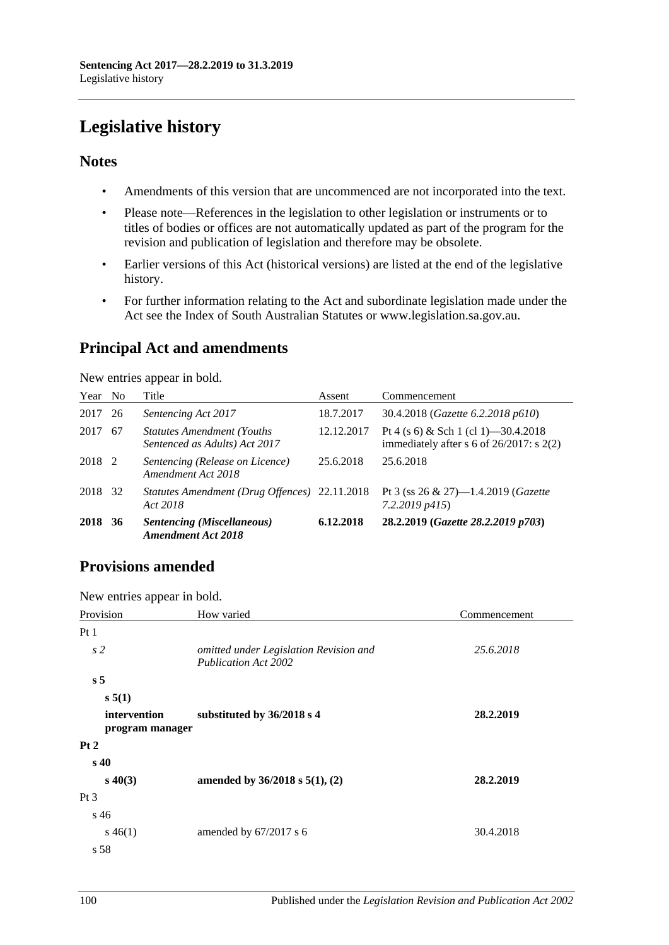# **Legislative history**

#### **Notes**

- Amendments of this version that are uncommenced are not incorporated into the text.
- Please note—References in the legislation to other legislation or instruments or to titles of bodies or offices are not automatically updated as part of the program for the revision and publication of legislation and therefore may be obsolete.
- Earlier versions of this Act (historical versions) are listed at the end of the legislative history.
- For further information relating to the Act and subordinate legislation made under the Act see the Index of South Australian Statutes or www.legislation.sa.gov.au.

## **Principal Act and amendments**

New entries appear in bold.

| Year No |    | Title                                                               | Assent     | Commencement                                                                          |
|---------|----|---------------------------------------------------------------------|------------|---------------------------------------------------------------------------------------|
| 2017    | 26 | Sentencing Act 2017                                                 | 18.7.2017  | 30.4.2018 ( <i>Gazette 6.2.2018 p610</i> )                                            |
| 2017    | 67 | <b>Statutes Amendment (Youths)</b><br>Sentenced as Adults) Act 2017 | 12.12.2017 | Pt 4 (s 6) & Sch 1 (cl 1) -30.4.2018<br>immediately after s 6 of $26/2017$ : s $2(2)$ |
| 2018 2  |    | Sentencing (Release on Licence)<br>Amendment Act 2018               | 25.6.2018  | 25.6.2018                                                                             |
| 2018    | 32 | Statutes Amendment (Drug Offences) 22.11.2018<br>Act 2018           |            | Pt 3 (ss $26 \& 27$ )-1.4.2019 (Gazette<br>$7.2.2019$ $p415$ )                        |
| 2018    | 36 | <b>Sentencing (Miscellaneous)</b><br><b>Amendment Act 2018</b>      | 6.12.2018  | 28.2.2019 (Gazette 28.2.2019 p703)                                                    |

## **Provisions amended**

New entries appear in bold.

| s <sub>2</sub><br>25.6.2018<br>omitted under Legislation Revision and<br><b>Publication Act 2002</b><br>s <sub>5</sub><br>s 5(1)<br>intervention<br>substituted by 36/2018 s 4<br>28.2.2019<br>program manager<br>s <sub>40</sub><br>$s\ 40(3)$<br>amended by $36/2018$ s $5(1)$ , (2)<br>28.2.2019 | Provision | How varied | Commencement |
|-----------------------------------------------------------------------------------------------------------------------------------------------------------------------------------------------------------------------------------------------------------------------------------------------------|-----------|------------|--------------|
|                                                                                                                                                                                                                                                                                                     | Pt 1      |            |              |
|                                                                                                                                                                                                                                                                                                     |           |            |              |
|                                                                                                                                                                                                                                                                                                     |           |            |              |
|                                                                                                                                                                                                                                                                                                     |           |            |              |
|                                                                                                                                                                                                                                                                                                     |           |            |              |
|                                                                                                                                                                                                                                                                                                     | Pt 2      |            |              |
|                                                                                                                                                                                                                                                                                                     |           |            |              |
|                                                                                                                                                                                                                                                                                                     |           |            |              |
|                                                                                                                                                                                                                                                                                                     | Pt 3      |            |              |
| s 46                                                                                                                                                                                                                                                                                                |           |            |              |
| amended by 67/2017 s 6<br>30.4.2018<br>$s\,46(1)$                                                                                                                                                                                                                                                   |           |            |              |
| s 58                                                                                                                                                                                                                                                                                                |           |            |              |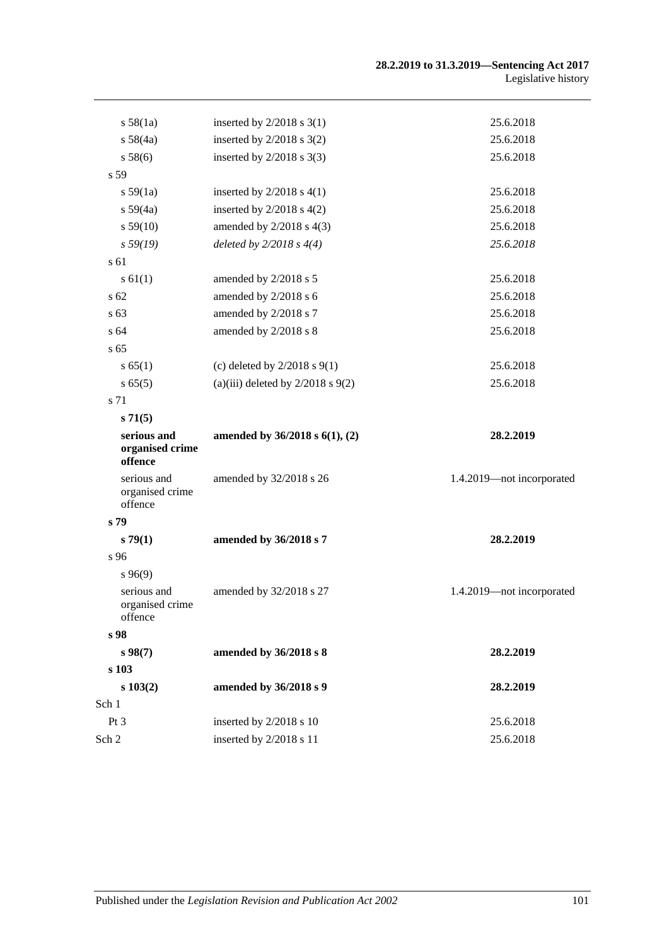#### **28.2.2019 to 31.3.2019—Sentencing Act 2017** Legislative history

| s 58(1a)                                  | inserted by $2/2018$ s 3(1)           | 25.6.2018                 |
|-------------------------------------------|---------------------------------------|---------------------------|
| s 58(4a)                                  | inserted by $2/2018$ s $3(2)$         | 25.6.2018                 |
| s 58(6)                                   | inserted by $2/2018$ s 3(3)           | 25.6.2018                 |
| s <sub>59</sub>                           |                                       |                           |
| s 59(1a)                                  | inserted by $2/2018$ s $4(1)$         | 25.6.2018                 |
| s 59(4a)                                  | inserted by $2/2018$ s $4(2)$         | 25.6.2018                 |
| s 59(10)                                  | amended by $2/2018$ s $4(3)$          | 25.6.2018                 |
| s 59(19)                                  | deleted by $2/2018 s 4(4)$            | 25.6.2018                 |
| s 61                                      |                                       |                           |
| s 61(1)                                   | amended by 2/2018 s 5                 | 25.6.2018                 |
| s 62                                      | amended by 2/2018 s 6                 | 25.6.2018                 |
| s 63                                      | amended by 2/2018 s 7                 | 25.6.2018                 |
| s 64                                      | amended by 2/2018 s 8                 | 25.6.2018                 |
| s 65                                      |                                       |                           |
| s 65(1)                                   | (c) deleted by $2/2018$ s $9(1)$      | 25.6.2018                 |
| s 65(5)                                   | (a)(iii) deleted by $2/2018$ s $9(2)$ | 25.6.2018                 |
| s 71                                      |                                       |                           |
| s71(5)                                    |                                       |                           |
| serious and<br>organised crime<br>offence | amended by $36/2018$ s $6(1)$ , (2)   | 28.2.2019                 |
| serious and<br>organised crime<br>offence | amended by 32/2018 s 26               | 1.4.2019-not incorporated |
| s 79                                      |                                       |                           |
| s79(1)                                    | amended by 36/2018 s 7                | 28.2.2019                 |
| s 96                                      |                                       |                           |
| s96(9)                                    |                                       |                           |
| serious and<br>organised crime<br>offence | amended by 32/2018 s 27               | 1.4.2019-not incorporated |
| s 98                                      |                                       |                           |
| s 98(7)                                   | amended by 36/2018 s 8                | 28.2.2019                 |
| s 103                                     |                                       |                           |
| $s\ 103(2)$                               | amended by 36/2018 s 9                | 28.2.2019                 |
| Sch 1                                     |                                       |                           |
| Pt <sub>3</sub>                           | inserted by 2/2018 s 10               | 25.6.2018                 |
| Sch 2                                     | inserted by 2/2018 s 11               | 25.6.2018                 |
|                                           |                                       |                           |